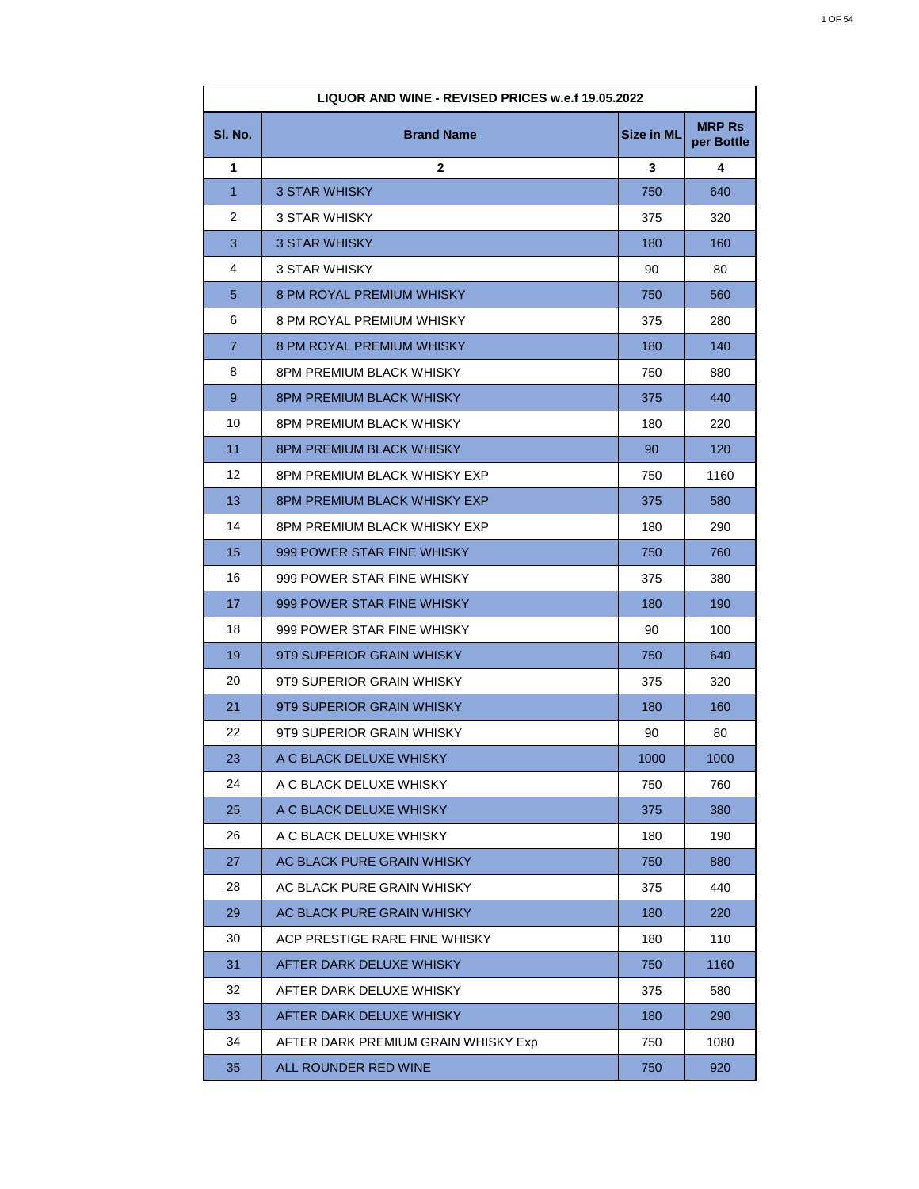| LIQUOR AND WINE - REVISED PRICES w.e.f 19.05.2022 |                                     |                   |                             |
|---------------------------------------------------|-------------------------------------|-------------------|-----------------------------|
| SI. No.                                           | <b>Brand Name</b>                   | <b>Size in ML</b> | <b>MRP Rs</b><br>per Bottle |
| 1                                                 | $\mathbf{2}$                        | 3                 | 4                           |
| $\mathbf{1}$                                      | 3 STAR WHISKY                       | 750               | 640                         |
| 2                                                 | 3 STAR WHISKY                       | 375               | 320                         |
| 3                                                 | <b>3 STAR WHISKY</b>                | 180               | 160                         |
| 4                                                 | 3 STAR WHISKY                       | 90                | 80                          |
| 5                                                 | 8 PM ROYAL PREMIUM WHISKY           | 750               | 560                         |
| 6                                                 | 8 PM ROYAL PREMIUM WHISKY           | 375               | 280                         |
| $\overline{7}$                                    | 8 PM ROYAL PREMIUM WHISKY           | 180               | 140                         |
| 8                                                 | 8PM PREMIUM BLACK WHISKY            | 750               | 880                         |
| 9                                                 | <b>8PM PREMIUM BLACK WHISKY</b>     | 375               | 440                         |
| 10                                                | 8PM PREMIUM BLACK WHISKY            | 180               | 220                         |
| 11                                                | <b>8PM PREMIUM BLACK WHISKY</b>     | 90                | 120                         |
| 12                                                | 8PM PREMIUM BLACK WHISKY EXP        | 750               | 1160                        |
| 13                                                | 8PM PREMIUM BLACK WHISKY EXP        | 375               | 580                         |
| 14                                                | 8PM PREMIUM BLACK WHISKY EXP        | 180               | 290                         |
| 15                                                | 999 POWER STAR FINE WHISKY          | 750               | 760                         |
| 16                                                | 999 POWER STAR FINE WHISKY          | 375               | 380                         |
| 17                                                | 999 POWER STAR FINE WHISKY          | 180               | 190                         |
| 18                                                | 999 POWER STAR FINE WHISKY          | 90                | 100                         |
| 19                                                | 9T9 SUPERIOR GRAIN WHISKY           | 750               | 640                         |
| 20                                                | 9T9 SUPERIOR GRAIN WHISKY           | 375               | 320                         |
| 21                                                | 9T9 SUPERIOR GRAIN WHISKY           | 180               | 160                         |
| 22                                                | 9T9 SUPERIOR GRAIN WHISKY           | 90                | 80                          |
| 23                                                | A C BLACK DELUXE WHISKY             | 1000              | 1000                        |
| 24                                                | A C BLACK DELUXE WHISKY             | 750               | 760                         |
| 25                                                | A C BLACK DELUXE WHISKY             | 375               | 380                         |
| 26                                                | A C BLACK DELUXE WHISKY             | 180               | 190                         |
| 27                                                | AC BLACK PURE GRAIN WHISKY          | 750               | 880                         |
| 28                                                | AC BLACK PURE GRAIN WHISKY          | 375               | 440                         |
| 29                                                | AC BLACK PURE GRAIN WHISKY          | 180               | 220                         |
| 30                                                | ACP PRESTIGE RARE FINE WHISKY       | 180               | 110                         |
| 31                                                | AFTER DARK DELUXE WHISKY            | 750               | 1160                        |
| 32                                                | AFTER DARK DELUXE WHISKY            | 375               | 580                         |
| 33                                                | AFTER DARK DELUXE WHISKY            | 180               | 290                         |
| 34                                                | AFTER DARK PREMIUM GRAIN WHISKY Exp | 750               | 1080                        |
| 35                                                | ALL ROUNDER RED WINE                | 750               | 920                         |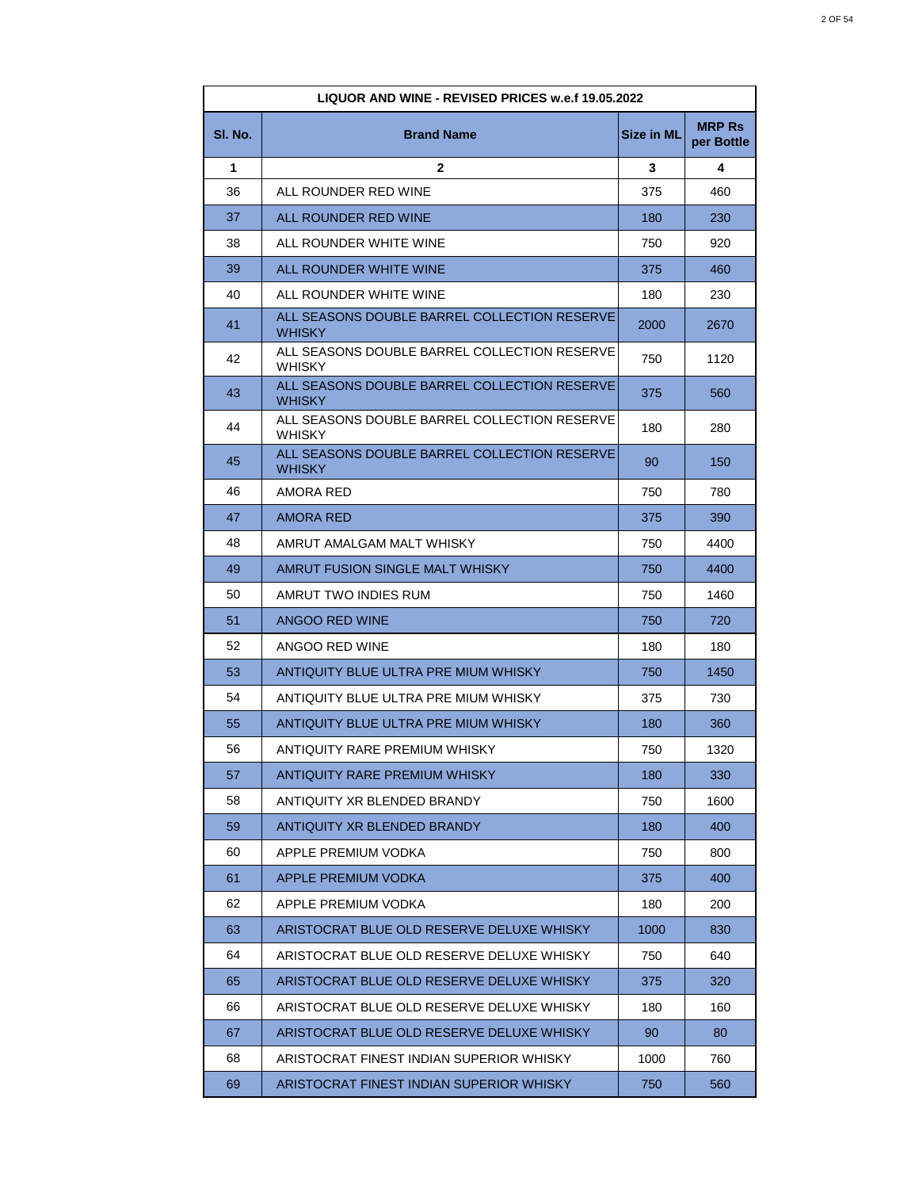|         | LIQUOR AND WINE - REVISED PRICES w.e.f 19.05.2022             |                   |                             |
|---------|---------------------------------------------------------------|-------------------|-----------------------------|
| SI. No. | <b>Brand Name</b>                                             | <b>Size in ML</b> | <b>MRP Rs</b><br>per Bottle |
| 1       | $\mathbf{2}$                                                  | 3                 | 4                           |
| 36      | ALL ROUNDER RED WINE                                          | 375               | 460                         |
| 37      | ALL ROUNDER RED WINE                                          | 180               | 230                         |
| 38      | ALL ROUNDER WHITE WINE                                        | 750               | 920                         |
| 39      | ALL ROUNDER WHITE WINE                                        | 375               | 460                         |
| 40      | ALL ROUNDER WHITE WINE                                        | 180               | 230                         |
| 41      | ALL SEASONS DOUBLE BARREL COLLECTION RESERVE<br><b>WHISKY</b> | 2000              | 2670                        |
| 42      | ALL SEASONS DOUBLE BARREL COLLECTION RESERVE<br><b>WHISKY</b> | 750               | 1120                        |
| 43      | ALL SEASONS DOUBLE BARREL COLLECTION RESERVE<br><b>WHISKY</b> | 375               | 560                         |
| 44      | ALL SEASONS DOUBLE BARREL COLLECTION RESERVE<br><b>WHISKY</b> | 180               | 280                         |
| 45      | ALL SEASONS DOUBLE BARREL COLLECTION RESERVE<br><b>WHISKY</b> | 90                | 150                         |
| 46      | AMORA RED                                                     | 750               | 780                         |
| 47      | <b>AMORA RED</b>                                              | 375               | 390                         |
| 48      | AMRUT AMALGAM MALT WHISKY                                     | 750               | 4400                        |
| 49      | AMRUT FUSION SINGLE MALT WHISKY                               | 750               | 4400                        |
| 50      | AMRUT TWO INDIES RUM                                          | 750               | 1460                        |
| 51      | ANGOO RED WINE                                                | 750               | 720                         |
| 52      | ANGOO RED WINE                                                | 180               | 180                         |
| 53      | ANTIQUITY BLUE ULTRA PRE MIUM WHISKY                          | 750               | 1450                        |
| 54      | ANTIQUITY BLUE ULTRA PRE MIUM WHISKY                          | 375               | 730                         |
| 55      | ANTIQUITY BLUE ULTRA PRE MIUM WHISKY                          | 180               | 360                         |
| 56      | ANTIQUITY RARE PREMIUM WHISKY                                 | 750               | 1320                        |
| 57      | <b>ANTIQUITY RARE PREMIUM WHISKY</b>                          | 180               | 330                         |
| 58      | ANTIQUITY XR BLENDED BRANDY                                   | 750               | 1600                        |
| 59      | ANTIQUITY XR BLENDED BRANDY                                   | 180               | 400                         |
| 60      | APPLE PREMIUM VODKA                                           | 750               | 800                         |
| 61      | APPLE PREMIUM VODKA                                           | 375               | 400                         |
| 62      | APPLE PREMIUM VODKA                                           | 180               | 200                         |
| 63      | ARISTOCRAT BLUE OLD RESERVE DELUXE WHISKY                     | 1000              | 830                         |
| 64      | ARISTOCRAT BLUE OLD RESERVE DELUXE WHISKY                     | 750               | 640                         |
| 65      | ARISTOCRAT BLUE OLD RESERVE DELUXE WHISKY                     | 375               | 320                         |
| 66      | ARISTOCRAT BLUE OLD RESERVE DELUXE WHISKY                     | 180               | 160                         |
| 67      | ARISTOCRAT BLUE OLD RESERVE DELUXE WHISKY                     | 90                | 80                          |
| 68      | ARISTOCRAT FINEST INDIAN SUPERIOR WHISKY                      | 1000              | 760                         |
| 69      | ARISTOCRAT FINEST INDIAN SUPERIOR WHISKY                      | 750               | 560                         |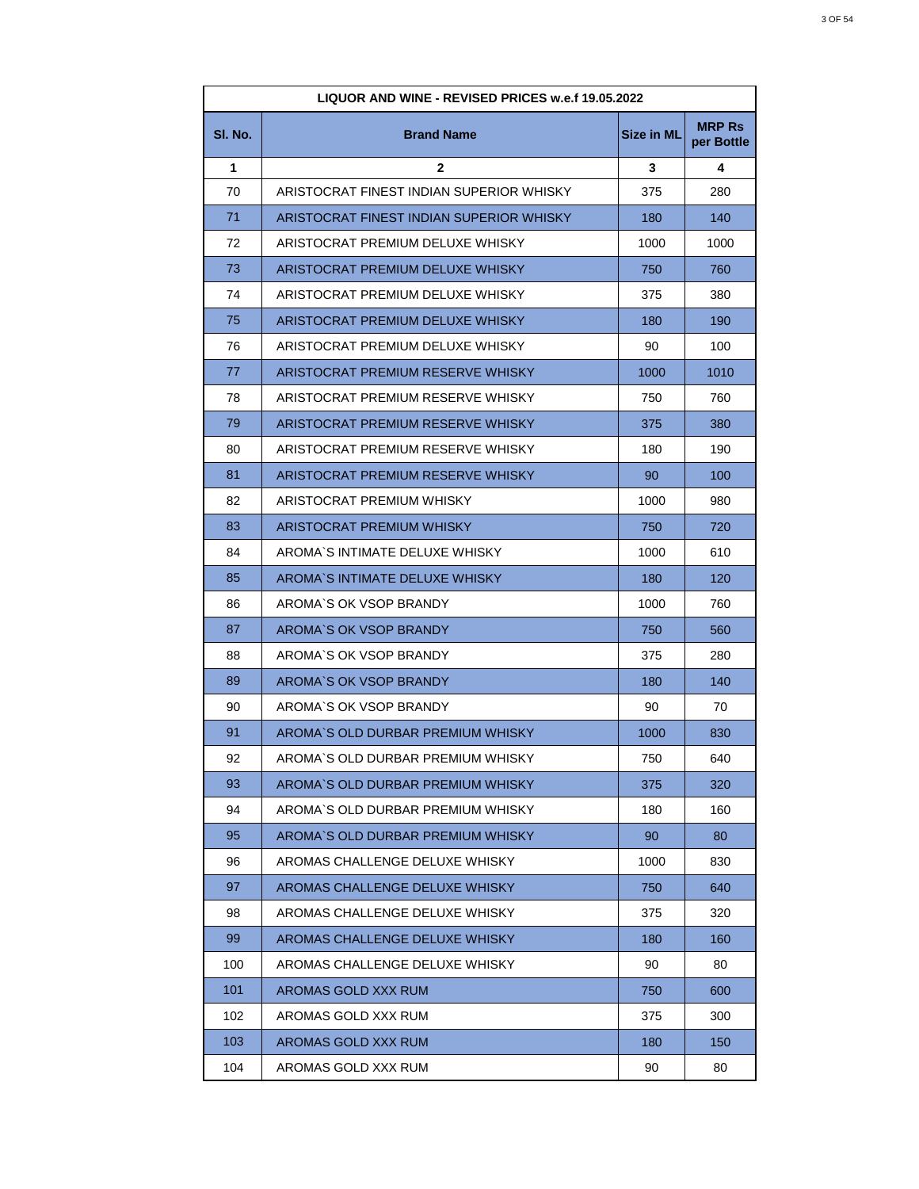| LIQUOR AND WINE - REVISED PRICES w.e.f 19.05.2022 |                                          |                   |                             |
|---------------------------------------------------|------------------------------------------|-------------------|-----------------------------|
| SI. No.                                           | <b>Brand Name</b>                        | <b>Size in ML</b> | <b>MRP Rs</b><br>per Bottle |
| 1                                                 | $\mathbf{2}$                             | 3                 | 4                           |
| 70                                                | ARISTOCRAT FINEST INDIAN SUPERIOR WHISKY | 375               | 280                         |
| 71                                                | ARISTOCRAT FINEST INDIAN SUPERIOR WHISKY | 180               | 140                         |
| 72                                                | ARISTOCRAT PREMIUM DELUXE WHISKY         | 1000              | 1000                        |
| 73                                                | ARISTOCRAT PREMIUM DELUXE WHISKY         | 750               | 760                         |
| 74                                                | ARISTOCRAT PREMIUM DELUXE WHISKY         | 375               | 380                         |
| 75                                                | ARISTOCRAT PREMIUM DELUXE WHISKY         | 180               | 190                         |
| 76                                                | ARISTOCRAT PREMIUM DELUXE WHISKY         | 90                | 100                         |
| 77                                                | ARISTOCRAT PREMIUM RESERVE WHISKY        | 1000              | 1010                        |
| 78                                                | ARISTOCRAT PREMIUM RESERVE WHISKY        | 750               | 760                         |
| 79                                                | ARISTOCRAT PREMIUM RESERVE WHISKY        | 375               | 380                         |
| 80                                                | ARISTOCRAT PREMIUM RESERVE WHISKY        | 180               | 190                         |
| 81                                                | ARISTOCRAT PREMIUM RESERVE WHISKY        | 90                | 100                         |
| 82                                                | ARISTOCRAT PREMIUM WHISKY                | 1000              | 980                         |
| 83                                                | ARISTOCRAT PREMIUM WHISKY                | 750               | 720                         |
| 84                                                | AROMA`S INTIMATE DELUXE WHISKY           | 1000              | 610                         |
| 85                                                | AROMA'S INTIMATE DELUXE WHISKY           | 180               | 120                         |
| 86                                                | AROMA'S OK VSOP BRANDY                   | 1000              | 760                         |
| 87                                                | AROMA'S OK VSOP BRANDY                   | 750               | 560                         |
| 88                                                | AROMA'S OK VSOP BRANDY                   | 375               | 280                         |
| 89                                                | AROMA'S OK VSOP BRANDY                   | 180               | 140                         |
| 90                                                | AROMA'S OK VSOP BRANDY                   | 90                | 70                          |
| 91                                                | AROMA'S OLD DURBAR PREMIUM WHISKY        | 1000              | 830                         |
| 92                                                | AROMA'S OLD DURBAR PREMIUM WHISKY        | 750               | 640                         |
| 93                                                | AROMA'S OLD DURBAR PREMIUM WHISKY        | 375               | 320                         |
| 94                                                | AROMA'S OLD DURBAR PREMIUM WHISKY        | 180               | 160                         |
| 95                                                | AROMA'S OLD DURBAR PREMIUM WHISKY        | 90                | 80                          |
| 96                                                | AROMAS CHALLENGE DELUXE WHISKY           | 1000              | 830                         |
| 97                                                | AROMAS CHALLENGE DELUXE WHISKY           | 750               | 640                         |
| 98                                                | AROMAS CHALLENGE DELUXE WHISKY           | 375               | 320                         |
| 99                                                | AROMAS CHALLENGE DELUXE WHISKY           | 180               | 160                         |
| 100                                               | AROMAS CHALLENGE DELUXE WHISKY           | 90                | 80                          |
| 101                                               | AROMAS GOLD XXX RUM                      | 750               | 600                         |
| 102                                               | AROMAS GOLD XXX RUM                      | 375               | 300                         |
| 103                                               | AROMAS GOLD XXX RUM                      | 180               | 150                         |
| 104                                               | AROMAS GOLD XXX RUM                      | 90                | 80                          |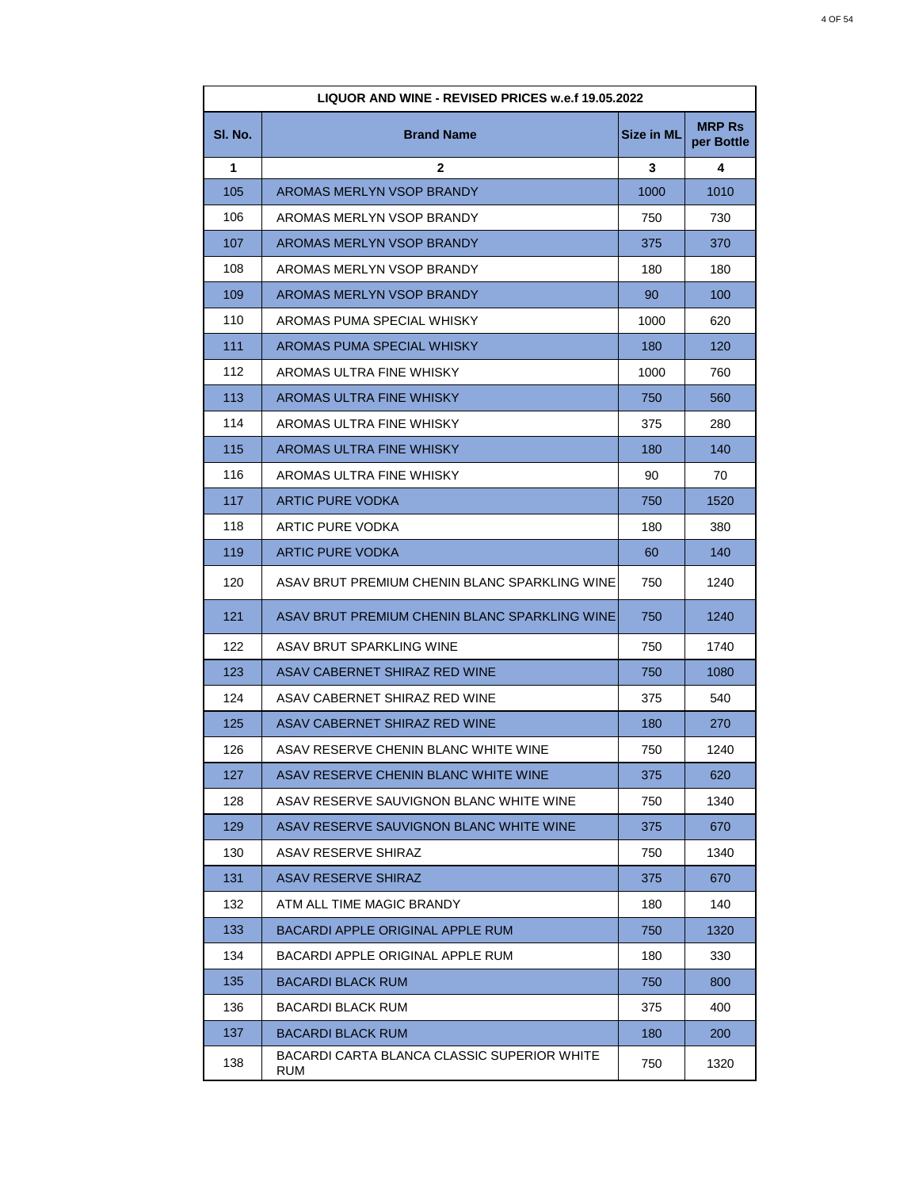| LIQUOR AND WINE - REVISED PRICES w.e.f 19.05.2022 |                                                    |            |                             |
|---------------------------------------------------|----------------------------------------------------|------------|-----------------------------|
| SI. No.                                           | <b>Brand Name</b>                                  | Size in ML | <b>MRP Rs</b><br>per Bottle |
| 1                                                 | $\mathbf{2}$                                       | 3          | 4                           |
| 105                                               | AROMAS MERLYN VSOP BRANDY                          | 1000       | 1010                        |
| 106                                               | AROMAS MERLYN VSOP BRANDY                          | 750        | 730                         |
| 107                                               | AROMAS MERLYN VSOP BRANDY                          | 375        | 370                         |
| 108                                               | AROMAS MERLYN VSOP BRANDY                          | 180        | 180                         |
| 109                                               | AROMAS MERLYN VSOP BRANDY                          | 90         | 100                         |
| 110                                               | AROMAS PUMA SPECIAL WHISKY                         | 1000       | 620                         |
| 111                                               | AROMAS PUMA SPECIAL WHISKY                         | 180        | 120                         |
| 112                                               | AROMAS ULTRA FINE WHISKY                           | 1000       | 760                         |
| 113                                               | AROMAS ULTRA FINE WHISKY                           | 750        | 560                         |
| 114                                               | AROMAS ULTRA FINE WHISKY                           | 375        | 280                         |
| 115                                               | AROMAS ULTRA FINE WHISKY                           | 180        | 140                         |
| 116                                               | AROMAS ULTRA FINE WHISKY                           | 90         | 70                          |
| 117                                               | <b>ARTIC PURE VODKA</b>                            | 750        | 1520                        |
| 118                                               | ARTIC PURE VODKA                                   | 180        | 380                         |
| 119                                               | <b>ARTIC PURE VODKA</b>                            | 60         | 140                         |
| 120                                               | ASAV BRUT PREMIUM CHENIN BLANC SPARKLING WINE      | 750        | 1240                        |
| 121                                               | ASAV BRUT PREMIUM CHENIN BLANC SPARKLING WINE      | 750        | 1240                        |
| 122                                               | ASAV BRUT SPARKLING WINE                           | 750        | 1740                        |
| 123                                               | ASAV CABERNET SHIRAZ RED WINE                      | 750        | 1080                        |
| 124                                               | ASAV CABERNET SHIRAZ RED WINE                      | 375        | 540                         |
| 125                                               | ASAV CABERNET SHIRAZ RED WINE                      | 180        | 270                         |
| 126                                               | ASAV RESERVE CHENIN BLANC WHITE WINE               | 750        | 1240                        |
| 127                                               | ASAV RESERVE CHENIN BLANC WHITE WINE               | 375        | 620                         |
| 128                                               | ASAV RESERVE SAUVIGNON BLANC WHITE WINE            | 750        | 1340                        |
| 129                                               | ASAV RESERVE SAUVIGNON BLANC WHITE WINE            | 375        | 670                         |
| 130                                               | ASAV RESERVE SHIRAZ                                | 750        | 1340                        |
| 131                                               | <b>ASAV RESERVE SHIRAZ</b>                         | 375        | 670                         |
| 132                                               | ATM ALL TIME MAGIC BRANDY                          | 180        | 140                         |
| 133                                               | <b>BACARDI APPLE ORIGINAL APPLE RUM</b>            | 750        | 1320                        |
| 134                                               | BACARDI APPLE ORIGINAL APPLE RUM                   | 180        | 330                         |
| 135                                               | <b>BACARDI BLACK RUM</b>                           | 750        | 800                         |
| 136                                               | BACARDI BLACK RUM                                  | 375        | 400                         |
| 137                                               | <b>BACARDI BLACK RUM</b>                           | 180        | 200                         |
| 138                                               | BACARDI CARTA BLANCA CLASSIC SUPERIOR WHITE<br>RUM | 750        | 1320                        |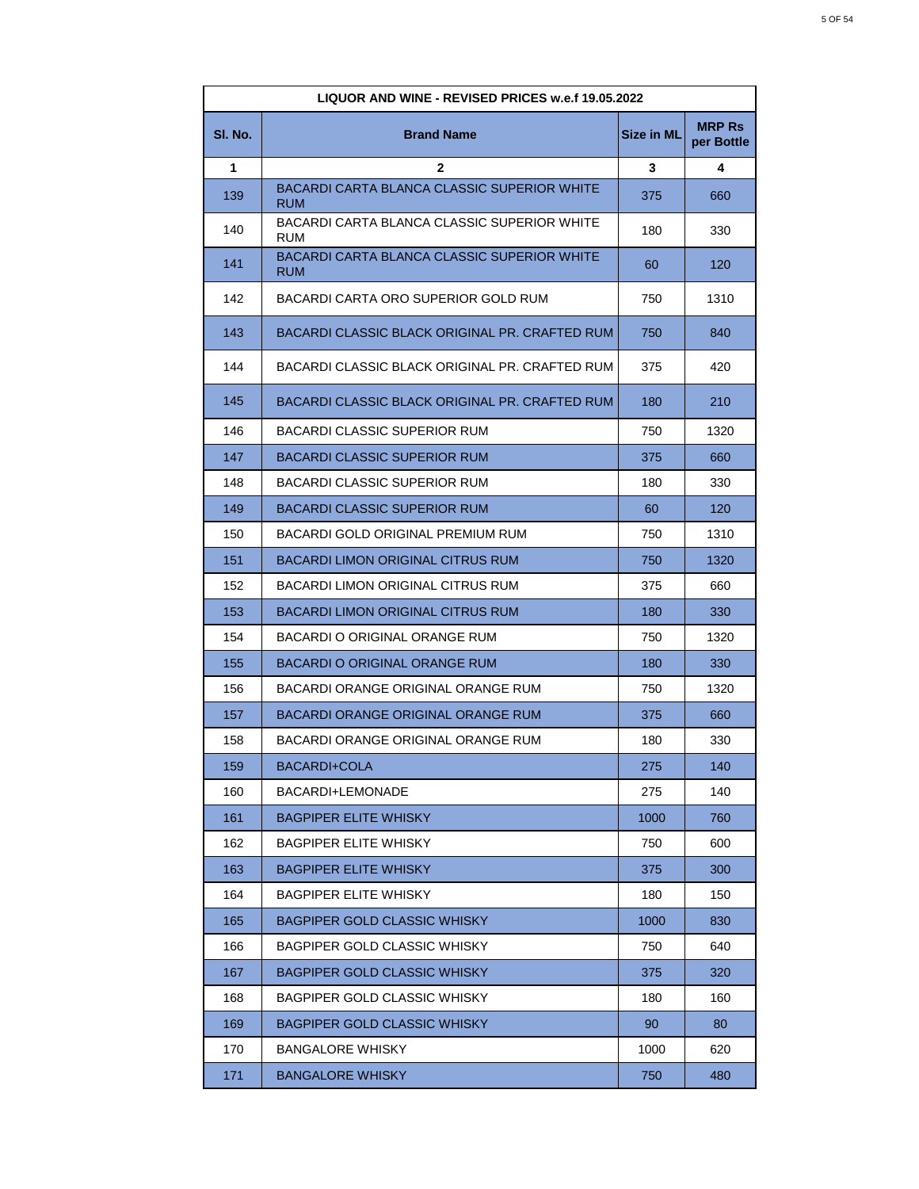| LIQUOR AND WINE - REVISED PRICES w.e.f 19.05.2022 |                                                    |                   |                             |
|---------------------------------------------------|----------------------------------------------------|-------------------|-----------------------------|
| SI. No.                                           | <b>Brand Name</b>                                  | <b>Size in ML</b> | <b>MRP Rs</b><br>per Bottle |
| 1                                                 | 2                                                  | 3                 | 4                           |
| 139                                               | BACARDI CARTA BLANCA CLASSIC SUPERIOR WHITE<br>RUM | 375               | 660                         |
| 140                                               | BACARDI CARTA BLANCA CLASSIC SUPERIOR WHITE<br>RUM | 180               | 330                         |
| 141                                               | BACARDI CARTA BLANCA CLASSIC SUPERIOR WHITE<br>RUM | 60                | 120                         |
| 142                                               | BACARDI CARTA ORO SUPERIOR GOLD RUM                | 750               | 1310                        |
| 143                                               | BACARDI CLASSIC BLACK ORIGINAL PR. CRAFTED RUM     | 750               | 840                         |
| 144                                               | BACARDI CLASSIC BLACK ORIGINAL PR. CRAFTED RUM     | 375               | 420                         |
| 145                                               | BACARDI CLASSIC BLACK ORIGINAL PR. CRAFTED RUM     | 180               | 210                         |
| 146                                               | <b>BACARDI CLASSIC SUPERIOR RUM</b>                | 750               | 1320                        |
| 147                                               | <b>BACARDI CLASSIC SUPERIOR RUM</b>                | 375               | 660                         |
| 148                                               | BACARDI CLASSIC SUPERIOR RUM                       | 180               | 330                         |
| 149                                               | <b>BACARDI CLASSIC SUPERIOR RUM</b>                | 60                | 120                         |
| 150                                               | BACARDI GOLD ORIGINAL PREMIUM RUM                  | 750               | 1310                        |
| 151                                               | BACARDI LIMON ORIGINAL CITRUS RUM                  | 750               | 1320                        |
| 152                                               | BACARDI LIMON ORIGINAL CITRUS RUM                  | 375               | 660                         |
| 153                                               | BACARDI LIMON ORIGINAL CITRUS RUM                  | 180               | 330                         |
| 154                                               | BACARDI O ORIGINAL ORANGE RUM                      | 750               | 1320                        |
| 155                                               | BACARDI O ORIGINAL ORANGE RUM                      | 180               | 330                         |
| 156                                               | BACARDI ORANGE ORIGINAL ORANGE RUM                 | 750               | 1320                        |
| 157                                               | BACARDI ORANGE ORIGINAL ORANGE RUM                 | 375               | 660                         |
| 158                                               | BACARDI ORANGE ORIGINAL ORANGE RUM                 | 180               | 330                         |
| 159                                               | BACARDI+COLA                                       | 275               | 140                         |
| 160                                               | BACARDI+LEMONADE                                   | 275               | 140                         |
| 161                                               | <b>BAGPIPER ELITE WHISKY</b>                       | 1000              | 760                         |
| 162                                               | <b>BAGPIPER ELITE WHISKY</b>                       | 750               | 600                         |
| 163                                               | <b>BAGPIPER ELITE WHISKY</b>                       | 375               | 300                         |
| 164                                               | <b>BAGPIPER ELITE WHISKY</b>                       | 180               | 150                         |
| 165                                               | <b>BAGPIPER GOLD CLASSIC WHISKY</b>                | 1000              | 830                         |
| 166                                               | <b>BAGPIPER GOLD CLASSIC WHISKY</b>                | 750               | 640                         |
| 167                                               | <b>BAGPIPER GOLD CLASSIC WHISKY</b>                | 375               | 320                         |
| 168                                               | <b>BAGPIPER GOLD CLASSIC WHISKY</b>                | 180               | 160                         |
| 169                                               | <b>BAGPIPER GOLD CLASSIC WHISKY</b>                | 90                | 80                          |
| 170                                               | <b>BANGALORE WHISKY</b>                            | 1000              | 620                         |
| 171                                               | <b>BANGALORE WHISKY</b>                            | 750               | 480                         |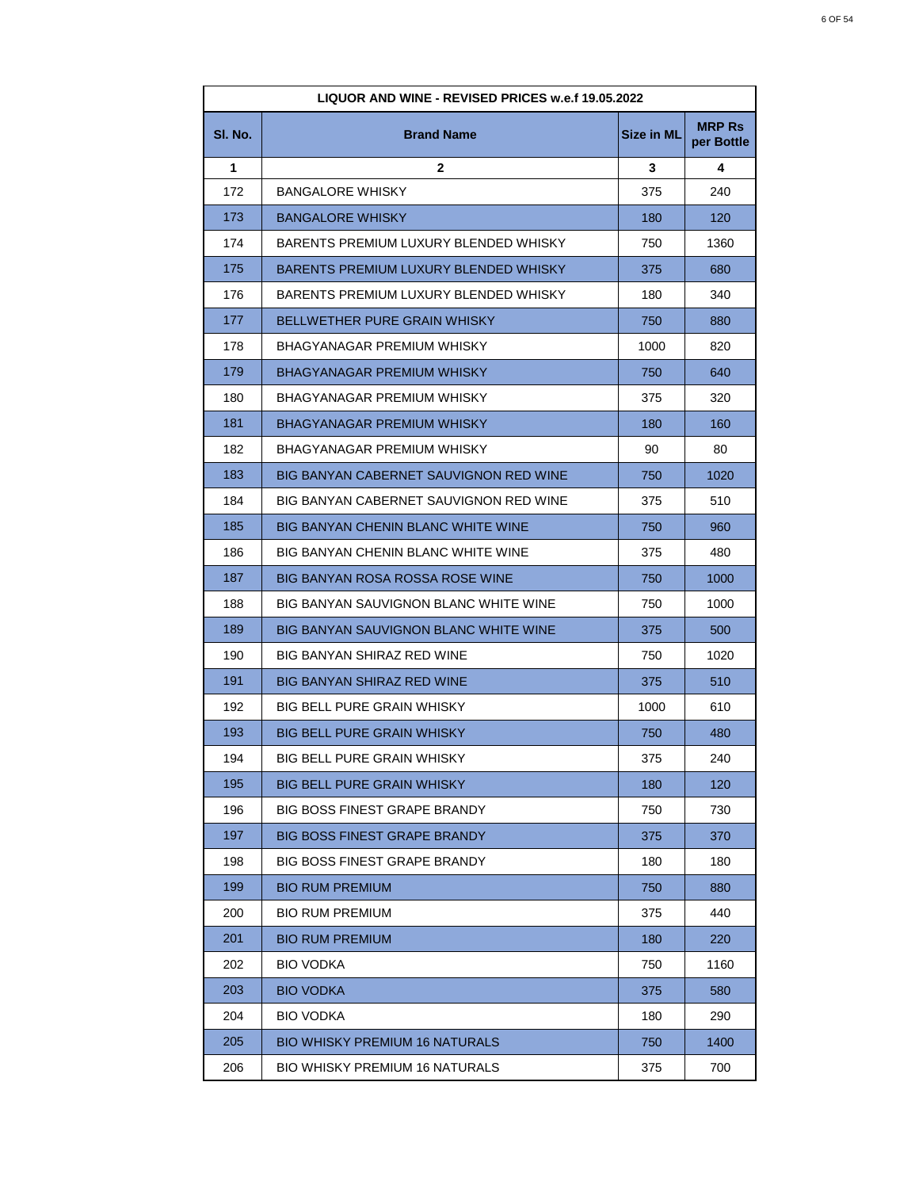| LIQUOR AND WINE - REVISED PRICES w.e.f 19.05.2022 |                                              |                   |                             |
|---------------------------------------------------|----------------------------------------------|-------------------|-----------------------------|
| SI. No.                                           | <b>Brand Name</b>                            | <b>Size in ML</b> | <b>MRP Rs</b><br>per Bottle |
| 1                                                 | 2                                            | 3                 | 4                           |
| 172                                               | <b>BANGALORE WHISKY</b>                      | 375               | 240                         |
| 173                                               | <b>BANGALORE WHISKY</b>                      | 180               | 120                         |
| 174                                               | BARENTS PREMIUM LUXURY BLENDED WHISKY        | 750               | 1360                        |
| 175                                               | <b>BARENTS PREMIUM LUXURY BLENDED WHISKY</b> | 375               | 680                         |
| 176                                               | BARENTS PREMIUM LUXURY BLENDED WHISKY        | 180               | 340                         |
| 177                                               | <b>BELLWETHER PURE GRAIN WHISKY</b>          | 750               | 880                         |
| 178                                               | BHAGYANAGAR PREMIUM WHISKY                   | 1000              | 820                         |
| 179                                               | <b>BHAGYANAGAR PREMIUM WHISKY</b>            | 750               | 640                         |
| 180                                               | <b>BHAGYANAGAR PREMIUM WHISKY</b>            | 375               | 320                         |
| 181                                               | <b>BHAGYANAGAR PREMIUM WHISKY</b>            | 180               | 160                         |
| 182                                               | BHAGYANAGAR PREMIUM WHISKY                   | 90                | 80                          |
| 183                                               | BIG BANYAN CABERNET SAUVIGNON RED WINE       | 750               | 1020                        |
| 184                                               | BIG BANYAN CABERNET SAUVIGNON RED WINE       | 375               | 510                         |
| 185                                               | <b>BIG BANYAN CHENIN BLANC WHITE WINE</b>    | 750               | 960                         |
| 186                                               | BIG BANYAN CHENIN BLANC WHITE WINE           | 375               | 480                         |
| 187                                               | <b>BIG BANYAN ROSA ROSSA ROSE WINE</b>       | 750               | 1000                        |
| 188                                               | BIG BANYAN SAUVIGNON BLANC WHITE WINE        | 750               | 1000                        |
| 189                                               | <b>BIG BANYAN SAUVIGNON BLANC WHITE WINE</b> | 375               | 500                         |
| 190                                               | BIG BANYAN SHIRAZ RED WINE                   | 750               | 1020                        |
| 191                                               | <b>BIG BANYAN SHIRAZ RED WINE</b>            | 375               | 510                         |
| 192                                               | <b>BIG BELL PURE GRAIN WHISKY</b>            | 1000              | 610                         |
| 193                                               | <b>BIG BELL PURE GRAIN WHISKY</b>            | 750               | 480                         |
| 194                                               | BIG BELL PURE GRAIN WHISKY                   | 375               | 240                         |
| 195                                               | <b>BIG BELL PURE GRAIN WHISKY</b>            | 180               | 120                         |
| 196                                               | <b>BIG BOSS FINEST GRAPE BRANDY</b>          | 750               | 730                         |
| 197                                               | <b>BIG BOSS FINEST GRAPE BRANDY</b>          | 375               | 370                         |
| 198                                               | <b>BIG BOSS FINEST GRAPE BRANDY</b>          | 180               | 180                         |
| 199                                               | <b>BIO RUM PREMIUM</b>                       | 750               | 880                         |
| 200                                               | <b>BIO RUM PREMIUM</b>                       | 375               | 440                         |
| 201                                               | <b>BIO RUM PREMIUM</b>                       | 180               | 220                         |
| 202                                               | <b>BIO VODKA</b>                             | 750               | 1160                        |
| 203                                               | <b>BIO VODKA</b>                             | 375               | 580                         |
| 204                                               | <b>BIO VODKA</b>                             | 180               | 290                         |
| 205                                               | <b>BIO WHISKY PREMIUM 16 NATURALS</b>        | 750               | 1400                        |
| 206                                               | <b>BIO WHISKY PREMIUM 16 NATURALS</b>        | 375               | 700                         |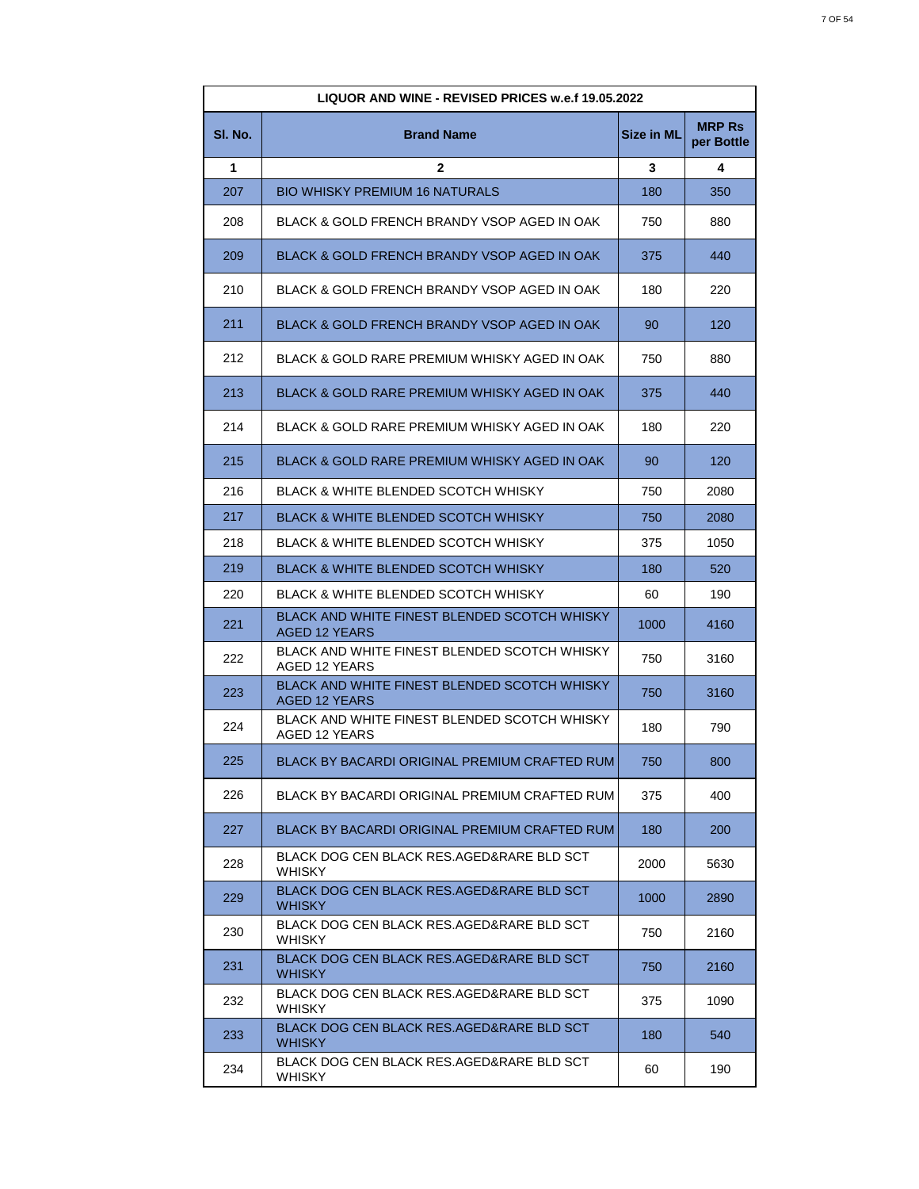| LIQUOR AND WINE - REVISED PRICES w.e.f 19.05.2022 |                                                                      |                   |                             |
|---------------------------------------------------|----------------------------------------------------------------------|-------------------|-----------------------------|
| SI. No.                                           | <b>Brand Name</b>                                                    | <b>Size in ML</b> | <b>MRP Rs</b><br>per Bottle |
| 1                                                 | 2                                                                    | 3                 | 4                           |
| 207                                               | <b>BIO WHISKY PREMIUM 16 NATURALS</b>                                | 180               | 350                         |
| 208                                               | BLACK & GOLD FRENCH BRANDY VSOP AGED IN OAK                          | 750               | 880                         |
| 209                                               | BLACK & GOLD FRENCH BRANDY VSOP AGED IN OAK                          | 375               | 440                         |
| 210                                               | BLACK & GOLD FRENCH BRANDY VSOP AGED IN OAK                          | 180               | 220                         |
| 211                                               | BLACK & GOLD FRENCH BRANDY VSOP AGED IN OAK                          | 90                | 120                         |
| 212                                               | BLACK & GOLD RARE PREMIUM WHISKY AGED IN OAK                         | 750               | 880                         |
| 213                                               | BLACK & GOLD RARE PREMIUM WHISKY AGED IN OAK                         | 375               | 440                         |
| 214                                               | BLACK & GOLD RARE PREMIUM WHISKY AGED IN OAK                         | 180               | 220                         |
| 215                                               | BLACK & GOLD RARE PREMIUM WHISKY AGED IN OAK                         | 90                | 120                         |
| 216                                               | <b>BLACK &amp; WHITE BLENDED SCOTCH WHISKY</b>                       | 750               | 2080                        |
| 217                                               | <b>BLACK &amp; WHITE BLENDED SCOTCH WHISKY</b>                       | 750               | 2080                        |
| 218                                               | BLACK & WHITE BLENDED SCOTCH WHISKY                                  | 375               | 1050                        |
| 219                                               | <b>BLACK &amp; WHITE BLENDED SCOTCH WHISKY</b>                       | 180               | 520                         |
| 220                                               | <b>BLACK &amp; WHITE BLENDED SCOTCH WHISKY</b>                       | 60                | 190                         |
| 221                                               | BLACK AND WHITE FINEST BLENDED SCOTCH WHISKY<br><b>AGED 12 YEARS</b> | 1000              | 4160                        |
| 222                                               | BLACK AND WHITE FINEST BLENDED SCOTCH WHISKY<br><b>AGED 12 YEARS</b> | 750               | 3160                        |
| 223                                               | BLACK AND WHITE FINEST BLENDED SCOTCH WHISKY<br><b>AGED 12 YEARS</b> | 750               | 3160                        |
| 224                                               | BLACK AND WHITE FINEST BLENDED SCOTCH WHISKY<br>AGED 12 YEARS        | 180               | 790                         |
| 225                                               | BLACK BY BACARDI ORIGINAL PREMIUM CRAFTED RUM                        | 750               | 800                         |
| 226                                               | BLACK BY BACARDI ORIGINAL PREMIUM CRAFTED RUM                        | 375               | 400                         |
| 227                                               | BLACK BY BACARDI ORIGINAL PREMIUM CRAFTED RUM                        | 180               | 200                         |
| 228                                               | BLACK DOG CEN BLACK RES.AGED&RARE BLD SCT<br>WHISKY                  | 2000              | 5630                        |
| 229                                               | BLACK DOG CEN BLACK RES.AGED&RARE BLD SCT<br><b>WHISKY</b>           | 1000              | 2890                        |
| 230                                               | BLACK DOG CEN BLACK RES.AGED&RARE BLD SCT<br><b>WHISKY</b>           | 750               | 2160                        |
| 231                                               | BLACK DOG CEN BLACK RES.AGED&RARE BLD SCT<br><b>WHISKY</b>           | 750               | 2160                        |
| 232                                               | BLACK DOG CEN BLACK RES.AGED&RARE BLD SCT<br><b>WHISKY</b>           | 375               | 1090                        |
| 233                                               | BLACK DOG CEN BLACK RES.AGED&RARE BLD SCT<br><b>WHISKY</b>           | 180               | 540                         |
| 234                                               | BLACK DOG CEN BLACK RES.AGED&RARE BLD SCT<br>WHISKY                  | 60                | 190                         |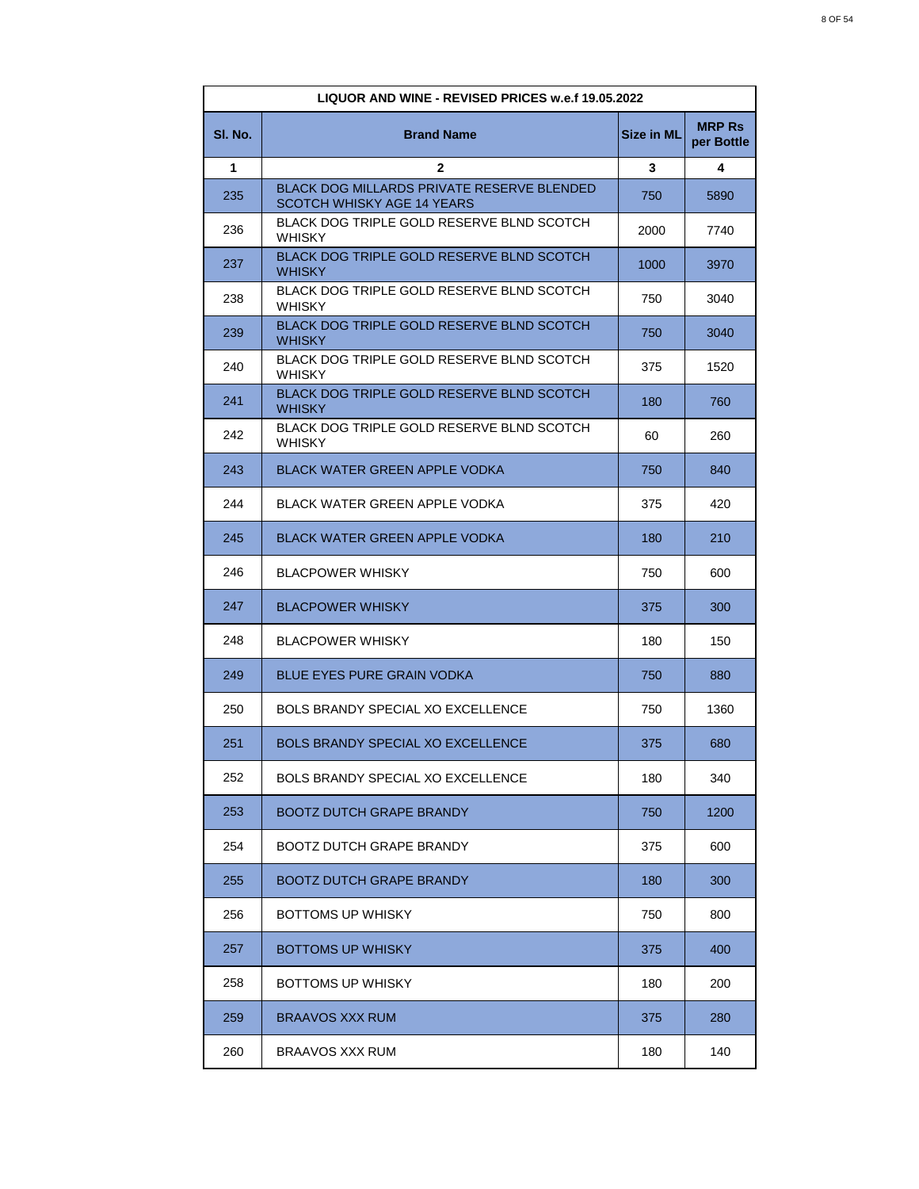| LIQUOR AND WINE - REVISED PRICES w.e.f 19.05.2022 |                                                                                 |                   |                             |
|---------------------------------------------------|---------------------------------------------------------------------------------|-------------------|-----------------------------|
| SI. No.                                           | <b>Brand Name</b>                                                               | <b>Size in ML</b> | <b>MRP Rs</b><br>per Bottle |
| 1                                                 | 2                                                                               | 3                 | 4                           |
| 235                                               | <b>BLACK DOG MILLARDS PRIVATE RESERVE BLENDED</b><br>SCOTCH WHISKY AGE 14 YEARS | 750               | 5890                        |
| 236                                               | BLACK DOG TRIPLE GOLD RESERVE BLND SCOTCH<br><b>WHISKY</b>                      | 2000              | 7740                        |
| 237                                               | BLACK DOG TRIPLE GOLD RESERVE BLND SCOTCH<br><b>WHISKY</b>                      | 1000              | 3970                        |
| 238                                               | BLACK DOG TRIPLE GOLD RESERVE BLND SCOTCH<br><b>WHISKY</b>                      | 750               | 3040                        |
| 239                                               | <b>BLACK DOG TRIPLE GOLD RESERVE BLND SCOTCH</b><br><b>WHISKY</b>               | 750               | 3040                        |
| 240                                               | BLACK DOG TRIPLE GOLD RESERVE BLND SCOTCH<br><b>WHISKY</b>                      | 375               | 1520                        |
| 241                                               | <b>BLACK DOG TRIPLE GOLD RESERVE BLND SCOTCH</b><br><b>WHISKY</b>               | 180               | 760                         |
| 242                                               | BLACK DOG TRIPLE GOLD RESERVE BLND SCOTCH<br><b>WHISKY</b>                      | 60                | 260                         |
| 243                                               | <b>BLACK WATER GREEN APPLE VODKA</b>                                            | 750               | 840                         |
| 244                                               | BLACK WATER GREEN APPLE VODKA                                                   | 375               | 420                         |
| 245                                               | BLACK WATER GREEN APPLE VODKA                                                   | 180               | 210                         |
| 246                                               | <b>BLACPOWER WHISKY</b>                                                         | 750               | 600                         |
| 247                                               | <b>BLACPOWER WHISKY</b>                                                         | 375               | 300                         |
| 248                                               | <b>BLACPOWER WHISKY</b>                                                         | 180               | 150                         |
| 249                                               | <b>BLUE EYES PURE GRAIN VODKA</b>                                               | 750               | 880                         |
| 250                                               | <b>BOLS BRANDY SPECIAL XO EXCELLENCE</b>                                        | 750               | 1360                        |
| 251                                               | BOLS BRANDY SPECIAL XO EXCELLENCE                                               | 375               | 680                         |
| 252                                               | BOLS BRANDY SPECIAL XO EXCELLENCE                                               | 180               | 340                         |
| 253                                               | <b>BOOTZ DUTCH GRAPE BRANDY</b>                                                 | 750               | 1200                        |
| 254                                               | <b>BOOTZ DUTCH GRAPE BRANDY</b>                                                 | 375               | 600                         |
| 255                                               | BOOTZ DUTCH GRAPE BRANDY                                                        | 180               | 300                         |
| 256                                               | BOTTOMS UP WHISKY                                                               | 750               | 800                         |
| 257                                               | <b>BOTTOMS UP WHISKY</b>                                                        | 375               | 400                         |
| 258                                               | BOTTOMS UP WHISKY                                                               | 180               | 200                         |
| 259                                               | <b>BRAAVOS XXX RUM</b>                                                          | 375               | 280                         |
| 260                                               | BRAAVOS XXX RUM                                                                 | 180               | 140                         |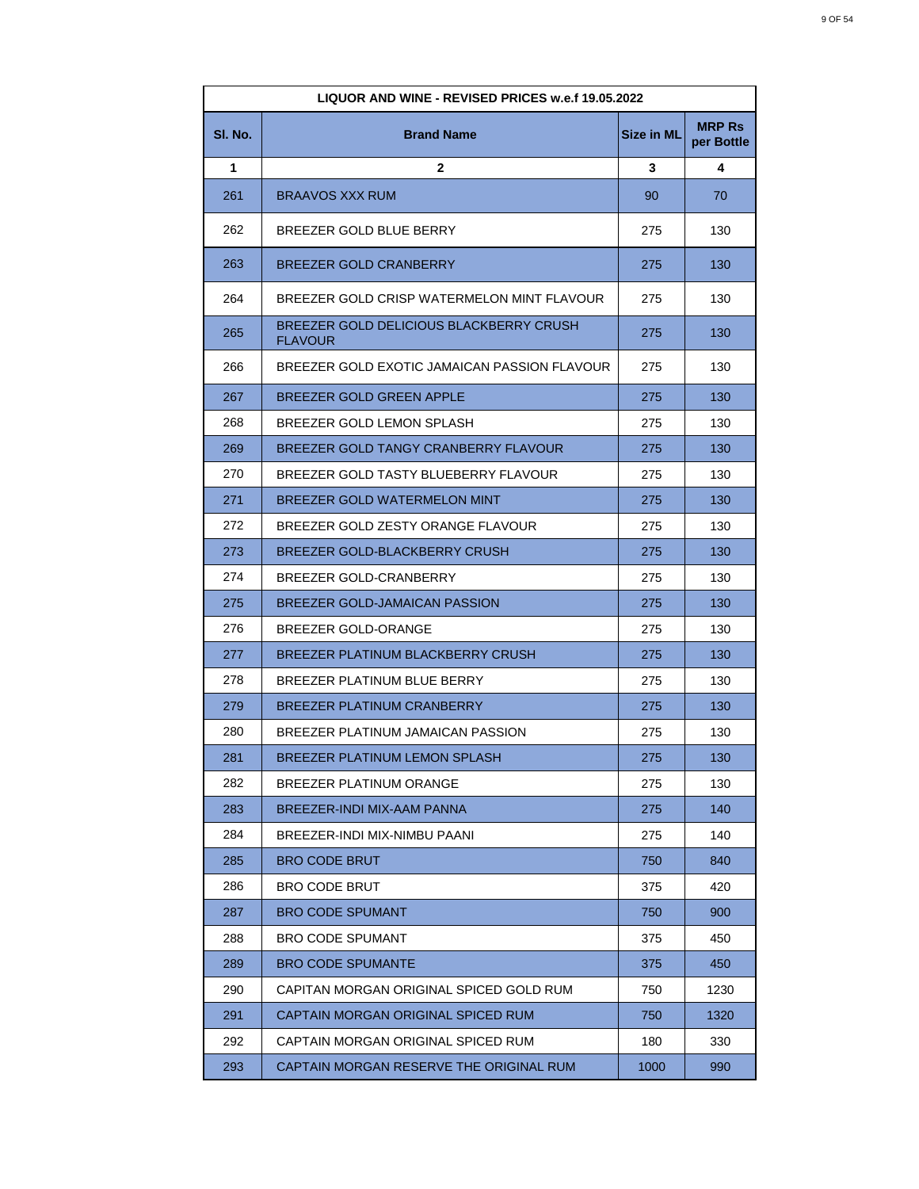| LIQUOR AND WINE - REVISED PRICES w.e.f 19.05.2022 |                                                           |                   |                             |
|---------------------------------------------------|-----------------------------------------------------------|-------------------|-----------------------------|
| SI. No.                                           | <b>Brand Name</b>                                         | <b>Size in ML</b> | <b>MRP Rs</b><br>per Bottle |
| 1                                                 | $\mathbf{2}$                                              | 3                 | 4                           |
| 261                                               | <b>BRAAVOS XXX RUM</b>                                    | 90                | 70                          |
| 262                                               | BREEZER GOLD BLUE BERRY                                   | 275               | 130                         |
| 263                                               | BREEZER GOLD CRANBERRY                                    | 275               | 130                         |
| 264                                               | BREEZER GOLD CRISP WATERMELON MINT FLAVOUR                | 275               | 130                         |
| 265                                               | BREEZER GOLD DELICIOUS BLACKBERRY CRUSH<br><b>FLAVOUR</b> | 275               | 130                         |
| 266                                               | BREEZER GOLD EXOTIC JAMAICAN PASSION FLAVOUR              | 275               | 130                         |
| 267                                               | BREEZER GOLD GREEN APPLE                                  | 275               | 130                         |
| 268                                               | BREEZER GOLD LEMON SPLASH                                 | 275               | 130                         |
| 269                                               | BREEZER GOLD TANGY CRANBERRY FLAVOUR                      | 275               | 130                         |
| 270                                               | BREEZER GOLD TASTY BLUEBERRY FLAVOUR                      | 275               | 130                         |
| 271                                               | BREEZER GOLD WATERMELON MINT                              | 275               | 130                         |
| 272                                               | BREEZER GOLD ZESTY ORANGE FLAVOUR                         | 275               | 130                         |
| 273                                               | BREEZER GOLD-BLACKBERRY CRUSH                             | 275               | 130                         |
| 274                                               | BREEZER GOLD-CRANBERRY                                    | 275               | 130                         |
| 275                                               | BREEZER GOLD-JAMAICAN PASSION                             | 275               | 130                         |
| 276                                               | BREEZER GOLD-ORANGE                                       | 275               | 130                         |
| 277                                               | BREEZER PLATINUM BLACKBERRY CRUSH                         | 275               | 130                         |
| 278                                               | BREEZER PLATINUM BLUE BERRY                               | 275               | 130                         |
| 279                                               | <b>BREEZER PLATINUM CRANBERRY</b>                         | 275               | 130                         |
| 280                                               | BREEZER PLATINUM JAMAICAN PASSION                         | 275               | 130                         |
| 281                                               | BREEZER PLATINUM LEMON SPLASH                             | 275               | 130                         |
| 282                                               | BREEZER PLATINUM ORANGE                                   | 275               | 130                         |
| 283                                               | BREEZER-INDI MIX-AAM PANNA                                | 275               | 140                         |
| 284                                               | BREEZER-INDI MIX-NIMBU PAANI                              | 275               | 140                         |
| 285                                               | <b>BRO CODE BRUT</b>                                      | 750               | 840                         |
| 286                                               | <b>BRO CODE BRUT</b>                                      | 375               | 420                         |
| 287                                               | <b>BRO CODE SPUMANT</b>                                   | 750               | 900                         |
| 288                                               | <b>BRO CODE SPUMANT</b>                                   | 375               | 450                         |
| 289                                               | <b>BRO CODE SPUMANTE</b>                                  | 375               | 450                         |
| 290                                               | CAPITAN MORGAN ORIGINAL SPICED GOLD RUM                   | 750               | 1230                        |
| 291                                               | CAPTAIN MORGAN ORIGINAL SPICED RUM                        | 750               | 1320                        |
| 292                                               | CAPTAIN MORGAN ORIGINAL SPICED RUM                        | 180               | 330                         |
| 293                                               | CAPTAIN MORGAN RESERVE THE ORIGINAL RUM                   | 1000              | 990                         |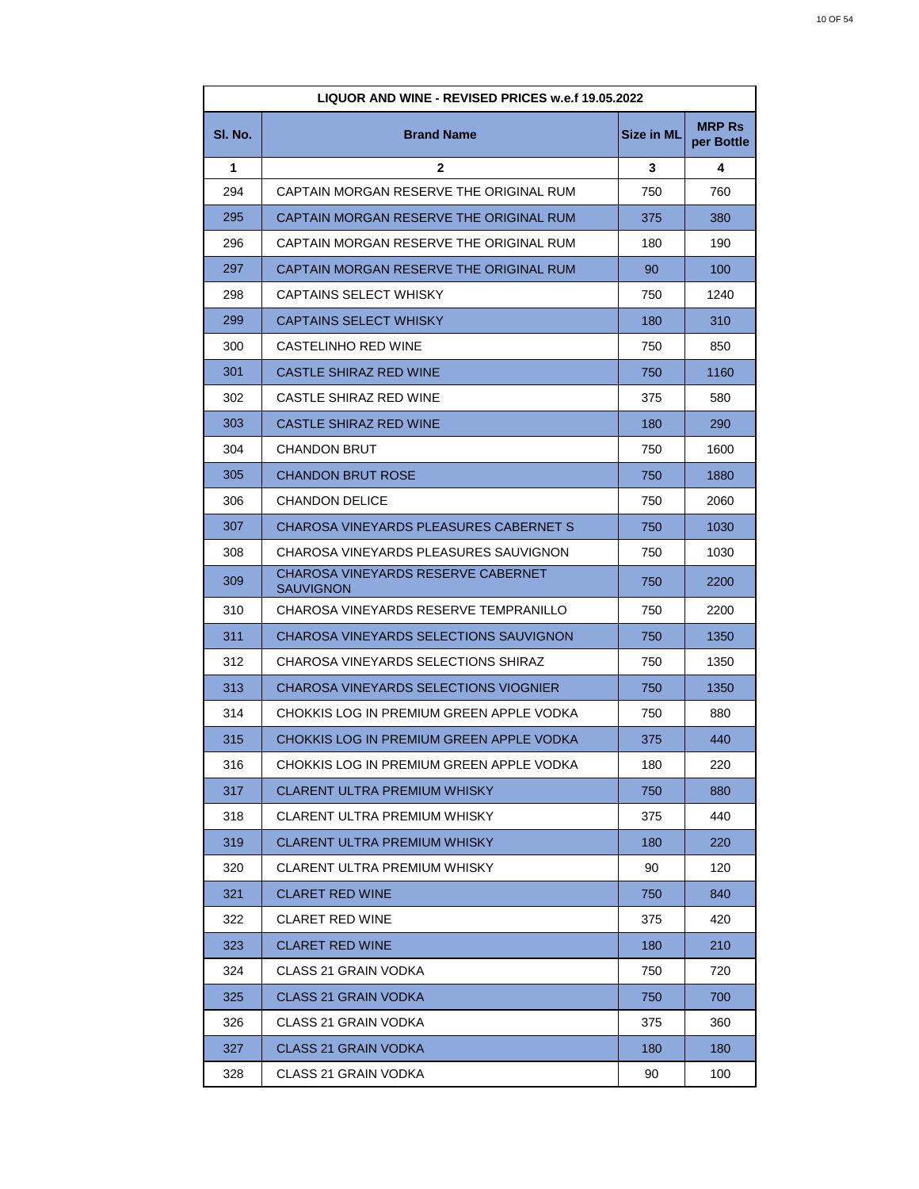| LIQUOR AND WINE - REVISED PRICES w.e.f 19.05.2022 |                                                        |            |                             |
|---------------------------------------------------|--------------------------------------------------------|------------|-----------------------------|
| SI. No.                                           | <b>Brand Name</b>                                      | Size in ML | <b>MRP Rs</b><br>per Bottle |
| 1                                                 | $\mathbf{2}$                                           | 3          | 4                           |
| 294                                               | CAPTAIN MORGAN RESERVE THE ORIGINAL RUM                | 750        | 760                         |
| 295                                               | CAPTAIN MORGAN RESERVE THE ORIGINAL RUM                | 375        | 380                         |
| 296                                               | CAPTAIN MORGAN RESERVE THE ORIGINAL RUM                | 180        | 190                         |
| 297                                               | CAPTAIN MORGAN RESERVE THE ORIGINAL RUM                | 90         | 100                         |
| 298                                               | CAPTAINS SELECT WHISKY                                 | 750        | 1240                        |
| 299                                               | CAPTAINS SELECT WHISKY                                 | 180        | 310                         |
| 300                                               | CASTELINHO RED WINE                                    | 750        | 850                         |
| 301                                               | CASTLE SHIRAZ RED WINE                                 | 750        | 1160                        |
| 302                                               | CASTLE SHIRAZ RED WINE                                 | 375        | 580                         |
| 303                                               | CASTLE SHIRAZ RED WINE                                 | 180        | 290                         |
| 304                                               | CHANDON BRUT                                           | 750        | 1600                        |
| 305                                               | CHANDON BRUT ROSE                                      | 750        | 1880                        |
| 306                                               | <b>CHANDON DELICE</b>                                  | 750        | 2060                        |
| 307                                               | CHAROSA VINEYARDS PLEASURES CABERNET S                 | 750        | 1030                        |
| 308                                               | CHAROSA VINEYARDS PLEASURES SAUVIGNON                  | 750        | 1030                        |
| 309                                               | CHAROSA VINEYARDS RESERVE CABERNET<br><b>SAUVIGNON</b> | 750        | 2200                        |
| 310                                               | CHAROSA VINEYARDS RESERVE TEMPRANILLO                  | 750        | 2200                        |
| 311                                               | CHAROSA VINEYARDS SELECTIONS SAUVIGNON                 | 750        | 1350                        |
| 312                                               | CHAROSA VINEYARDS SELECTIONS SHIRAZ                    | 750        | 1350                        |
| 313                                               | CHAROSA VINEYARDS SELECTIONS VIOGNIER                  | 750        | 1350                        |
| 314                                               | CHOKKIS LOG IN PREMIUM GREEN APPLE VODKA               | 750        | 880                         |
| 315                                               | CHOKKIS LOG IN PREMIUM GREEN APPLE VODKA               | 375        | 440                         |
| 316                                               | CHOKKIS LOG IN PREMIUM GREEN APPLE VODKA               | 180        | 220                         |
| 317                                               | CLARENT ULTRA PREMIUM WHISKY                           | 750        | 880                         |
| 318                                               | CLARENT ULTRA PREMIUM WHISKY                           | 375        | 440                         |
| 319                                               | CLARENT ULTRA PREMIUM WHISKY                           | 180        | 220                         |
| 320                                               | CLARENT ULTRA PREMIUM WHISKY                           | 90         | 120                         |
| 321                                               | <b>CLARET RED WINE</b>                                 | 750        | 840                         |
| 322                                               | <b>CLARET RED WINE</b>                                 | 375        | 420                         |
| 323                                               | CLARET RED WINE                                        | 180        | 210                         |
| 324                                               | CLASS 21 GRAIN VODKA                                   | 750        | 720                         |
| 325                                               | CLASS 21 GRAIN VODKA                                   | 750        | 700                         |
| 326                                               | CLASS 21 GRAIN VODKA                                   | 375        | 360                         |
| 327                                               | <b>CLASS 21 GRAIN VODKA</b>                            | 180        | 180                         |
| 328                                               | CLASS 21 GRAIN VODKA                                   | 90         | 100                         |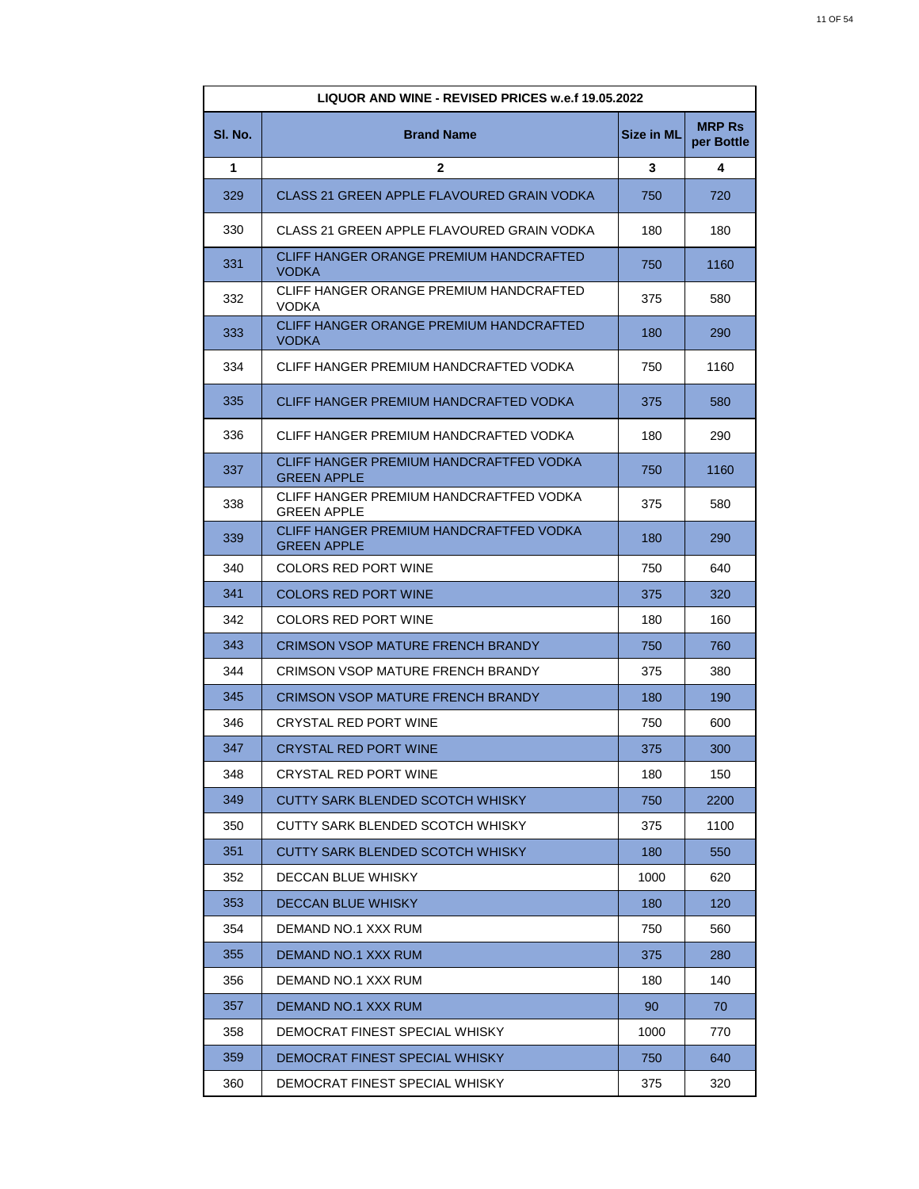| LIQUOR AND WINE - REVISED PRICES w.e.f 19.05.2022 |                                                               |                   |                             |
|---------------------------------------------------|---------------------------------------------------------------|-------------------|-----------------------------|
| SI. No.                                           | <b>Brand Name</b>                                             | <b>Size in ML</b> | <b>MRP Rs</b><br>per Bottle |
| 1                                                 | $\mathbf{2}$                                                  | 3                 | 4                           |
| 329                                               | CLASS 21 GREEN APPLE FLAVOURED GRAIN VODKA                    | 750               | 720                         |
| 330                                               | CLASS 21 GREEN APPLE FLAVOURED GRAIN VODKA                    | 180               | 180                         |
| 331                                               | CLIFF HANGER ORANGE PREMIUM HANDCRAFTED<br><b>VODKA</b>       | 750               | 1160                        |
| 332                                               | CLIFF HANGER ORANGE PREMIUM HANDCRAFTED<br><b>VODKA</b>       | 375               | 580                         |
| 333                                               | CLIFF HANGER ORANGE PREMIUM HANDCRAFTED<br><b>VODKA</b>       | 180               | 290                         |
| 334                                               | CLIFF HANGER PREMIUM HANDCRAFTED VODKA                        | 750               | 1160                        |
| 335                                               | CLIFF HANGER PREMIUM HANDCRAFTED VODKA                        | 375               | 580                         |
| 336                                               | CLIFF HANGER PREMIUM HANDCRAFTED VODKA                        | 180               | 290                         |
| 337                                               | CLIFF HANGER PREMIUM HANDCRAFTFED VODKA<br><b>GREEN APPLE</b> | 750               | 1160                        |
| 338                                               | CLIFF HANGER PREMIUM HANDCRAFTFED VODKA<br><b>GREEN APPLE</b> | 375               | 580                         |
| 339                                               | CLIFF HANGER PREMIUM HANDCRAFTFED VODKA<br><b>GREEN APPLE</b> | 180               | 290                         |
| 340                                               | COLORS RED PORT WINE                                          | 750               | 640                         |
| 341                                               | <b>COLORS RED PORT WINE</b>                                   | 375               | 320                         |
| 342                                               | COLORS RED PORT WINE                                          | 180               | 160                         |
| 343                                               | CRIMSON VSOP MATURE FRENCH BRANDY                             | 750               | 760                         |
| 344                                               | CRIMSON VSOP MATURE FRENCH BRANDY                             | 375               | 380                         |
| 345                                               | <b>CRIMSON VSOP MATURE FRENCH BRANDY</b>                      | 180               | 190                         |
| 346                                               | CRYSTAL RED PORT WINE                                         | 750               | 600                         |
| 347                                               | <b>CRYSTAL RED PORT WINE</b>                                  | 375               | 300                         |
| 348                                               | CRYSTAL RED PORT WINE                                         | 180               | 150                         |
| 349                                               | CUTTY SARK BLENDED SCOTCH WHISKY                              | 750               | 2200                        |
| 350                                               | CUTTY SARK BLENDED SCOTCH WHISKY                              | 375               | 1100                        |
| 351                                               | CUTTY SARK BLENDED SCOTCH WHISKY                              | 180               | 550                         |
| 352                                               | DECCAN BLUE WHISKY                                            | 1000              | 620                         |
| 353                                               | <b>DECCAN BLUE WHISKY</b>                                     | 180               | 120                         |
| 354                                               | DEMAND NO.1 XXX RUM                                           | 750               | 560                         |
| 355                                               | DEMAND NO.1 XXX RUM                                           | 375               | 280                         |
| 356                                               | DEMAND NO.1 XXX RUM                                           | 180               | 140                         |
| 357                                               | DEMAND NO.1 XXX RUM                                           | 90                | 70                          |
| 358                                               | DEMOCRAT FINEST SPECIAL WHISKY                                | 1000              | 770                         |
| 359                                               | DEMOCRAT FINEST SPECIAL WHISKY                                | 750               | 640                         |
| 360                                               | DEMOCRAT FINEST SPECIAL WHISKY                                | 375               | 320                         |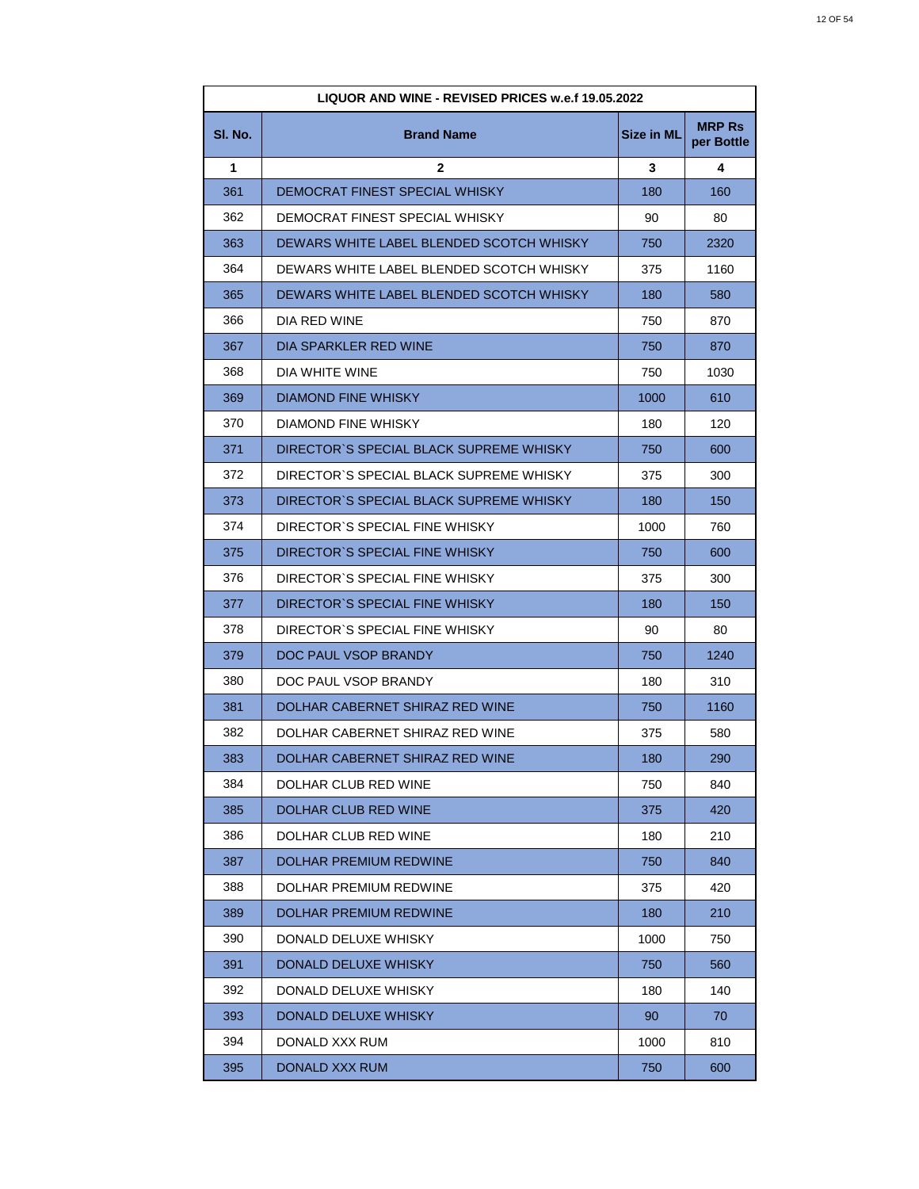| LIQUOR AND WINE - REVISED PRICES w.e.f 19.05.2022 |                                          |            |                             |
|---------------------------------------------------|------------------------------------------|------------|-----------------------------|
| SI. No.                                           | <b>Brand Name</b>                        | Size in ML | <b>MRP Rs</b><br>per Bottle |
| 1                                                 | $\mathbf{2}$                             | 3          | 4                           |
| 361                                               | DEMOCRAT FINEST SPECIAL WHISKY           | 180        | 160                         |
| 362                                               | DEMOCRAT FINEST SPECIAL WHISKY           | 90         | 80                          |
| 363                                               | DEWARS WHITE LABEL BLENDED SCOTCH WHISKY | 750        | 2320                        |
| 364                                               | DEWARS WHITE LABEL BLENDED SCOTCH WHISKY | 375        | 1160                        |
| 365                                               | DEWARS WHITE LABEL BLENDED SCOTCH WHISKY | 180        | 580                         |
| 366                                               | DIA RED WINE                             | 750        | 870                         |
| 367                                               | DIA SPARKLER RED WINE                    | 750        | 870                         |
| 368                                               | DIA WHITE WINE                           | 750        | 1030                        |
| 369                                               | <b>DIAMOND FINE WHISKY</b>               | 1000       | 610                         |
| 370                                               | DIAMOND FINE WHISKY                      | 180        | 120                         |
| 371                                               | DIRECTOR'S SPECIAL BLACK SUPREME WHISKY  | 750        | 600                         |
| 372                                               | DIRECTOR`S SPECIAL BLACK SUPREME WHISKY  | 375        | 300                         |
| 373                                               | DIRECTOR`S SPECIAL BLACK SUPREME WHISKY  | 180        | 150                         |
| 374                                               | DIRECTOR'S SPECIAL FINE WHISKY           | 1000       | 760                         |
| 375                                               | DIRECTOR'S SPECIAL FINE WHISKY           | 750        | 600                         |
| 376                                               | DIRECTOR'S SPECIAL FINE WHISKY           | 375        | 300                         |
| 377                                               | DIRECTOR'S SPECIAL FINE WHISKY           | 180        | 150                         |
| 378                                               | DIRECTOR'S SPECIAL FINE WHISKY           | 90         | 80                          |
| 379                                               | DOC PAUL VSOP BRANDY                     | 750        | 1240                        |
| 380                                               | DOC PAUL VSOP BRANDY                     | 180        | 310                         |
| 381                                               | DOLHAR CABERNET SHIRAZ RED WINE          | 750        | 1160                        |
| 382                                               | DOLHAR CABERNET SHIRAZ RED WINE          | 375        | 580                         |
| 383                                               | DOLHAR CABERNET SHIRAZ RED WINE          | 180        | 290                         |
| 384                                               | DOLHAR CLUB RED WINE                     | 750        | 840                         |
| 385                                               | <b>DOLHAR CLUB RED WINE</b>              | 375        | 420                         |
| 386                                               | DOLHAR CLUB RED WINE                     | 180        | 210                         |
| 387                                               | DOLHAR PREMIUM REDWINE                   | 750        | 840                         |
| 388                                               | DOLHAR PREMIUM REDWINE                   | 375        | 420                         |
| 389                                               | <b>DOLHAR PREMIUM REDWINE</b>            | 180        | 210                         |
| 390                                               | DONALD DELUXE WHISKY                     | 1000       | 750                         |
| 391                                               | DONALD DELUXE WHISKY                     | 750        | 560                         |
| 392                                               | DONALD DELUXE WHISKY                     | 180        | 140                         |
| 393                                               | DONALD DELUXE WHISKY                     | 90         | 70                          |
| 394                                               | DONALD XXX RUM                           | 1000       | 810                         |
| 395                                               | DONALD XXX RUM                           | 750        | 600                         |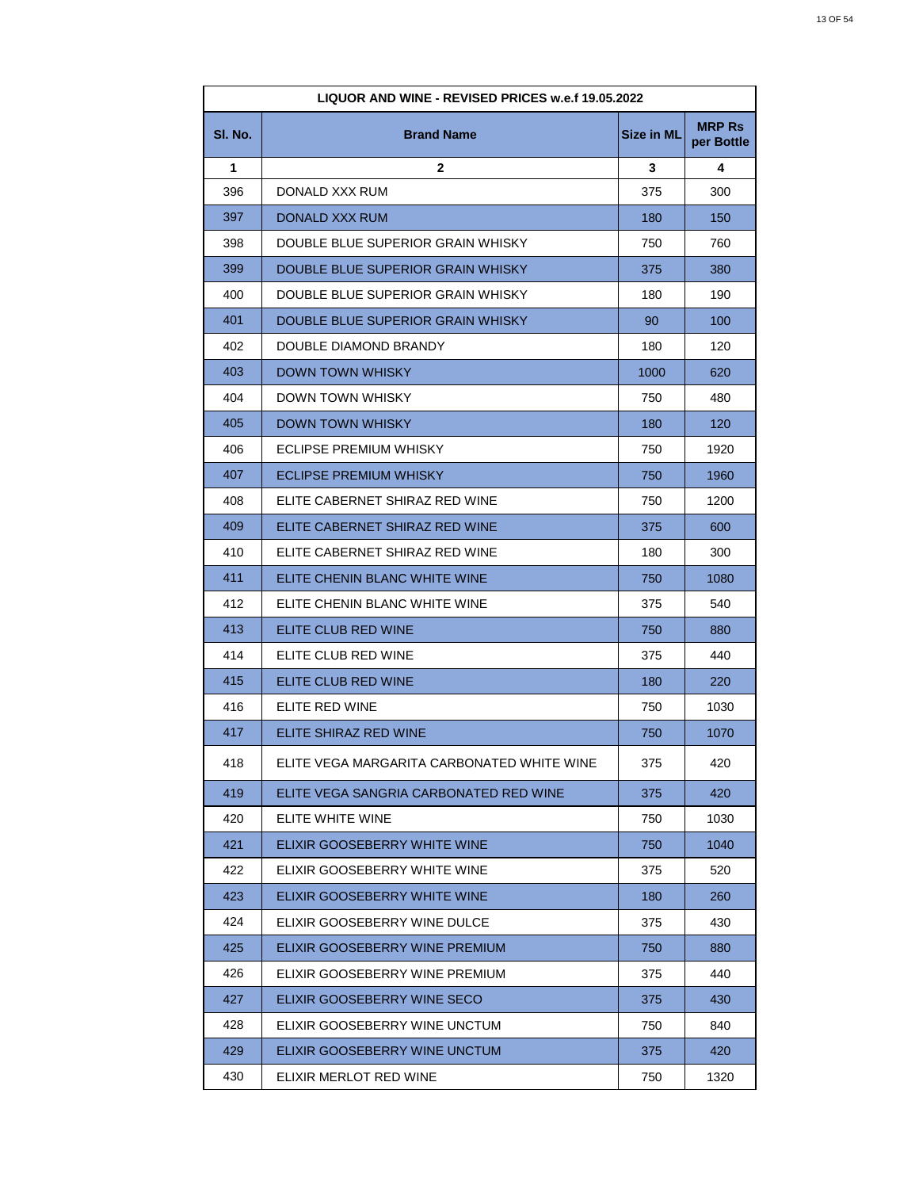| LIQUOR AND WINE - REVISED PRICES w.e.f 19.05.2022 |                                            |                   |                             |
|---------------------------------------------------|--------------------------------------------|-------------------|-----------------------------|
| SI. No.                                           | <b>Brand Name</b>                          | <b>Size in ML</b> | <b>MRP Rs</b><br>per Bottle |
| 1                                                 | $\mathbf{2}$                               | 3                 | 4                           |
| 396                                               | DONALD XXX RUM                             | 375               | 300                         |
| 397                                               | DONALD XXX RUM                             | 180               | 150                         |
| 398                                               | DOUBLE BLUE SUPERIOR GRAIN WHISKY          | 750               | 760                         |
| 399                                               | DOUBLE BLUE SUPERIOR GRAIN WHISKY          | 375               | 380                         |
| 400                                               | DOUBLE BLUE SUPERIOR GRAIN WHISKY          | 180               | 190                         |
| 401                                               | DOUBLE BLUE SUPERIOR GRAIN WHISKY          | 90                | 100                         |
| 402                                               | DOUBLE DIAMOND BRANDY                      | 180               | 120                         |
| 403                                               | <b>DOWN TOWN WHISKY</b>                    | 1000              | 620                         |
| 404                                               | DOWN TOWN WHISKY                           | 750               | 480                         |
| 405                                               | DOWN TOWN WHISKY                           | 180               | 120                         |
| 406                                               | ECLIPSE PREMIUM WHISKY                     | 750               | 1920                        |
| 407                                               | <b>ECLIPSE PREMIUM WHISKY</b>              | 750               | 1960                        |
| 408                                               | ELITE CABERNET SHIRAZ RED WINE             | 750               | 1200                        |
| 409                                               | ELITE CABERNET SHIRAZ RED WINE             | 375               | 600                         |
| 410                                               | ELITE CABERNET SHIRAZ RED WINE             | 180               | 300                         |
| 411                                               | ELITE CHENIN BLANC WHITE WINE              | 750               | 1080                        |
| 412                                               | ELITE CHENIN BLANC WHITE WINE              | 375               | 540                         |
| 413                                               | ELITE CLUB RED WINE                        | 750               | 880                         |
| 414                                               | ELITE CLUB RED WINE                        | 375               | 440                         |
| 415                                               | ELITE CLUB RED WINE                        | 180               | 220                         |
| 416                                               | ELITE RED WINE                             | 750               | 1030                        |
| 417                                               | ELITE SHIRAZ RED WINE                      | 750               | 1070                        |
| 418                                               | ELITE VEGA MARGARITA CARBONATED WHITE WINE | 375               | 420                         |
| 419                                               | ELITE VEGA SANGRIA CARBONATED RED WINE     | 375               | 420                         |
| 420                                               | ELITE WHITE WINE                           | 750               | 1030                        |
| 421                                               | ELIXIR GOOSEBERRY WHITE WINE               | 750               | 1040                        |
| 422                                               | ELIXIR GOOSEBERRY WHITE WINE               | 375               | 520                         |
| 423                                               | ELIXIR GOOSEBERRY WHITE WINE               | 180               | 260                         |
| 424                                               | ELIXIR GOOSEBERRY WINE DULCE               | 375               | 430                         |
| 425                                               | ELIXIR GOOSEBERRY WINE PREMIUM             | 750               | 880                         |
| 426                                               | ELIXIR GOOSEBERRY WINE PREMIUM             | 375               | 440                         |
| 427                                               | ELIXIR GOOSEBERRY WINE SECO                | 375               | 430                         |
| 428                                               | ELIXIR GOOSEBERRY WINE UNCTUM              | 750               | 840                         |
| 429                                               | ELIXIR GOOSEBERRY WINE UNCTUM              | 375               | 420                         |
| 430                                               | ELIXIR MERLOT RED WINE                     | 750               | 1320                        |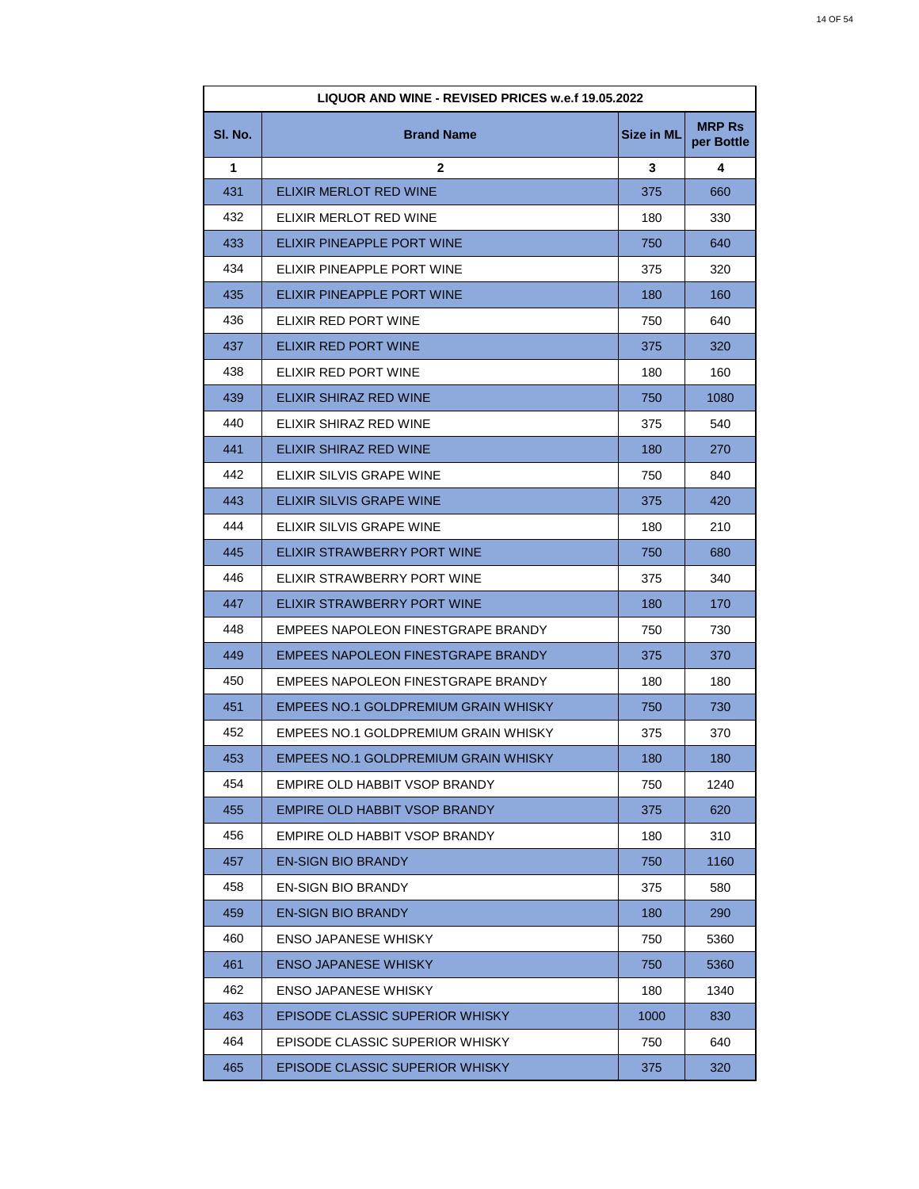|         | LIQUOR AND WINE - REVISED PRICES w.e.f 19.05.2022 |                   |                             |
|---------|---------------------------------------------------|-------------------|-----------------------------|
| SI. No. | <b>Brand Name</b>                                 | <b>Size in ML</b> | <b>MRP Rs</b><br>per Bottle |
| 1       | $\mathbf{2}$                                      | 3                 | 4                           |
| 431     | ELIXIR MERLOT RED WINE                            | 375               | 660                         |
| 432     | ELIXIR MERLOT RED WINE                            | 180               | 330                         |
| 433     | ELIXIR PINEAPPLE PORT WINE                        | 750               | 640                         |
| 434     | ELIXIR PINEAPPLE PORT WINE                        | 375               | 320                         |
| 435     | ELIXIR PINEAPPLE PORT WINE                        | 180               | 160                         |
| 436     | ELIXIR RED PORT WINE                              | 750               | 640                         |
| 437     | ELIXIR RED PORT WINE                              | 375               | 320                         |
| 438     | ELIXIR RED PORT WINE                              | 180               | 160                         |
| 439     | ELIXIR SHIRAZ RED WINE                            | 750               | 1080                        |
| 440     | ELIXIR SHIRAZ RED WINE                            | 375               | 540                         |
| 441     | ELIXIR SHIRAZ RED WINE                            | 180               | 270                         |
| 442     | ELIXIR SILVIS GRAPE WINE                          | 750               | 840                         |
| 443     | ELIXIR SILVIS GRAPE WINE                          | 375               | 420                         |
| 444     | ELIXIR SILVIS GRAPE WINE                          | 180               | 210                         |
| 445     | ELIXIR STRAWBERRY PORT WINE                       | 750               | 680                         |
| 446     | ELIXIR STRAWBERRY PORT WINE                       | 375               | 340                         |
| 447     | ELIXIR STRAWBERRY PORT WINE                       | 180               | 170                         |
| 448     | EMPEES NAPOLEON FINESTGRAPE BRANDY                | 750               | 730                         |
| 449     | <b>EMPEES NAPOLEON FINESTGRAPE BRANDY</b>         | 375               | 370                         |
| 450     | EMPEES NAPOLEON FINESTGRAPE BRANDY                | 180               | 180                         |
| 451     | EMPEES NO.1 GOLDPREMIUM GRAIN WHISKY              | 750               | 730                         |
| 452     | EMPEES NO.1 GOLDPREMIUM GRAIN WHISKY              | 375               | 370                         |
| 453     | EMPEES NO.1 GOLDPREMIUM GRAIN WHISKY              | 180               | 180                         |
| 454     | EMPIRE OLD HABBIT VSOP BRANDY                     | 750               | 1240                        |
| 455     | EMPIRE OLD HABBIT VSOP BRANDY                     | 375               | 620                         |
| 456     | EMPIRE OLD HABBIT VSOP BRANDY                     | 180               | 310                         |
| 457     | <b>EN-SIGN BIO BRANDY</b>                         | 750               | 1160                        |
| 458     | <b>EN-SIGN BIO BRANDY</b>                         | 375               | 580                         |
| 459     | <b>EN-SIGN BIO BRANDY</b>                         | 180               | 290                         |
| 460     | <b>ENSO JAPANESE WHISKY</b>                       | 750               | 5360                        |
| 461     | ENSO JAPANESE WHISKY                              | 750               | 5360                        |
| 462     | <b>ENSO JAPANESE WHISKY</b>                       | 180               | 1340                        |
| 463     | EPISODE CLASSIC SUPERIOR WHISKY                   | 1000              | 830                         |
| 464     | EPISODE CLASSIC SUPERIOR WHISKY                   | 750               | 640                         |
| 465     | EPISODE CLASSIC SUPERIOR WHISKY                   | 375               | 320                         |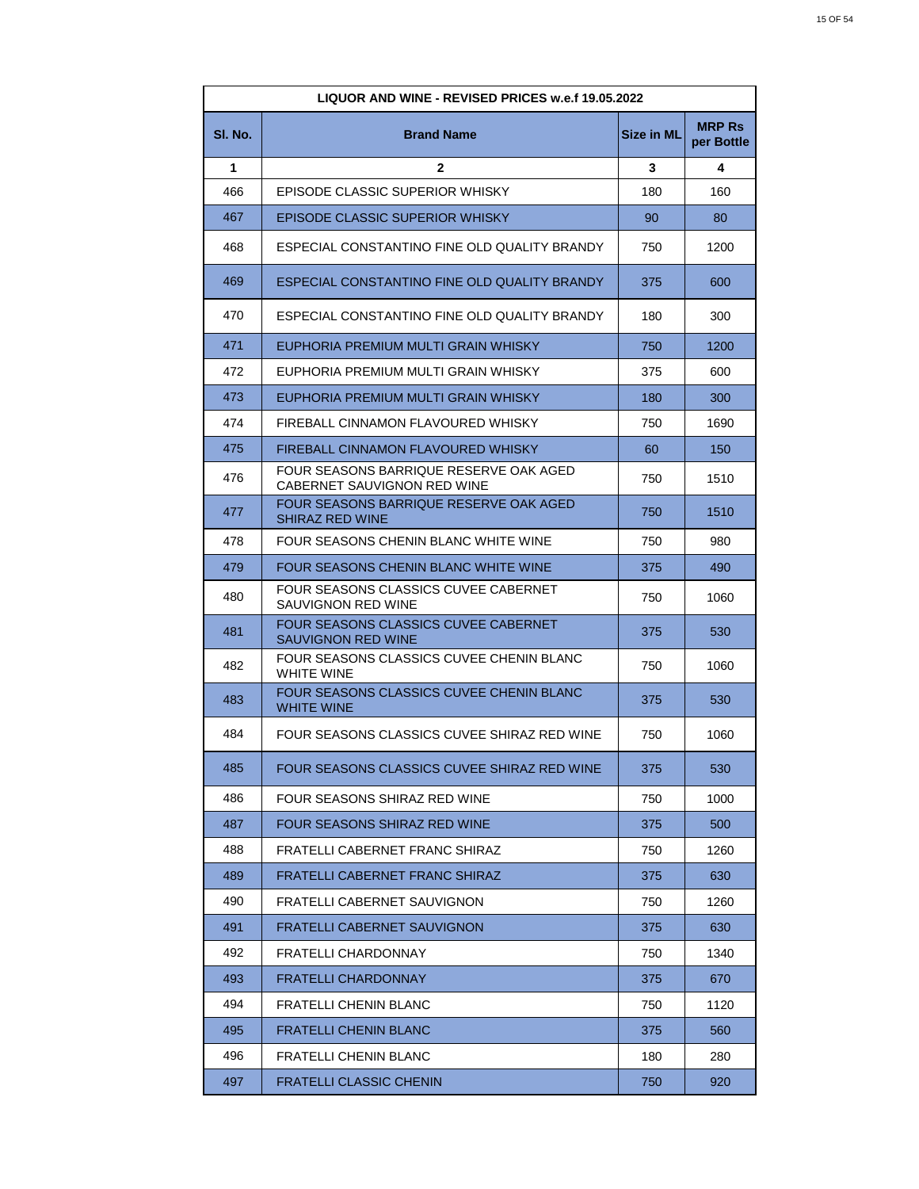| LIQUOR AND WINE - REVISED PRICES w.e.f 19.05.2022 |                                                                       |                   |                             |
|---------------------------------------------------|-----------------------------------------------------------------------|-------------------|-----------------------------|
| SI. No.                                           | <b>Brand Name</b>                                                     | <b>Size in ML</b> | <b>MRP Rs</b><br>per Bottle |
| 1                                                 | $\mathbf{2}$                                                          | 3                 | 4                           |
| 466                                               | EPISODE CLASSIC SUPERIOR WHISKY                                       | 180               | 160                         |
| 467                                               | EPISODE CLASSIC SUPERIOR WHISKY                                       | 90                | 80                          |
| 468                                               | ESPECIAL CONSTANTINO FINE OLD QUALITY BRANDY                          | 750               | 1200                        |
| 469                                               | ESPECIAL CONSTANTINO FINE OLD QUALITY BRANDY                          | 375               | 600                         |
| 470                                               | ESPECIAL CONSTANTINO FINE OLD QUALITY BRANDY                          | 180               | 300                         |
| 471                                               | EUPHORIA PREMIUM MULTI GRAIN WHISKY                                   | 750               | 1200                        |
| 472                                               | EUPHORIA PREMIUM MULTI GRAIN WHISKY                                   | 375               | 600                         |
| 473                                               | EUPHORIA PREMIUM MULTI GRAIN WHISKY                                   | 180               | 300                         |
| 474                                               | FIREBALL CINNAMON FLAVOURED WHISKY                                    | 750               | 1690                        |
| 475                                               | FIREBALL CINNAMON FLAVOURED WHISKY                                    | 60                | 150                         |
| 476                                               | FOUR SEASONS BARRIQUE RESERVE OAK AGED<br>CABERNET SAUVIGNON RED WINE | 750               | 1510                        |
| 477                                               | FOUR SEASONS BARRIQUE RESERVE OAK AGED<br>SHIRAZ RED WINE             | 750               | 1510                        |
| 478                                               | FOUR SEASONS CHENIN BLANC WHITE WINE                                  | 750               | 980                         |
| 479                                               | FOUR SEASONS CHENIN BLANC WHITE WINE                                  | 375               | 490                         |
| 480                                               | FOUR SEASONS CLASSICS CUVEE CABERNET<br>SAUVIGNON RED WINE            | 750               | 1060                        |
| 481                                               | FOUR SEASONS CLASSICS CUVEE CABERNET<br><b>SAUVIGNON RED WINE</b>     | 375               | 530                         |
| 482                                               | FOUR SEASONS CLASSICS CUVEE CHENIN BLANC<br><b>WHITE WINE</b>         | 750               | 1060                        |
| 483                                               | FOUR SEASONS CLASSICS CUVEE CHENIN BLANC<br><b>WHITE WINE</b>         | 375               | 530                         |
| 484                                               | FOUR SEASONS CLASSICS CUVEE SHIRAZ RED WINE                           | 750               | 1060                        |
| 485                                               | FOUR SEASONS CLASSICS CUVEE SHIRAZ RED WINE                           | 375               | 530                         |
| 486                                               | FOUR SEASONS SHIRAZ RED WINE                                          | 750               | 1000                        |
| 487                                               | FOUR SEASONS SHIRAZ RED WINE                                          | 375               | 500                         |
| 488                                               | <b>FRATELLI CABERNET FRANC SHIRAZ</b>                                 | 750               | 1260                        |
| 489                                               | <b>FRATELLI CABERNET FRANC SHIRAZ</b>                                 | 375               | 630                         |
| 490                                               | FRATELLI CABERNET SAUVIGNON                                           | 750               | 1260                        |
| 491                                               | FRATELLI CABERNET SAUVIGNON                                           | 375               | 630                         |
| 492                                               | FRATELLI CHARDONNAY                                                   | 750               | 1340                        |
| 493                                               | FRATELLI CHARDONNAY                                                   | 375               | 670                         |
| 494                                               | FRATELLI CHENIN BLANC                                                 | 750               | 1120                        |
| 495                                               | <b>FRATELLI CHENIN BLANC</b>                                          | 375               | 560                         |
| 496                                               | FRATELLI CHENIN BLANC                                                 | 180               | 280                         |
| 497                                               | <b>FRATELLI CLASSIC CHENIN</b>                                        | 750               | 920                         |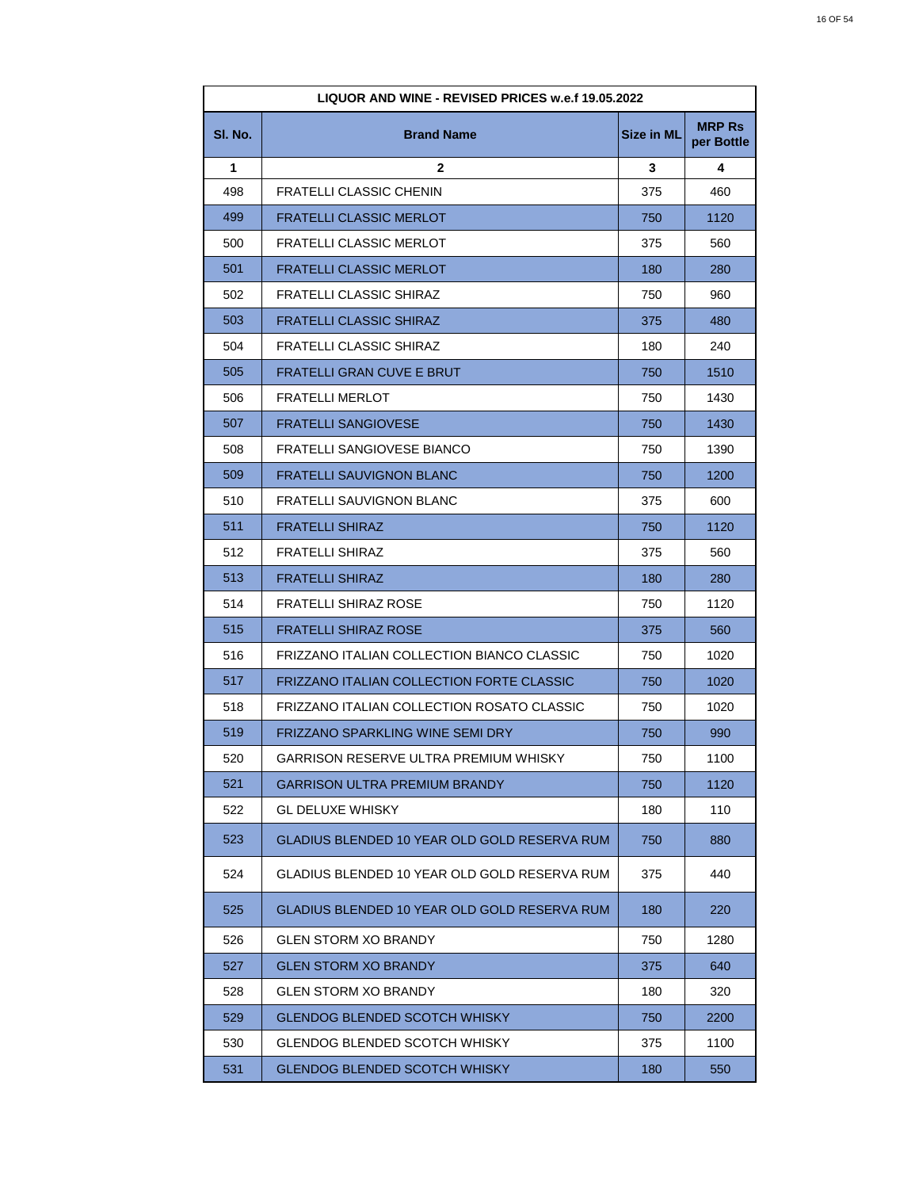| <b>LIQUOR AND WINE - REVISED PRICES w.e.f 19.05.2022</b> |                                              |                   |                             |
|----------------------------------------------------------|----------------------------------------------|-------------------|-----------------------------|
| SI. No.                                                  | <b>Brand Name</b>                            | <b>Size in ML</b> | <b>MRP Rs</b><br>per Bottle |
| 1                                                        | 2                                            | 3                 | 4                           |
| 498                                                      | <b>FRATELLI CLASSIC CHENIN</b>               | 375               | 460                         |
| 499                                                      | <b>FRATELLI CLASSIC MERLOT</b>               | 750               | 1120                        |
| 500                                                      | FRATELLI CLASSIC MERLOT                      | 375               | 560                         |
| 501                                                      | <b>FRATELLI CLASSIC MERLOT</b>               | 180               | 280                         |
| 502                                                      | <b>FRATELLI CLASSIC SHIRAZ</b>               | 750               | 960                         |
| 503                                                      | <b>FRATELLI CLASSIC SHIRAZ</b>               | 375               | 480                         |
| 504                                                      | FRATELLI CLASSIC SHIRAZ                      | 180               | 240                         |
| 505                                                      | FRATELLI GRAN CUVE E BRUT                    | 750               | 1510                        |
| 506                                                      | <b>FRATELLI MERLOT</b>                       | 750               | 1430                        |
| 507                                                      | <b>FRATELLI SANGIOVESE</b>                   | 750               | 1430                        |
| 508                                                      | FRATELLI SANGIOVESE BIANCO                   | 750               | 1390                        |
| 509                                                      | <b>FRATELLI SAUVIGNON BLANC</b>              | 750               | 1200                        |
| 510                                                      | FRATELLI SAUVIGNON BLANC                     | 375               | 600                         |
| 511                                                      | <b>FRATELLI SHIRAZ</b>                       | 750               | 1120                        |
| 512                                                      | <b>FRATELLI SHIRAZ</b>                       | 375               | 560                         |
| 513                                                      | <b>FRATELLI SHIRAZ</b>                       | 180               | 280                         |
| 514                                                      | FRATELLI SHIRAZ ROSE                         | 750               | 1120                        |
| 515                                                      | <b>FRATELLI SHIRAZ ROSE</b>                  | 375               | 560                         |
| 516                                                      | FRIZZANO ITALIAN COLLECTION BIANCO CLASSIC   | 750               | 1020                        |
| 517                                                      | FRIZZANO ITALIAN COLLECTION FORTE CLASSIC    | 750               | 1020                        |
| 518                                                      | FRIZZANO ITALIAN COLLECTION ROSATO CLASSIC   | 750               | 1020                        |
| 519                                                      | FRIZZANO SPARKLING WINE SEMI DRY             | 750               | 990                         |
| 520                                                      | GARRISON RESERVE ULTRA PREMIUM WHISKY        | 750               | 1100                        |
| 521                                                      | <b>GARRISON ULTRA PREMIUM BRANDY</b>         | 750               | 1120                        |
| 522                                                      | <b>GL DELUXE WHISKY</b>                      | 180               | 110                         |
| 523                                                      | GLADIUS BLENDED 10 YEAR OLD GOLD RESERVA RUM | 750               | 880                         |
| 524                                                      | GLADIUS BLENDED 10 YEAR OLD GOLD RESERVA RUM | 375               | 440                         |
| 525                                                      | GLADIUS BLENDED 10 YEAR OLD GOLD RESERVA RUM | 180               | 220                         |
| 526                                                      | <b>GLEN STORM XO BRANDY</b>                  | 750               | 1280                        |
| 527                                                      | <b>GLEN STORM XO BRANDY</b>                  | 375               | 640                         |
| 528                                                      | <b>GLEN STORM XO BRANDY</b>                  | 180               | 320                         |
| 529                                                      | <b>GLENDOG BLENDED SCOTCH WHISKY</b>         | 750               | 2200                        |
| 530                                                      | <b>GLENDOG BLENDED SCOTCH WHISKY</b>         | 375               | 1100                        |
| 531                                                      | <b>GLENDOG BLENDED SCOTCH WHISKY</b>         | 180               | 550                         |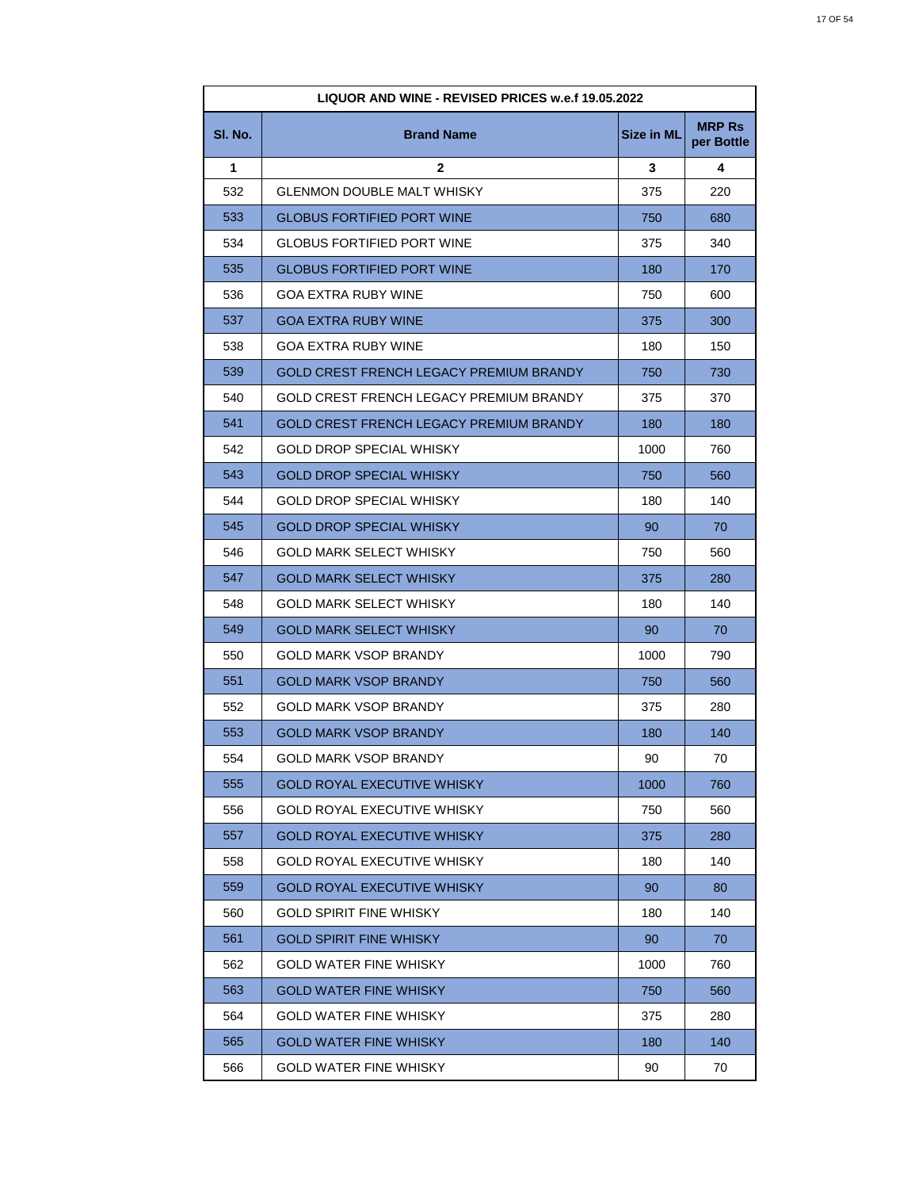| <b>LIQUOR AND WINE - REVISED PRICES w.e.f 19.05.2022</b> |                                         |                   |                             |
|----------------------------------------------------------|-----------------------------------------|-------------------|-----------------------------|
| SI. No.                                                  | <b>Brand Name</b>                       | <b>Size in ML</b> | <b>MRP Rs</b><br>per Bottle |
| 1                                                        | 2                                       | 3                 | 4                           |
| 532                                                      | GLENMON DOUBLE MALT WHISKY              | 375               | 220                         |
| 533                                                      | <b>GLOBUS FORTIFIED PORT WINE</b>       | 750               | 680                         |
| 534                                                      | <b>GLOBUS FORTIFIED PORT WINE</b>       | 375               | 340                         |
| 535                                                      | <b>GLOBUS FORTIFIED PORT WINE</b>       | 180               | 170                         |
| 536                                                      | <b>GOA EXTRA RUBY WINE</b>              | 750               | 600                         |
| 537                                                      | <b>GOA EXTRA RUBY WINE</b>              | 375               | 300                         |
| 538                                                      | <b>GOA EXTRA RUBY WINE</b>              | 180               | 150                         |
| 539                                                      | GOLD CREST FRENCH LEGACY PREMIUM BRANDY | 750               | 730                         |
| 540                                                      | GOLD CREST FRENCH LEGACY PREMIUM BRANDY | 375               | 370                         |
| 541                                                      | GOLD CREST FRENCH LEGACY PREMIUM BRANDY | 180               | 180                         |
| 542                                                      | GOLD DROP SPECIAL WHISKY                | 1000              | 760                         |
| 543                                                      | <b>GOLD DROP SPECIAL WHISKY</b>         | 750               | 560                         |
| 544                                                      | <b>GOLD DROP SPECIAL WHISKY</b>         | 180               | 140                         |
| 545                                                      | <b>GOLD DROP SPECIAL WHISKY</b>         | 90                | 70                          |
| 546                                                      | GOLD MARK SELECT WHISKY                 | 750               | 560                         |
| 547                                                      | <b>GOLD MARK SELECT WHISKY</b>          | 375               | 280                         |
| 548                                                      | <b>GOLD MARK SELECT WHISKY</b>          | 180               | 140                         |
| 549                                                      | <b>GOLD MARK SELECT WHISKY</b>          | 90                | 70                          |
| 550                                                      | <b>GOLD MARK VSOP BRANDY</b>            | 1000              | 790                         |
| 551                                                      | <b>GOLD MARK VSOP BRANDY</b>            | 750               | 560                         |
| 552                                                      | <b>GOLD MARK VSOP BRANDY</b>            | 375               | 280                         |
| 553                                                      | <b>GOLD MARK VSOP BRANDY</b>            | 180               | 140                         |
| 554                                                      | GOLD MARK VSOP BRANDY                   | 90                | 70                          |
| 555                                                      | <b>GOLD ROYAL EXECUTIVE WHISKY</b>      | 1000              | 760                         |
| 556                                                      | <b>GOLD ROYAL EXECUTIVE WHISKY</b>      | 750               | 560                         |
| 557                                                      | <b>GOLD ROYAL EXECUTIVE WHISKY</b>      | 375               | 280                         |
| 558                                                      | <b>GOLD ROYAL EXECUTIVE WHISKY</b>      | 180               | 140                         |
| 559                                                      | <b>GOLD ROYAL EXECUTIVE WHISKY</b>      | 90                | 80                          |
| 560                                                      | <b>GOLD SPIRIT FINE WHISKY</b>          | 180               | 140                         |
| 561                                                      | <b>GOLD SPIRIT FINE WHISKY</b>          | 90                | 70                          |
| 562                                                      | <b>GOLD WATER FINE WHISKY</b>           | 1000              | 760                         |
| 563                                                      | <b>GOLD WATER FINE WHISKY</b>           | 750               | 560                         |
| 564                                                      | <b>GOLD WATER FINE WHISKY</b>           | 375               | 280                         |
| 565                                                      | <b>GOLD WATER FINE WHISKY</b>           | 180               | 140                         |
| 566                                                      | <b>GOLD WATER FINE WHISKY</b>           | 90                | 70                          |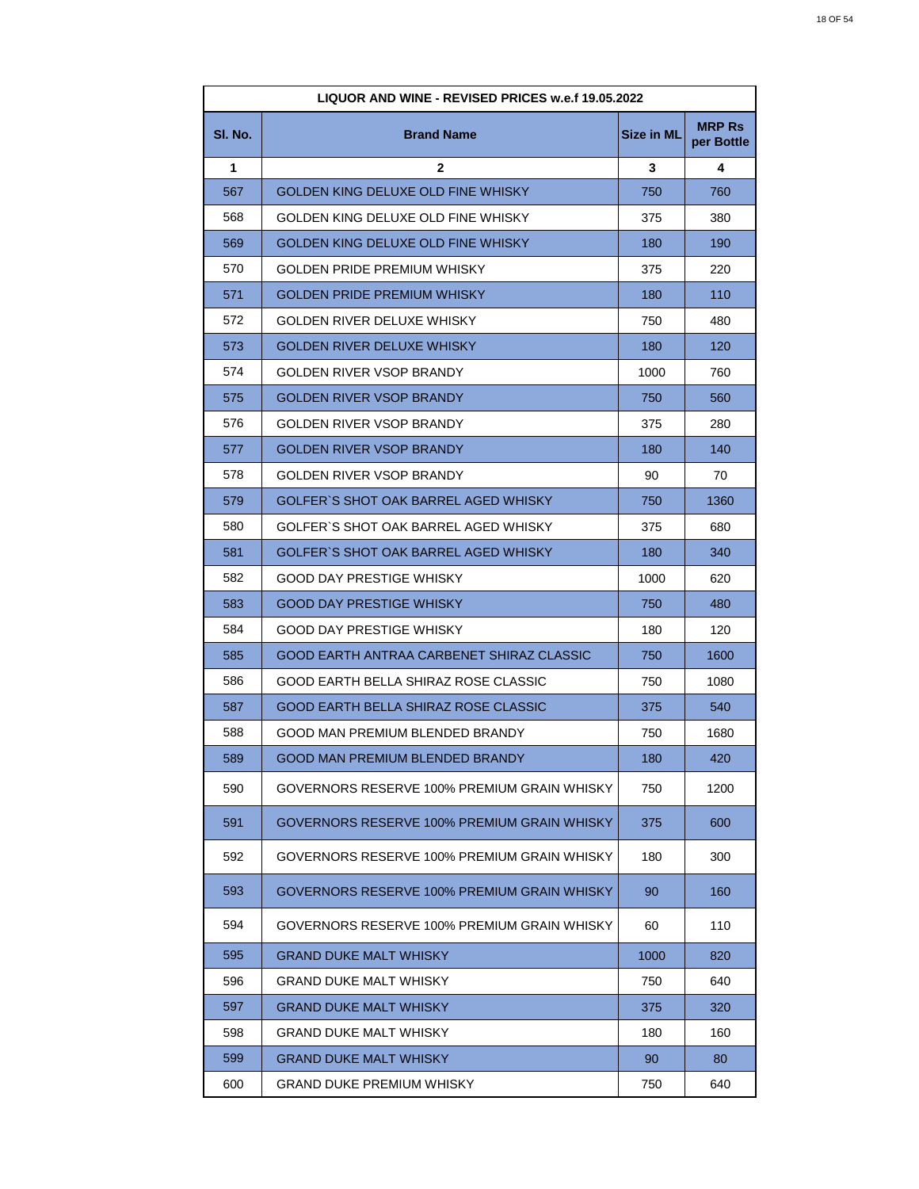| <b>LIQUOR AND WINE - REVISED PRICES w.e.f 19.05.2022</b> |                                             |                   |                             |
|----------------------------------------------------------|---------------------------------------------|-------------------|-----------------------------|
| SI. No.                                                  | <b>Brand Name</b>                           | <b>Size in ML</b> | <b>MRP Rs</b><br>per Bottle |
| 1                                                        | 2                                           | 3                 | 4                           |
| 567                                                      | GOLDEN KING DELUXE OLD FINE WHISKY          | 750               | 760                         |
| 568                                                      | GOLDEN KING DELUXE OLD FINE WHISKY          | 375               | 380                         |
| 569                                                      | GOLDEN KING DELUXE OLD FINE WHISKY          | 180               | 190                         |
| 570                                                      | <b>GOLDEN PRIDE PREMIUM WHISKY</b>          | 375               | 220                         |
| 571                                                      | GOLDEN PRIDE PREMIUM WHISKY                 | 180               | 110                         |
| 572                                                      | GOLDEN RIVER DELUXE WHISKY                  | 750               | 480                         |
| 573                                                      | GOLDEN RIVER DELUXE WHISKY                  | 180               | 120                         |
| 574                                                      | GOLDEN RIVER VSOP BRANDY                    | 1000              | 760                         |
| 575                                                      | GOLDEN RIVER VSOP BRANDY                    | 750               | 560                         |
| 576                                                      | GOLDEN RIVER VSOP BRANDY                    | 375               | 280                         |
| 577                                                      | GOLDEN RIVER VSOP BRANDY                    | 180               | 140                         |
| 578                                                      | GOLDEN RIVER VSOP BRANDY                    | 90                | 70                          |
| 579                                                      | GOLFER`S SHOT OAK BARREL AGED WHISKY        | 750               | 1360                        |
| 580                                                      | GOLFER`S SHOT OAK BARREL AGED WHISKY        | 375               | 680                         |
| 581                                                      | GOLFER`S SHOT OAK BARREL AGED WHISKY        | 180               | 340                         |
| 582                                                      | GOOD DAY PRESTIGE WHISKY                    | 1000              | 620                         |
| 583                                                      | <b>GOOD DAY PRESTIGE WHISKY</b>             | 750               | 480                         |
| 584                                                      | GOOD DAY PRESTIGE WHISKY                    | 180               | 120                         |
| 585                                                      | GOOD EARTH ANTRAA CARBENET SHIRAZ CLASSIC   | 750               | 1600                        |
| 586                                                      | GOOD EARTH BELLA SHIRAZ ROSE CLASSIC        | 750               | 1080                        |
| 587                                                      | GOOD EARTH BELLA SHIRAZ ROSE CLASSIC        | 375               | 540                         |
| 588                                                      | GOOD MAN PREMIUM BLENDED BRANDY             | 750               | 1680                        |
| 589                                                      | GOOD MAN PREMIUM BLENDED BRANDY             | 180               | 420                         |
| 590                                                      | GOVERNORS RESERVE 100% PREMIUM GRAIN WHISKY | 750               | 1200                        |
| 591                                                      | GOVERNORS RESERVE 100% PREMIUM GRAIN WHISKY | 375               | 600                         |
| 592                                                      | GOVERNORS RESERVE 100% PREMIUM GRAIN WHISKY | 180               | 300                         |
| 593                                                      | GOVERNORS RESERVE 100% PREMIUM GRAIN WHISKY | 90                | 160                         |
| 594                                                      | GOVERNORS RESERVE 100% PREMIUM GRAIN WHISKY | 60                | 110                         |
| 595                                                      | GRAND DUKE MALT WHISKY                      | 1000              | 820                         |
| 596                                                      | <b>GRAND DUKE MALT WHISKY</b>               | 750               | 640                         |
| 597                                                      | GRAND DUKE MALT WHISKY                      | 375               | 320                         |
| 598                                                      | <b>GRAND DUKE MALT WHISKY</b>               | 180               | 160                         |
| 599                                                      | GRAND DUKE MALT WHISKY                      | 90                | 80                          |
| 600                                                      | <b>GRAND DUKE PREMIUM WHISKY</b>            | 750               | 640                         |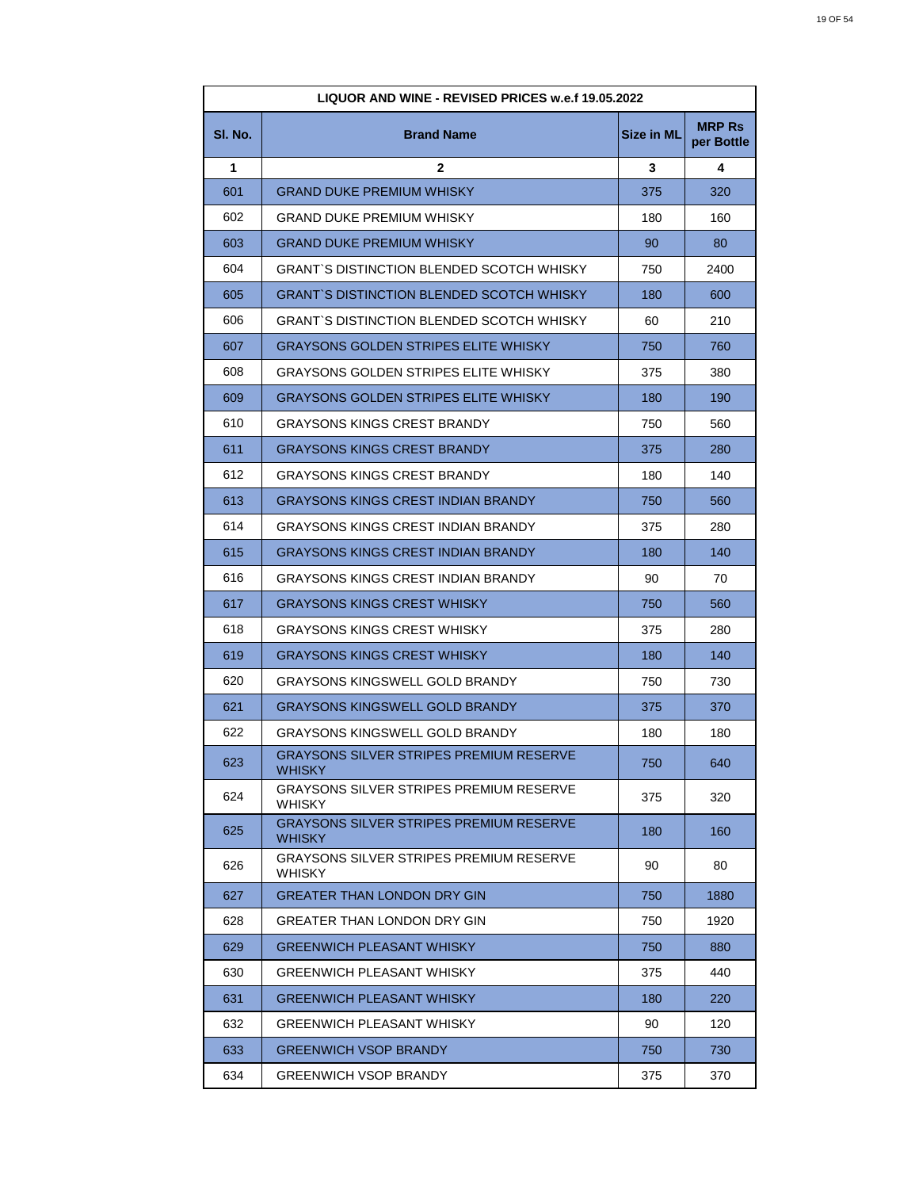| LIQUOR AND WINE - REVISED PRICES w.e.f 19.05.2022 |                                                                 |                   |                             |
|---------------------------------------------------|-----------------------------------------------------------------|-------------------|-----------------------------|
| SI. No.                                           | <b>Brand Name</b>                                               | <b>Size in ML</b> | <b>MRP Rs</b><br>per Bottle |
| 1                                                 | 2                                                               | 3                 | 4                           |
| 601                                               | <b>GRAND DUKE PREMIUM WHISKY</b>                                | 375               | 320                         |
| 602                                               | <b>GRAND DUKE PREMIUM WHISKY</b>                                | 180               | 160                         |
| 603                                               | <b>GRAND DUKE PREMIUM WHISKY</b>                                | 90                | 80                          |
| 604                                               | <b>GRANT'S DISTINCTION BLENDED SCOTCH WHISKY</b>                | 750               | 2400                        |
| 605                                               | <b>GRANT'S DISTINCTION BLENDED SCOTCH WHISKY</b>                | 180               | 600                         |
| 606                                               | GRANT`S DISTINCTION BLENDED SCOTCH WHISKY                       | 60                | 210                         |
| 607                                               | <b>GRAYSONS GOLDEN STRIPES ELITE WHISKY</b>                     | 750               | 760                         |
| 608                                               | GRAYSONS GOLDEN STRIPES ELITE WHISKY                            | 375               | 380                         |
| 609                                               | <b>GRAYSONS GOLDEN STRIPES ELITE WHISKY</b>                     | 180               | 190                         |
| 610                                               | <b>GRAYSONS KINGS CREST BRANDY</b>                              | 750               | 560                         |
| 611                                               | <b>GRAYSONS KINGS CREST BRANDY</b>                              | 375               | 280                         |
| 612                                               | <b>GRAYSONS KINGS CREST BRANDY</b>                              | 180               | 140                         |
| 613                                               | <b>GRAYSONS KINGS CREST INDIAN BRANDY</b>                       | 750               | 560                         |
| 614                                               | <b>GRAYSONS KINGS CREST INDIAN BRANDY</b>                       | 375               | 280                         |
| 615                                               | <b>GRAYSONS KINGS CREST INDIAN BRANDY</b>                       | 180               | 140                         |
| 616                                               | <b>GRAYSONS KINGS CREST INDIAN BRANDY</b>                       | 90                | 70                          |
| 617                                               | <b>GRAYSONS KINGS CREST WHISKY</b>                              | 750               | 560                         |
| 618                                               | <b>GRAYSONS KINGS CREST WHISKY</b>                              | 375               | 280                         |
| 619                                               | GRAYSONS KINGS CREST WHISKY                                     | 180               | 140                         |
| 620                                               | <b>GRAYSONS KINGSWELL GOLD BRANDY</b>                           | 750               | 730                         |
| 621                                               | <b>GRAYSONS KINGSWELL GOLD BRANDY</b>                           | 375               | 370                         |
| 622                                               | <b>GRAYSONS KINGSWELL GOLD BRANDY</b>                           | 180               | 180                         |
| 623                                               | <b>GRAYSONS SILVER STRIPES PREMIUM RESERVE</b><br><b>WHISKY</b> | 750               | 640                         |
| 624                                               | GRAYSONS SILVER STRIPES PREMIUM RESERVE<br><b>WHISKY</b>        | 375               | 320                         |
| 625                                               | <b>GRAYSONS SILVER STRIPES PREMIUM RESERVE</b><br><b>WHISKY</b> | 180               | 160                         |
| 626                                               | <b>GRAYSONS SILVER STRIPES PREMIUM RESERVE</b><br><b>WHISKY</b> | 90                | 80                          |
| 627                                               | <b>GREATER THAN LONDON DRY GIN</b>                              | 750               | 1880                        |
| 628                                               | GREATER THAN LONDON DRY GIN                                     | 750               | 1920                        |
| 629                                               | <b>GREENWICH PLEASANT WHISKY</b>                                | 750               | 880                         |
| 630                                               | <b>GREENWICH PLEASANT WHISKY</b>                                | 375               | 440                         |
| 631                                               | <b>GREENWICH PLEASANT WHISKY</b>                                | 180               | 220                         |
| 632                                               | <b>GREENWICH PLEASANT WHISKY</b>                                | 90                | 120                         |
| 633                                               | <b>GREENWICH VSOP BRANDY</b>                                    | 750               | 730                         |
| 634                                               | <b>GREENWICH VSOP BRANDY</b>                                    | 375               | 370                         |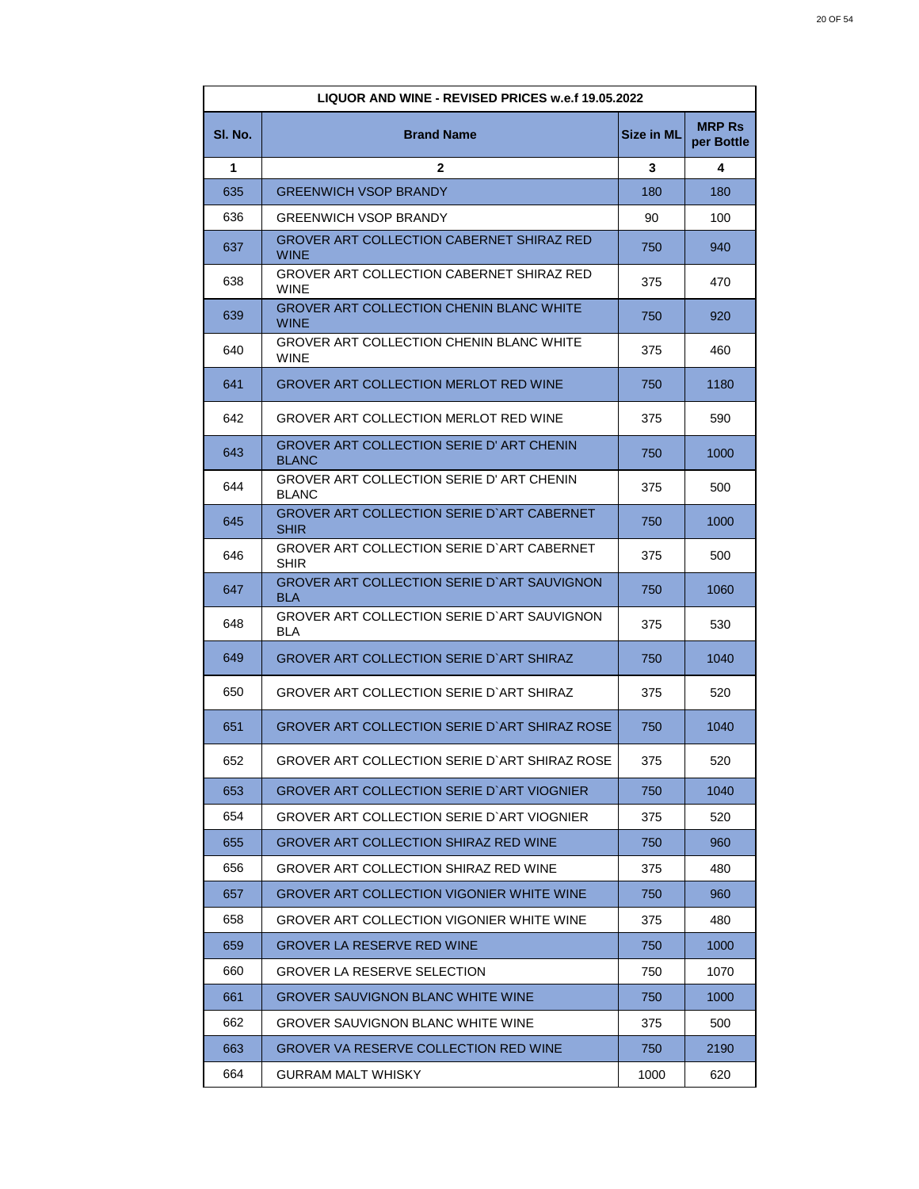| LIQUOR AND WINE - REVISED PRICES w.e.f 19.05.2022 |                                                                  |                   |                             |
|---------------------------------------------------|------------------------------------------------------------------|-------------------|-----------------------------|
| SI. No.                                           | <b>Brand Name</b>                                                | <b>Size in ML</b> | <b>MRP Rs</b><br>per Bottle |
| 1                                                 | $\mathbf{2}$                                                     | 3                 | 4                           |
| 635                                               | <b>GREENWICH VSOP BRANDY</b>                                     | 180               | 180                         |
| 636                                               | <b>GREENWICH VSOP BRANDY</b>                                     | 90                | 100                         |
| 637                                               | GROVER ART COLLECTION CABERNET SHIRAZ RED<br><b>WINE</b>         | 750               | 940                         |
| 638                                               | GROVER ART COLLECTION CABERNET SHIRAZ RED<br><b>WINE</b>         | 375               | 470                         |
| 639                                               | <b>GROVER ART COLLECTION CHENIN BLANC WHITE</b><br><b>WINE</b>   | 750               | 920                         |
| 640                                               | GROVER ART COLLECTION CHENIN BLANC WHITE<br><b>WINE</b>          | 375               | 460                         |
| 641                                               | <b>GROVER ART COLLECTION MERLOT RED WINE</b>                     | 750               | 1180                        |
| 642                                               | GROVER ART COLLECTION MERLOT RED WINE                            | 375               | 590                         |
| 643                                               | <b>GROVER ART COLLECTION SERIE D' ART CHENIN</b><br><b>BLANC</b> | 750               | 1000                        |
| 644                                               | GROVER ART COLLECTION SERIE D' ART CHENIN<br><b>BLANC</b>        | 375               | 500                         |
| 645                                               | GROVER ART COLLECTION SERIE D'ART CABERNET<br><b>SHIR</b>        | 750               | 1000                        |
| 646                                               | GROVER ART COLLECTION SERIE D'ART CABERNET<br>SHIR               | 375               | 500                         |
| 647                                               | GROVER ART COLLECTION SERIE D'ART SAUVIGNON<br><b>BLA</b>        | 750               | 1060                        |
| 648                                               | GROVER ART COLLECTION SERIE D`ART SAUVIGNON<br>BLA               | 375               | 530                         |
| 649                                               | GROVER ART COLLECTION SERIE D`ART SHIRAZ                         | 750               | 1040                        |
| 650                                               | GROVER ART COLLECTION SERIE D`ART SHIRAZ                         | 375               | 520                         |
| 651                                               | GROVER ART COLLECTION SERIE D'ART SHIRAZ ROSE                    | 750               | 1040                        |
| 652                                               | GROVER ART COLLECTION SERIE D'ART SHIRAZ ROSE                    | 375               | 520                         |
| 653                                               | <b>GROVER ART COLLECTION SERIE D'ART VIOGNIER</b>                | 750               | 1040                        |
| 654                                               | GROVER ART COLLECTION SERIE D`ART VIOGNIER                       | 375               | 520                         |
| 655                                               | GROVER ART COLLECTION SHIRAZ RED WINE                            | 750               | 960                         |
| 656                                               | GROVER ART COLLECTION SHIRAZ RED WINE                            | 375               | 480                         |
| 657                                               | GROVER ART COLLECTION VIGONIER WHITE WINE                        | 750               | 960                         |
| 658                                               | GROVER ART COLLECTION VIGONIER WHITE WINE                        | 375               | 480                         |
| 659                                               | <b>GROVER LA RESERVE RED WINE</b>                                | 750               | 1000                        |
| 660                                               | <b>GROVER LA RESERVE SELECTION</b>                               | 750               | 1070                        |
| 661                                               | <b>GROVER SAUVIGNON BLANC WHITE WINE</b>                         | 750               | 1000                        |
| 662                                               | GROVER SAUVIGNON BLANC WHITE WINE                                | 375               | 500                         |
| 663                                               | GROVER VA RESERVE COLLECTION RED WINE                            | 750               | 2190                        |
| 664                                               | <b>GURRAM MALT WHISKY</b>                                        | 1000              | 620                         |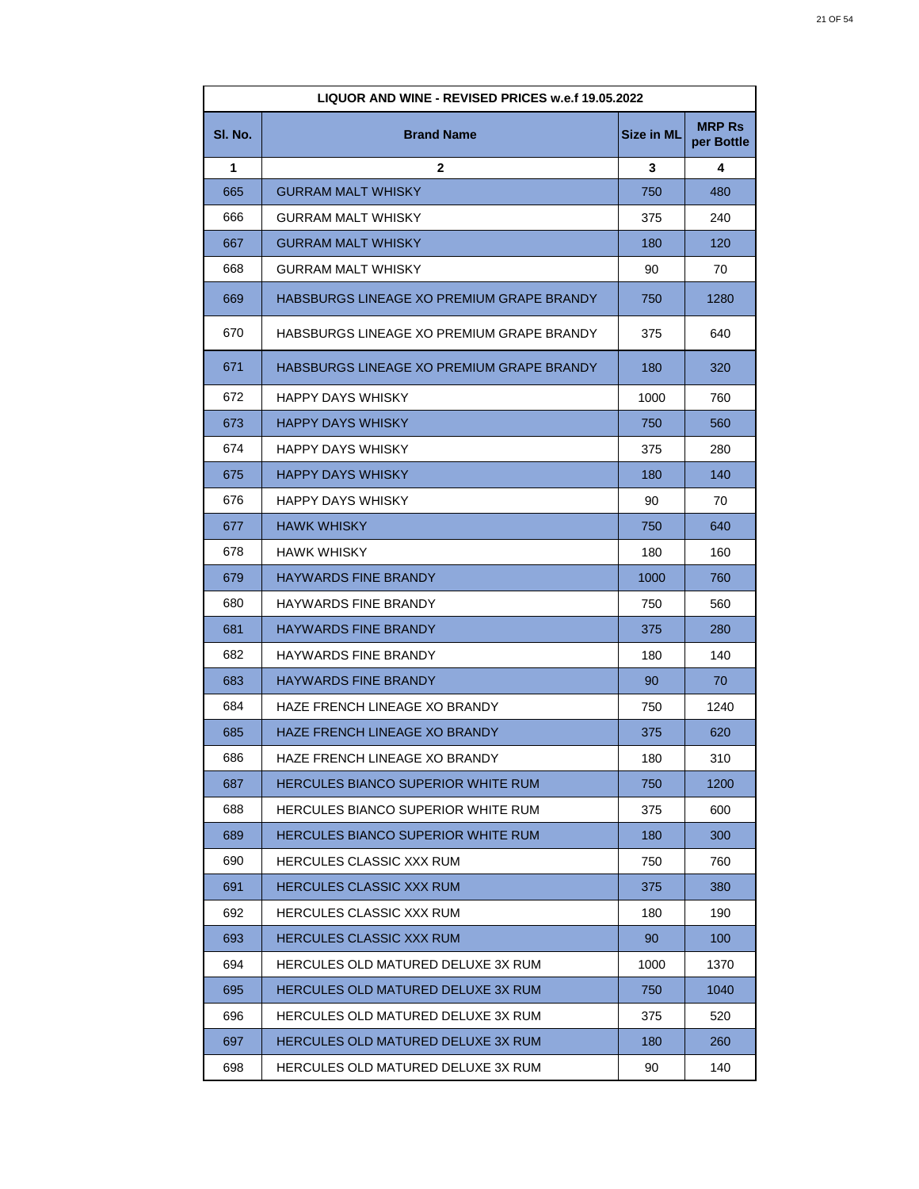| LIQUOR AND WINE - REVISED PRICES w.e.f 19.05.2022 |                                           |                   |                             |
|---------------------------------------------------|-------------------------------------------|-------------------|-----------------------------|
| SI. No.                                           | <b>Brand Name</b>                         | <b>Size in ML</b> | <b>MRP Rs</b><br>per Bottle |
| 1                                                 | $\mathbf{2}$                              | 3                 | 4                           |
| 665                                               | <b>GURRAM MALT WHISKY</b>                 | 750               | 480                         |
| 666                                               | <b>GURRAM MALT WHISKY</b>                 | 375               | 240                         |
| 667                                               | <b>GURRAM MALT WHISKY</b>                 | 180               | 120                         |
| 668                                               | GURRAM MALT WHISKY                        | 90                | 70                          |
| 669                                               | HABSBURGS LINEAGE XO PREMIUM GRAPE BRANDY | 750               | 1280                        |
| 670                                               | HABSBURGS LINEAGE XO PREMIUM GRAPE BRANDY | 375               | 640                         |
| 671                                               | HABSBURGS LINEAGE XO PREMIUM GRAPE BRANDY | 180               | 320                         |
| 672                                               | HAPPY DAYS WHISKY                         | 1000              | 760                         |
| 673                                               | <b>HAPPY DAYS WHISKY</b>                  | 750               | 560                         |
| 674                                               | HAPPY DAYS WHISKY                         | 375               | 280                         |
| 675                                               | <b>HAPPY DAYS WHISKY</b>                  | 180               | 140                         |
| 676                                               | HAPPY DAYS WHISKY                         | 90                | 70                          |
| 677                                               | <b>HAWK WHISKY</b>                        | 750               | 640                         |
| 678                                               | <b>HAWK WHISKY</b>                        | 180               | 160                         |
| 679                                               | <b>HAYWARDS FINE BRANDY</b>               | 1000              | 760                         |
| 680                                               | HAYWARDS FINE BRANDY                      | 750               | 560                         |
| 681                                               | <b>HAYWARDS FINE BRANDY</b>               | 375               | 280                         |
| 682                                               | <b>HAYWARDS FINE BRANDY</b>               | 180               | 140                         |
| 683                                               | <b>HAYWARDS FINE BRANDY</b>               | 90                | 70                          |
| 684                                               | HAZE FRENCH LINEAGE XO BRANDY             | 750               | 1240                        |
| 685                                               | HAZE FRENCH LINEAGE XO BRANDY             | 375               | 620                         |
| 686                                               | HAZE FRENCH LINEAGE XO BRANDY             | 180               | 310                         |
| 687                                               | HERCULES BIANCO SUPERIOR WHITE RUM        | 750               | 1200                        |
| 688                                               | HERCULES BIANCO SUPERIOR WHITE RUM        | 375               | 600                         |
| 689                                               | HERCULES BIANCO SUPERIOR WHITE RUM        | 180               | 300                         |
| 690                                               | HERCULES CLASSIC XXX RUM                  | 750               | 760                         |
| 691                                               | <b>HERCULES CLASSIC XXX RUM</b>           | 375               | 380                         |
| 692                                               | <b>HERCULES CLASSIC XXX RUM</b>           | 180               | 190                         |
| 693                                               | <b>HERCULES CLASSIC XXX RUM</b>           | 90                | 100                         |
| 694                                               | HERCULES OLD MATURED DELUXE 3X RUM        | 1000              | 1370                        |
| 695                                               | HERCULES OLD MATURED DELUXE 3X RUM        | 750               | 1040                        |
| 696                                               | HERCULES OLD MATURED DELUXE 3X RUM        | 375               | 520                         |
| 697                                               | HERCULES OLD MATURED DELUXE 3X RUM        | 180               | 260                         |
| 698                                               | HERCULES OLD MATURED DELUXE 3X RUM        | 90                | 140                         |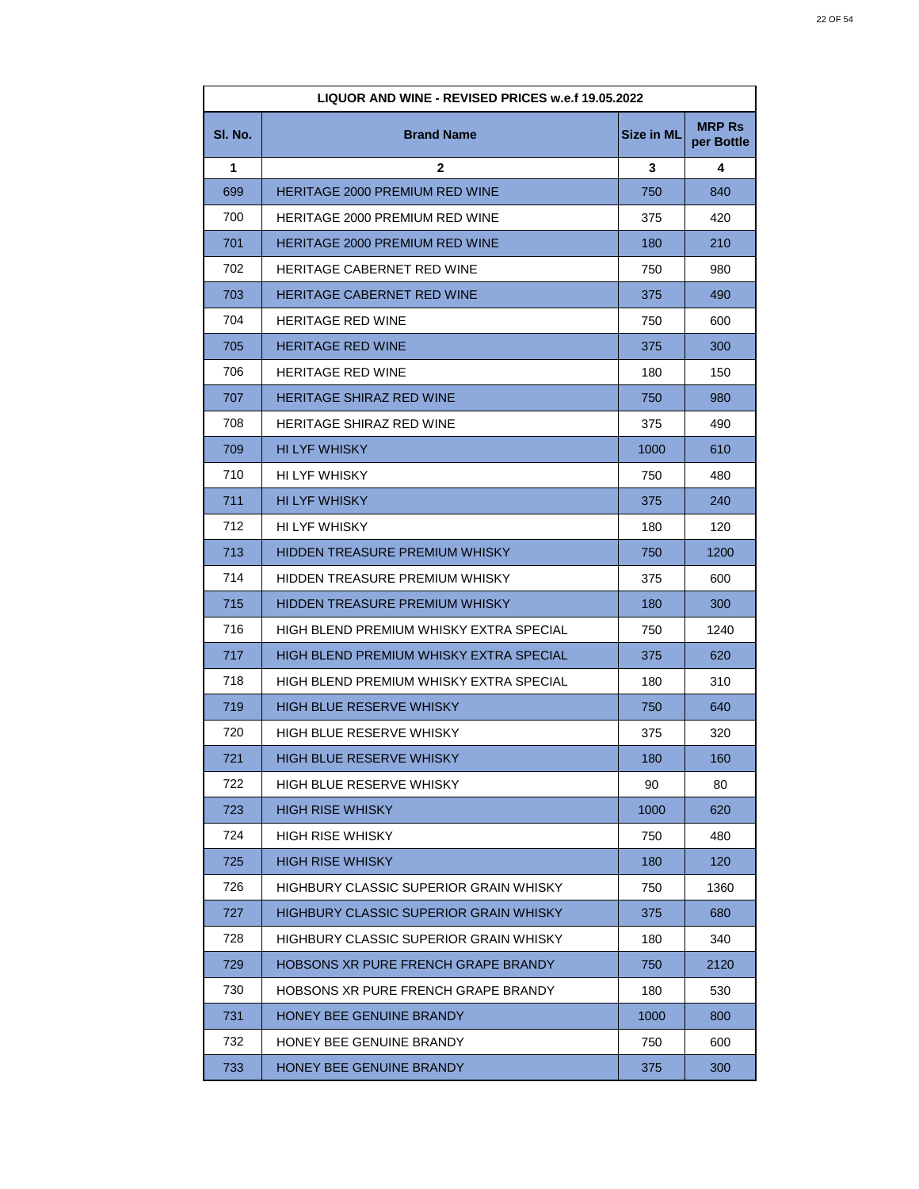| LIQUOR AND WINE - REVISED PRICES w.e.f 19.05.2022 |                                         |                   |                             |
|---------------------------------------------------|-----------------------------------------|-------------------|-----------------------------|
| SI. No.                                           | <b>Brand Name</b>                       | <b>Size in ML</b> | <b>MRP Rs</b><br>per Bottle |
| 1                                                 | 2                                       | 3                 | 4                           |
| 699                                               | <b>HERITAGE 2000 PREMIUM RED WINE</b>   | 750               | 840                         |
| 700                                               | HERITAGE 2000 PREMIUM RED WINE          | 375               | 420                         |
| 701                                               | <b>HERITAGE 2000 PREMIUM RED WINE</b>   | 180               | 210                         |
| 702                                               | <b>HERITAGE CABERNET RED WINE</b>       | 750               | 980                         |
| 703                                               | <b>HERITAGE CABERNET RED WINE</b>       | 375               | 490                         |
| 704                                               | <b>HERITAGE RED WINE</b>                | 750               | 600                         |
| 705                                               | <b>HERITAGE RED WINE</b>                | 375               | 300                         |
| 706                                               | <b>HERITAGE RED WINE</b>                | 180               | 150                         |
| 707                                               | <b>HERITAGE SHIRAZ RED WINE</b>         | 750               | 980                         |
| 708                                               | <b>HERITAGE SHIRAZ RED WINE</b>         | 375               | 490                         |
| 709                                               | <b>HI LYF WHISKY</b>                    | 1000              | 610                         |
| 710                                               | HI LYF WHISKY                           | 750               | 480                         |
| 711                                               | <b>HI LYF WHISKY</b>                    | 375               | 240                         |
| 712                                               | HI LYF WHISKY                           | 180               | 120                         |
| 713                                               | <b>HIDDEN TREASURE PREMIUM WHISKY</b>   | 750               | 1200                        |
| 714                                               | HIDDEN TREASURE PREMIUM WHISKY          | 375               | 600                         |
| 715                                               | HIDDEN TREASURE PREMIUM WHISKY          | 180               | 300                         |
| 716                                               | HIGH BLEND PREMIUM WHISKY EXTRA SPECIAL | 750               | 1240                        |
| 717                                               | HIGH BLEND PREMIUM WHISKY EXTRA SPECIAL | 375               | 620                         |
| 718                                               | HIGH BLEND PREMIUM WHISKY EXTRA SPECIAL | 180               | 310                         |
| 719                                               | <b>HIGH BLUE RESERVE WHISKY</b>         | 750               | 640                         |
| 720                                               | HIGH BLUE RESERVE WHISKY                | 375               | 320                         |
| 721                                               | HIGH BLUE RESERVE WHISKY                | 180               | 160                         |
| 722                                               | HIGH BLUE RESERVE WHISKY                | 90                | 80                          |
| 723                                               | HIGH RISE WHISKY                        | 1000              | 620                         |
| 724                                               | HIGH RISE WHISKY                        | 750               | 480                         |
| 725                                               | <b>HIGH RISE WHISKY</b>                 | 180               | 120                         |
| 726                                               | HIGHBURY CLASSIC SUPERIOR GRAIN WHISKY  | 750               | 1360                        |
| 727                                               | HIGHBURY CLASSIC SUPERIOR GRAIN WHISKY  | 375               | 680                         |
| 728                                               | HIGHBURY CLASSIC SUPERIOR GRAIN WHISKY  | 180               | 340                         |
| 729                                               | HOBSONS XR PURE FRENCH GRAPE BRANDY     | 750               | 2120                        |
| 730                                               | HOBSONS XR PURE FRENCH GRAPE BRANDY     | 180               | 530                         |
| 731                                               | HONEY BEE GENUINE BRANDY                | 1000              | 800                         |
| 732                                               | HONEY BEE GENUINE BRANDY                | 750               | 600                         |
| 733                                               | HONEY BEE GENUINE BRANDY                | 375               | 300                         |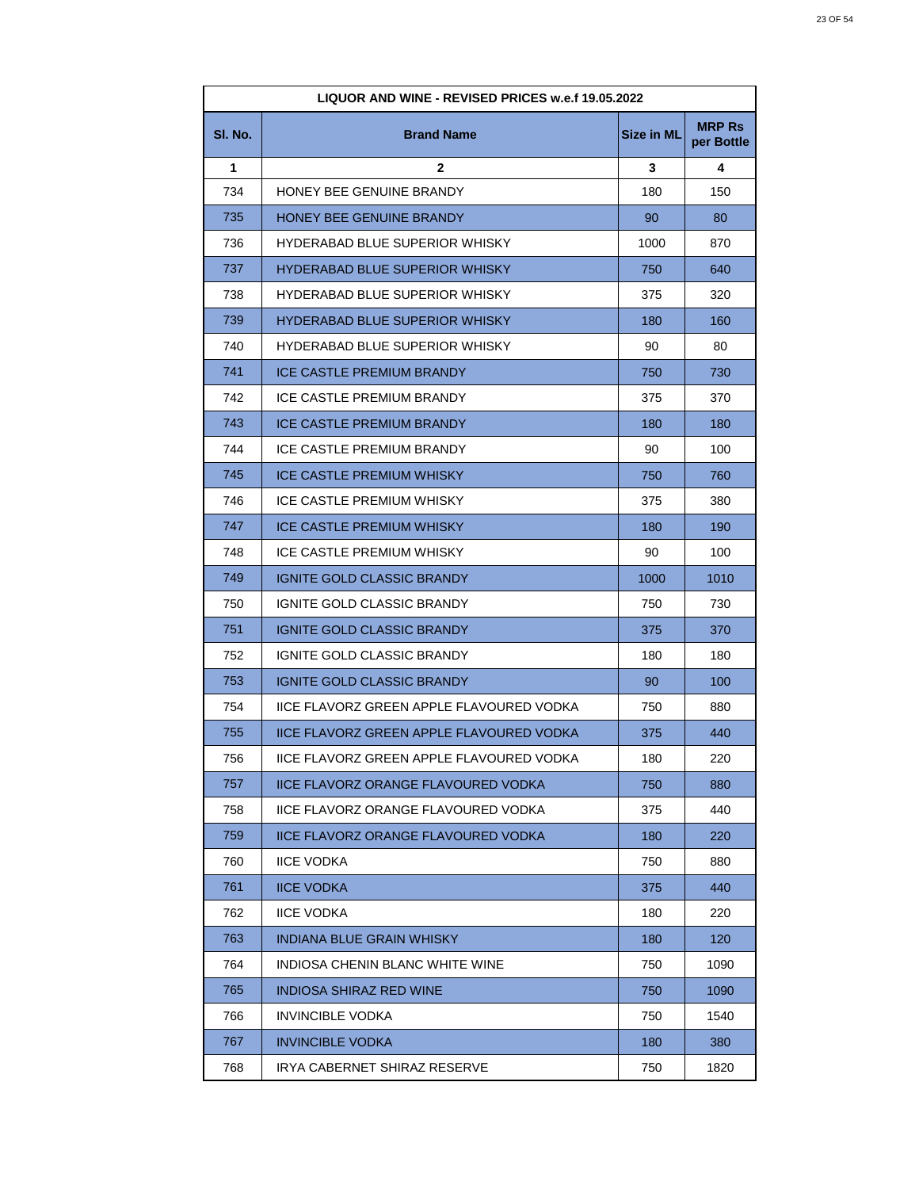| LIQUOR AND WINE - REVISED PRICES w.e.f 19.05.2022 |                                                 |                   |                             |
|---------------------------------------------------|-------------------------------------------------|-------------------|-----------------------------|
| SI. No.                                           | <b>Brand Name</b>                               | <b>Size in ML</b> | <b>MRP Rs</b><br>per Bottle |
| 1                                                 | 2                                               | 3                 | 4                           |
| 734                                               | HONEY BEE GENUINE BRANDY                        | 180               | 150                         |
| 735                                               | HONEY BEE GENUINE BRANDY                        | 90                | 80                          |
| 736                                               | <b>HYDERABAD BLUE SUPERIOR WHISKY</b>           | 1000              | 870                         |
| 737                                               | <b>HYDERABAD BLUE SUPERIOR WHISKY</b>           | 750               | 640                         |
| 738                                               | <b>HYDERABAD BLUE SUPERIOR WHISKY</b>           | 375               | 320                         |
| 739                                               | <b>HYDERABAD BLUE SUPERIOR WHISKY</b>           | 180               | 160                         |
| 740                                               | <b>HYDERABAD BLUE SUPERIOR WHISKY</b>           | 90                | 80                          |
| 741                                               | <b>ICE CASTLE PREMIUM BRANDY</b>                | 750               | 730                         |
| 742                                               | <b>ICE CASTLE PREMIUM BRANDY</b>                | 375               | 370                         |
| 743                                               | <b>ICE CASTLE PREMIUM BRANDY</b>                | 180               | 180                         |
| 744                                               | <b>ICE CASTLE PREMIUM BRANDY</b>                | 90                | 100                         |
| 745                                               | ICE CASTLE PREMIUM WHISKY                       | 750               | 760                         |
| 746                                               | ICE CASTLE PREMIUM WHISKY                       | 375               | 380                         |
| 747                                               | <b>ICE CASTLE PREMIUM WHISKY</b>                | 180               | 190                         |
| 748                                               | ICE CASTLE PREMIUM WHISKY                       | 90                | 100                         |
| 749                                               | <b>IGNITE GOLD CLASSIC BRANDY</b>               | 1000              | 1010                        |
| 750                                               | IGNITE GOLD CLASSIC BRANDY                      | 750               | 730                         |
| 751                                               | <b>IGNITE GOLD CLASSIC BRANDY</b>               | 375               | 370                         |
| 752                                               | IGNITE GOLD CLASSIC BRANDY                      | 180               | 180                         |
| 753                                               | <b>IGNITE GOLD CLASSIC BRANDY</b>               | 90                | 100                         |
| 754                                               | IICE FLAVORZ GREEN APPLE FLAVOURED VODKA        | 750               | 880                         |
| 755                                               | <b>IICE FLAVORZ GREEN APPLE FLAVOURED VODKA</b> | 375               | 440                         |
| 756                                               | IICE FLAVORZ GREEN APPLE FLAVOURED VODKA        | 180               | 220                         |
| 757                                               | <b>IICE FLAVORZ ORANGE FLAVOURED VODKA</b>      | 750               | 880                         |
| 758                                               | <b>IICE FLAVORZ ORANGE FLAVOURED VODKA</b>      | 375               | 440                         |
| 759                                               | IICE FLAVORZ ORANGE FLAVOURED VODKA             | 180               | 220                         |
| 760                                               | <b>IICE VODKA</b>                               | 750               | 880                         |
| 761                                               | <b>IICE VODKA</b>                               | 375               | 440                         |
| 762                                               | <b>IICE VODKA</b>                               | 180               | 220                         |
| 763                                               | <b>INDIANA BLUE GRAIN WHISKY</b>                | 180               | 120                         |
| 764                                               | INDIOSA CHENIN BLANC WHITE WINE                 | 750               | 1090                        |
| 765                                               | INDIOSA SHIRAZ RED WINE                         | 750               | 1090                        |
| 766                                               | <b>INVINCIBLE VODKA</b>                         | 750               | 1540                        |
| 767                                               | <b>INVINCIBLE VODKA</b>                         | 180               | 380                         |
| 768                                               | IRYA CABERNET SHIRAZ RESERVE                    | 750               | 1820                        |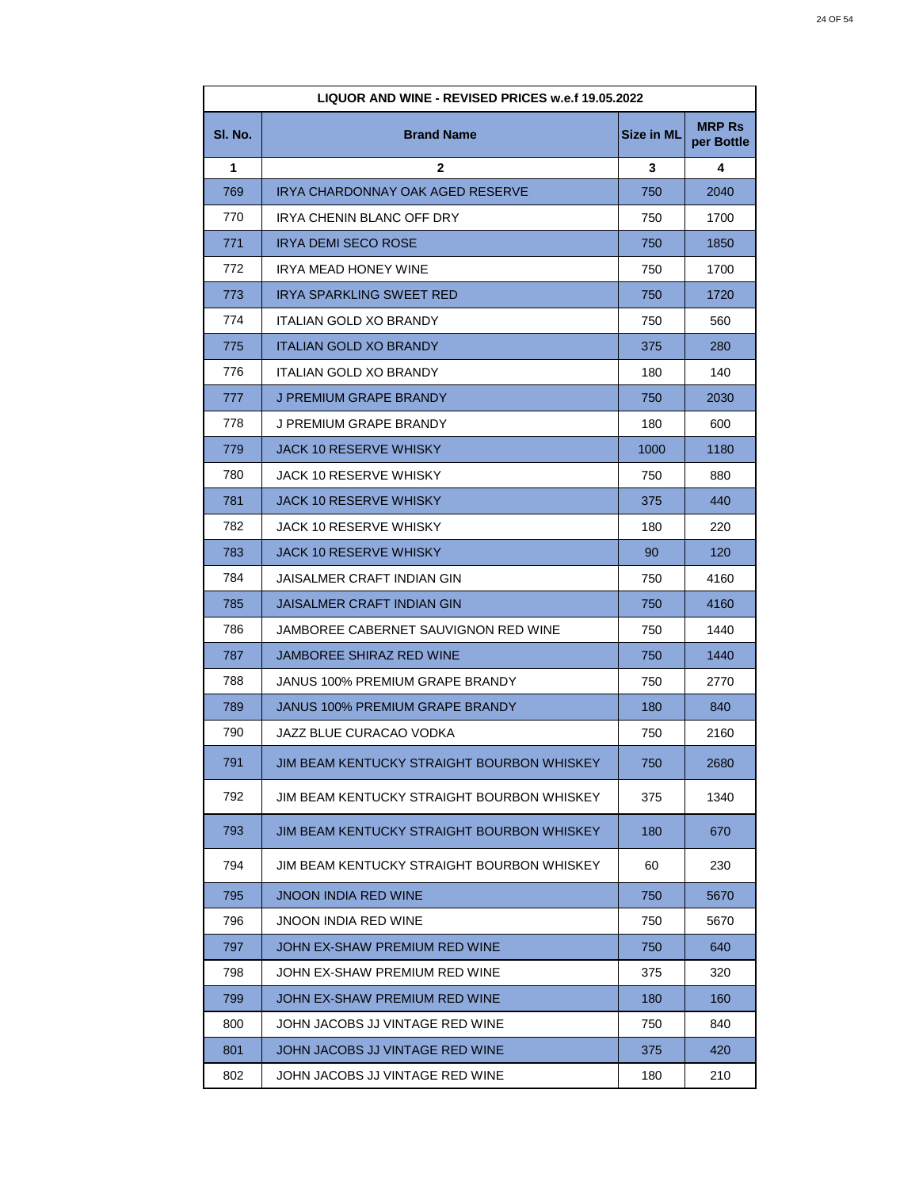| LIQUOR AND WINE - REVISED PRICES w.e.f 19.05.2022 |                                            |            |                             |
|---------------------------------------------------|--------------------------------------------|------------|-----------------------------|
| SI. No.                                           | <b>Brand Name</b>                          | Size in ML | <b>MRP Rs</b><br>per Bottle |
| 1                                                 | $\mathbf{2}$                               | 3          | 4                           |
| 769                                               | IRYA CHARDONNAY OAK AGED RESERVE           | 750        | 2040                        |
| 770                                               | IRYA CHENIN BLANC OFF DRY                  | 750        | 1700                        |
| 771                                               | IRYA DEMI SECO ROSE                        | 750        | 1850                        |
| 772                                               | IRYA MEAD HONEY WINE                       | 750        | 1700                        |
| 773                                               | IRYA SPARKLING SWEET RED                   | 750        | 1720                        |
| 774                                               | <b>ITALIAN GOLD XO BRANDY</b>              | 750        | 560                         |
| 775                                               | <b>ITALIAN GOLD XO BRANDY</b>              | 375        | 280                         |
| 776                                               | ITALIAN GOLD XO BRANDY                     | 180        | 140                         |
| 777                                               | J PREMIUM GRAPE BRANDY                     | 750        | 2030                        |
| 778                                               | J PREMIUM GRAPE BRANDY                     | 180        | 600                         |
| 779                                               | JACK 10 RESERVE WHISKY                     | 1000       | 1180                        |
| 780                                               | JACK 10 RESERVE WHISKY                     | 750        | 880                         |
| 781                                               | <b>JACK 10 RESERVE WHISKY</b>              | 375        | 440                         |
| 782                                               | JACK 10 RESERVE WHISKY                     | 180        | 220                         |
| 783                                               | JACK 10 RESERVE WHISKY                     | 90         | 120                         |
| 784                                               | JAISALMER CRAFT INDIAN GIN                 | 750        | 4160                        |
| 785                                               | JAISALMER CRAFT INDIAN GIN                 | 750        | 4160                        |
| 786                                               | JAMBOREE CABERNET SAUVIGNON RED WINE       | 750        | 1440                        |
| 787                                               | JAMBOREE SHIRAZ RED WINE                   | 750        | 1440                        |
| 788                                               | JANUS 100% PREMIUM GRAPE BRANDY            | 750        | 2770                        |
| 789                                               | <b>JANUS 100% PREMIUM GRAPE BRANDY</b>     | 180        | 840                         |
| 790                                               | JAZZ BLUE CURACAO VODKA                    | 750        | 2160                        |
| 791                                               | JIM BEAM KENTUCKY STRAIGHT BOURBON WHISKEY | 750        | 2680                        |
| 792                                               | JIM BEAM KENTUCKY STRAIGHT BOURBON WHISKEY | 375        | 1340                        |
| 793                                               | JIM BEAM KENTUCKY STRAIGHT BOURBON WHISKEY | 180        | 670                         |
| 794                                               | JIM BEAM KENTUCKY STRAIGHT BOURBON WHISKEY | 60         | 230                         |
| 795                                               | JNOON INDIA RED WINE                       | 750        | 5670                        |
| 796                                               | JNOON INDIA RED WINE                       | 750        | 5670                        |
| 797                                               | JOHN EX-SHAW PREMIUM RED WINE              | 750        | 640                         |
| 798                                               | JOHN EX-SHAW PREMIUM RED WINE              | 375        | 320                         |
| 799                                               | JOHN EX-SHAW PREMIUM RED WINE              | 180        | 160                         |
| 800                                               | JOHN JACOBS JJ VINTAGE RED WINE            | 750        | 840                         |
| 801                                               | JOHN JACOBS JJ VINTAGE RED WINE            | 375        | 420                         |
| 802                                               | JOHN JACOBS JJ VINTAGE RED WINE            | 180        | 210                         |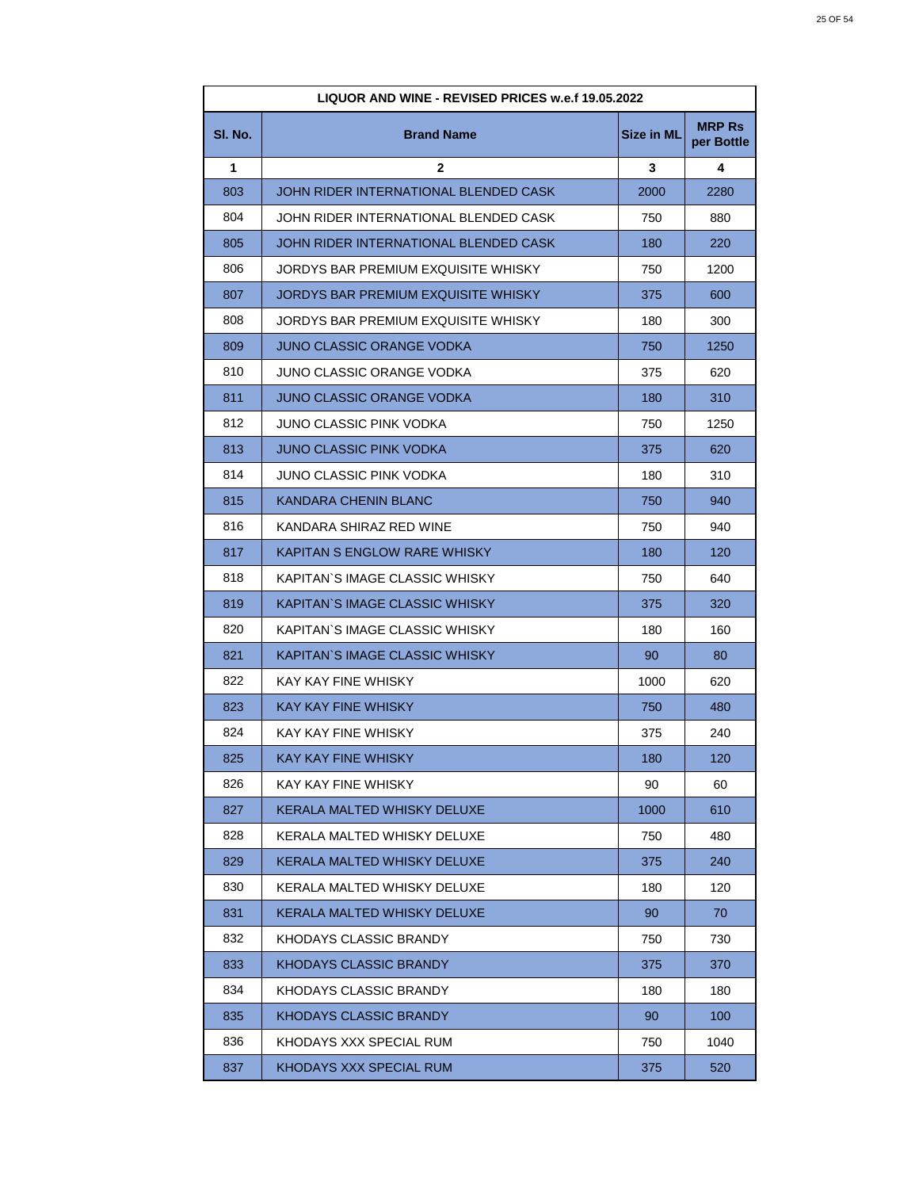| LIQUOR AND WINE - REVISED PRICES w.e.f 19.05.2022 |                                       |                   |                             |
|---------------------------------------------------|---------------------------------------|-------------------|-----------------------------|
| SI. No.                                           | <b>Brand Name</b>                     | <b>Size in ML</b> | <b>MRP Rs</b><br>per Bottle |
| 1                                                 | $\mathbf{2}$                          | 3                 | 4                           |
| 803                                               | JOHN RIDER INTERNATIONAL BLENDED CASK | 2000              | 2280                        |
| 804                                               | JOHN RIDER INTERNATIONAL BLENDED CASK | 750               | 880                         |
| 805                                               | JOHN RIDER INTERNATIONAL BLENDED CASK | 180               | 220                         |
| 806                                               | JORDYS BAR PREMIUM EXQUISITE WHISKY   | 750               | 1200                        |
| 807                                               | JORDYS BAR PREMIUM EXQUISITE WHISKY   | 375               | 600                         |
| 808                                               | JORDYS BAR PREMIUM EXQUISITE WHISKY   | 180               | 300                         |
| 809                                               | JUNO CLASSIC ORANGE VODKA             | 750               | 1250                        |
| 810                                               | JUNO CLASSIC ORANGE VODKA             | 375               | 620                         |
| 811                                               | <b>JUNO CLASSIC ORANGE VODKA</b>      | 180               | 310                         |
| 812                                               | JUNO CLASSIC PINK VODKA               | 750               | 1250                        |
| 813                                               | JUNO CLASSIC PINK VODKA               | 375               | 620                         |
| 814                                               | JUNO CLASSIC PINK VODKA               | 180               | 310                         |
| 815                                               | <b>KANDARA CHENIN BLANC</b>           | 750               | 940                         |
| 816                                               | KANDARA SHIRAZ RED WINE               | 750               | 940                         |
| 817                                               | KAPITAN S ENGLOW RARE WHISKY          | 180               | 120                         |
| 818                                               | KAPITAN`S IMAGE CLASSIC WHISKY        | 750               | 640                         |
| 819                                               | KAPITAN`S IMAGE CLASSIC WHISKY        | 375               | 320                         |
| 820                                               | KAPITAN`S IMAGE CLASSIC WHISKY        | 180               | 160                         |
| 821                                               | KAPITAN`S IMAGE CLASSIC WHISKY        | 90                | 80                          |
| 822                                               | KAY KAY FINE WHISKY                   | 1000              | 620                         |
| 823                                               | <b>KAY KAY FINE WHISKY</b>            | 750               | 480                         |
| 824                                               | KAY KAY FINE WHISKY                   | 375               | 240                         |
| 825                                               | KAY KAY FINE WHISKY                   | 180               | 120                         |
| 826                                               | KAY KAY FINE WHISKY                   | 90                | 60                          |
| 827                                               | KERALA MALTED WHISKY DELUXE           | 1000              | 610                         |
| 828                                               | KERALA MALTED WHISKY DELUXE           | 750               | 480                         |
| 829                                               | KERALA MALTED WHISKY DELUXE           | 375               | 240                         |
| 830                                               | KERALA MALTED WHISKY DELUXE           | 180               | 120                         |
| 831                                               | KERALA MALTED WHISKY DELUXE           | 90                | 70                          |
| 832                                               | KHODAYS CLASSIC BRANDY                | 750               | 730                         |
| 833                                               | <b>KHODAYS CLASSIC BRANDY</b>         | 375               | 370                         |
| 834                                               | KHODAYS CLASSIC BRANDY                | 180               | 180                         |
| 835                                               | KHODAYS CLASSIC BRANDY                | 90                | 100                         |
| 836                                               | KHODAYS XXX SPECIAL RUM               | 750               | 1040                        |
| 837                                               | KHODAYS XXX SPECIAL RUM               | 375               | 520                         |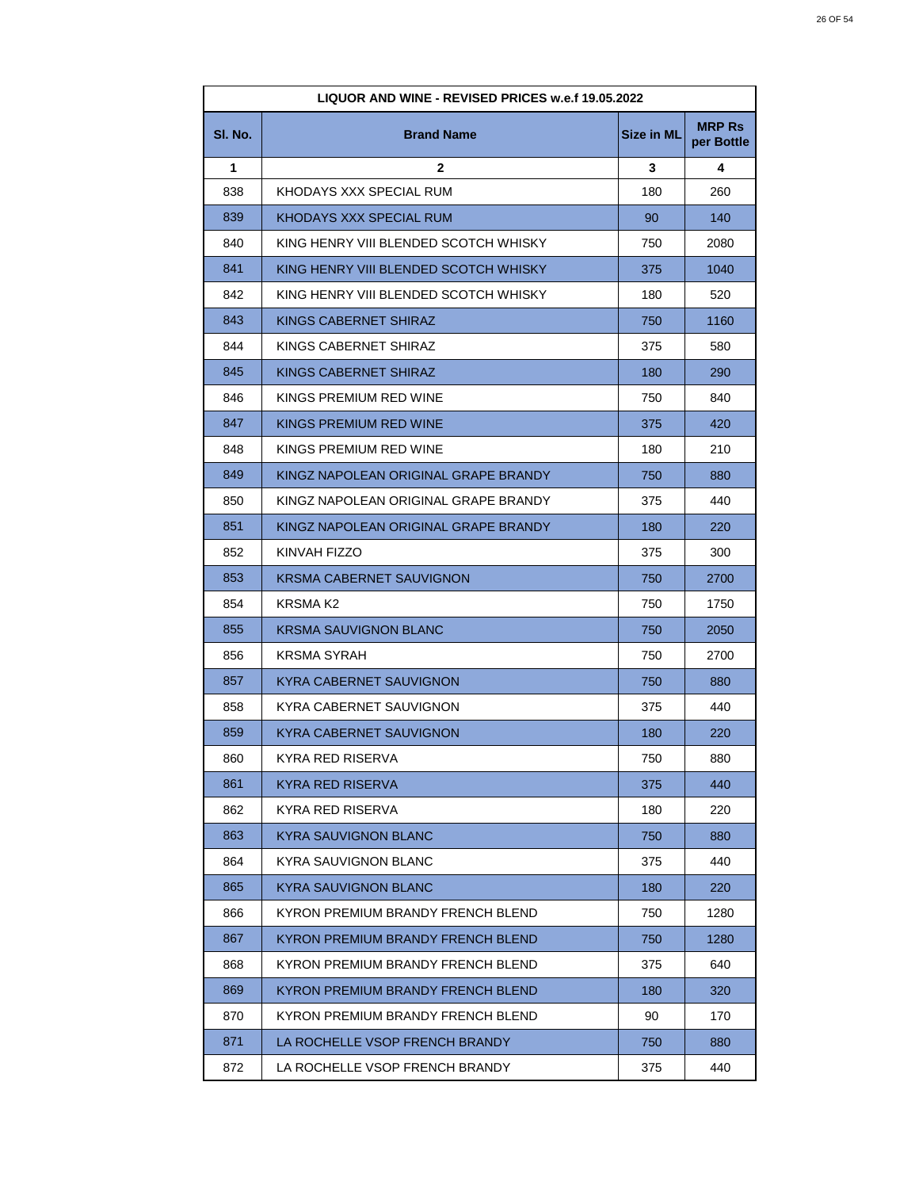| LIQUOR AND WINE - REVISED PRICES w.e.f 19.05.2022 |                                       |                   |                             |
|---------------------------------------------------|---------------------------------------|-------------------|-----------------------------|
| SI. No.                                           | <b>Brand Name</b>                     | <b>Size in ML</b> | <b>MRP Rs</b><br>per Bottle |
| 1                                                 | $\mathbf{2}$                          | 3                 | 4                           |
| 838                                               | KHODAYS XXX SPECIAL RUM               | 180               | 260                         |
| 839                                               | KHODAYS XXX SPECIAL RUM               | 90                | 140                         |
| 840                                               | KING HENRY VIII BLENDED SCOTCH WHISKY | 750               | 2080                        |
| 841                                               | KING HENRY VIII BLENDED SCOTCH WHISKY | 375               | 1040                        |
| 842                                               | KING HENRY VIII BLENDED SCOTCH WHISKY | 180               | 520                         |
| 843                                               | KINGS CABERNET SHIRAZ                 | 750               | 1160                        |
| 844                                               | KINGS CABERNET SHIRAZ                 | 375               | 580                         |
| 845                                               | KINGS CABERNET SHIRAZ                 | 180               | 290                         |
| 846                                               | KINGS PREMIUM RED WINE                | 750               | 840                         |
| 847                                               | KINGS PREMIUM RED WINE                | 375               | 420                         |
| 848                                               | KINGS PREMIUM RED WINE                | 180               | 210                         |
| 849                                               | KINGZ NAPOLEAN ORIGINAL GRAPE BRANDY  | 750               | 880                         |
| 850                                               | KINGZ NAPOLEAN ORIGINAL GRAPE BRANDY  | 375               | 440                         |
| 851                                               | KINGZ NAPOLEAN ORIGINAL GRAPE BRANDY  | 180               | 220                         |
| 852                                               | KINVAH FIZZO                          | 375               | 300                         |
| 853                                               | KRSMA CABERNET SAUVIGNON              | 750               | 2700                        |
| 854                                               | KRSMA K2                              | 750               | 1750                        |
| 855                                               | <b>KRSMA SAUVIGNON BLANC</b>          | 750               | 2050                        |
| 856                                               | KRSMA SYRAH                           | 750               | 2700                        |
| 857                                               | <b>KYRA CABERNET SAUVIGNON</b>        | 750               | 880                         |
| 858                                               | KYRA CABERNET SAUVIGNON               | 375               | 440                         |
| 859                                               | KYRA CABERNET SAUVIGNON               | 180               | 220                         |
| 860                                               | KYRA RED RISERVA                      | 750               | 880                         |
| 861                                               | KYRA RED RISERVA                      | 375               | 440                         |
| 862                                               | KYRA RED RISERVA                      | 180               | 220                         |
| 863                                               | <b>KYRA SAUVIGNON BLANC</b>           | 750               | 880                         |
| 864                                               | KYRA SAUVIGNON BLANC                  | 375               | 440                         |
| 865                                               | <b>KYRA SAUVIGNON BLANC</b>           | 180               | 220                         |
| 866                                               | KYRON PREMIUM BRANDY FRENCH BLEND     | 750               | 1280                        |
| 867                                               | KYRON PREMIUM BRANDY FRENCH BLEND     | 750               | 1280                        |
| 868                                               | KYRON PREMIUM BRANDY FRENCH BLEND     | 375               | 640                         |
| 869                                               | KYRON PREMIUM BRANDY FRENCH BLEND     | 180               | 320                         |
| 870                                               | KYRON PREMIUM BRANDY FRENCH BLEND     | 90                | 170                         |
| 871                                               | LA ROCHELLE VSOP FRENCH BRANDY        | 750               | 880                         |
| 872                                               | LA ROCHELLE VSOP FRENCH BRANDY        | 375               | 440                         |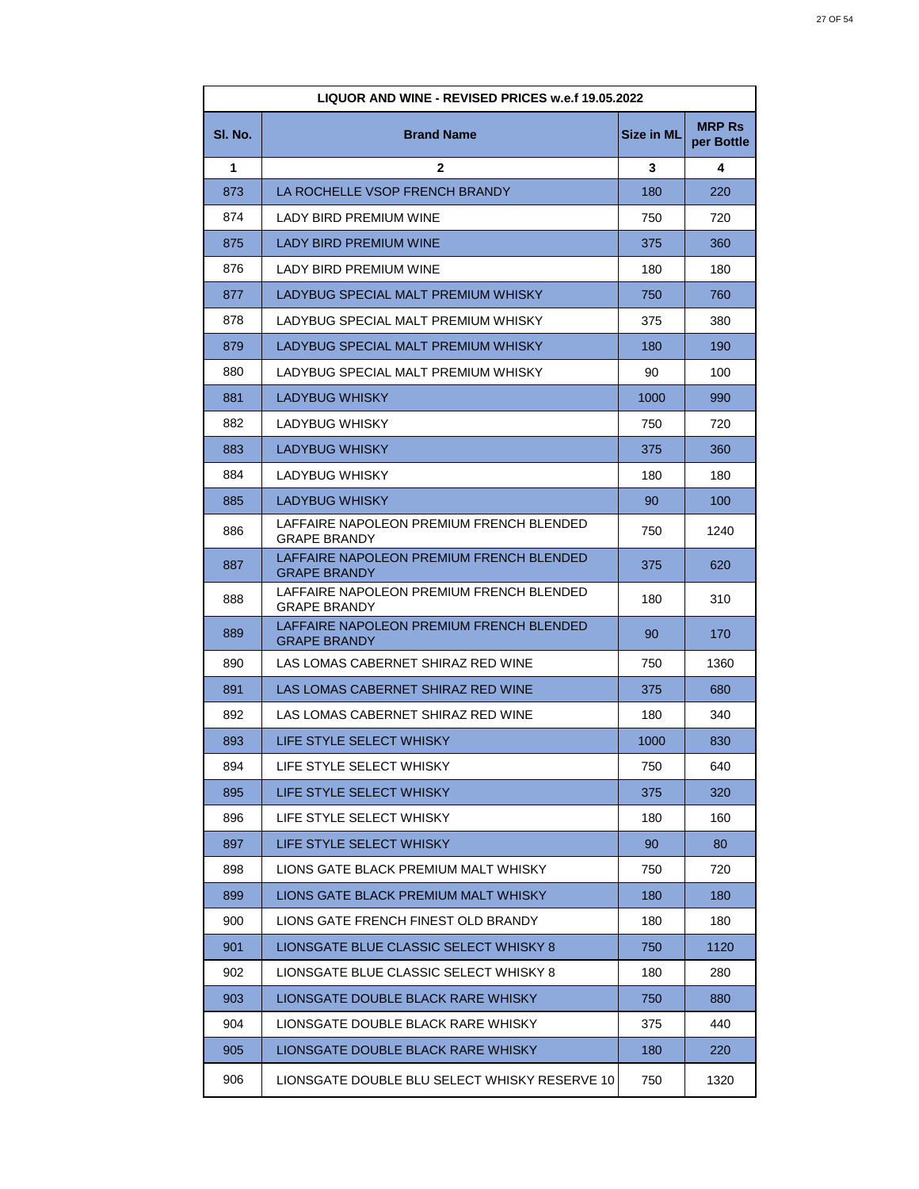| LIQUOR AND WINE - REVISED PRICES w.e.f 19.05.2022 |                                                                 |                   |                             |
|---------------------------------------------------|-----------------------------------------------------------------|-------------------|-----------------------------|
| SI. No.                                           | <b>Brand Name</b>                                               | <b>Size in ML</b> | <b>MRP Rs</b><br>per Bottle |
| 1                                                 | $\mathbf{2}$                                                    | 3                 | 4                           |
| 873                                               | LA ROCHELLE VSOP FRENCH BRANDY                                  | 180               | 220                         |
| 874                                               | LADY BIRD PREMIUM WINE                                          | 750               | 720                         |
| 875                                               | LADY BIRD PREMIUM WINE                                          | 375               | 360                         |
| 876                                               | <b>LADY BIRD PREMIUM WINE</b>                                   | 180               | 180                         |
| 877                                               | LADYBUG SPECIAL MALT PREMIUM WHISKY                             | 750               | 760                         |
| 878                                               | LADYBUG SPECIAL MALT PREMIUM WHISKY                             | 375               | 380                         |
| 879                                               | LADYBUG SPECIAL MALT PREMIUM WHISKY                             | 180               | 190                         |
| 880                                               | LADYBUG SPECIAL MALT PREMIUM WHISKY                             | 90                | 100                         |
| 881                                               | <b>LADYBUG WHISKY</b>                                           | 1000              | 990                         |
| 882                                               | LADYBUG WHISKY                                                  | 750               | 720                         |
| 883                                               | <b>LADYBUG WHISKY</b>                                           | 375               | 360                         |
| 884                                               | LADYBUG WHISKY                                                  | 180               | 180                         |
| 885                                               | <b>LADYBUG WHISKY</b>                                           | 90                | 100                         |
| 886                                               | LAFFAIRE NAPOLEON PREMIUM FRENCH BLENDED<br><b>GRAPE BRANDY</b> | 750               | 1240                        |
| 887                                               | LAFFAIRE NAPOLEON PREMIUM FRENCH BLENDED<br><b>GRAPE BRANDY</b> | 375               | 620                         |
| 888                                               | LAFFAIRE NAPOLEON PREMIUM FRENCH BLENDED<br><b>GRAPE BRANDY</b> | 180               | 310                         |
| 889                                               | LAFFAIRE NAPOLEON PREMIUM FRENCH BLENDED<br><b>GRAPE BRANDY</b> | 90                | 170                         |
| 890                                               | LAS LOMAS CABERNET SHIRAZ RED WINE                              | 750               | 1360                        |
| 891                                               | LAS LOMAS CABERNET SHIRAZ RED WINE                              | 375               | 680                         |
| 892                                               | LAS LOMAS CABERNET SHIRAZ RED WINE                              | 180               | 340                         |
| 893                                               | LIFE STYLE SELECT WHISKY                                        | 1000              | 830                         |
| 894                                               | LIFE STYLE SELECT WHISKY                                        | 750               | 640                         |
| 895                                               | LIFE STYLE SELECT WHISKY                                        | 375               | 320                         |
| 896                                               | LIFE STYLE SELECT WHISKY                                        | 180               | 160                         |
| 897                                               | LIFE STYLE SELECT WHISKY                                        | 90                | 80                          |
| 898                                               | LIONS GATE BLACK PREMIUM MALT WHISKY                            | 750               | 720                         |
| 899                                               | LIONS GATE BLACK PREMIUM MALT WHISKY                            | 180               | 180                         |
| 900                                               | LIONS GATE FRENCH FINEST OLD BRANDY                             | 180               | 180                         |
| 901                                               | LIONSGATE BLUE CLASSIC SELECT WHISKY 8                          | 750               | 1120                        |
| 902                                               | LIONSGATE BLUE CLASSIC SELECT WHISKY 8                          | 180               | 280                         |
| 903                                               | LIONSGATE DOUBLE BLACK RARE WHISKY                              | 750               | 880                         |
| 904                                               | LIONSGATE DOUBLE BLACK RARE WHISKY                              | 375               | 440                         |
| 905                                               | LIONSGATE DOUBLE BLACK RARE WHISKY                              | 180               | 220                         |
| 906                                               | LIONSGATE DOUBLE BLU SELECT WHISKY RESERVE 10                   | 750               | 1320                        |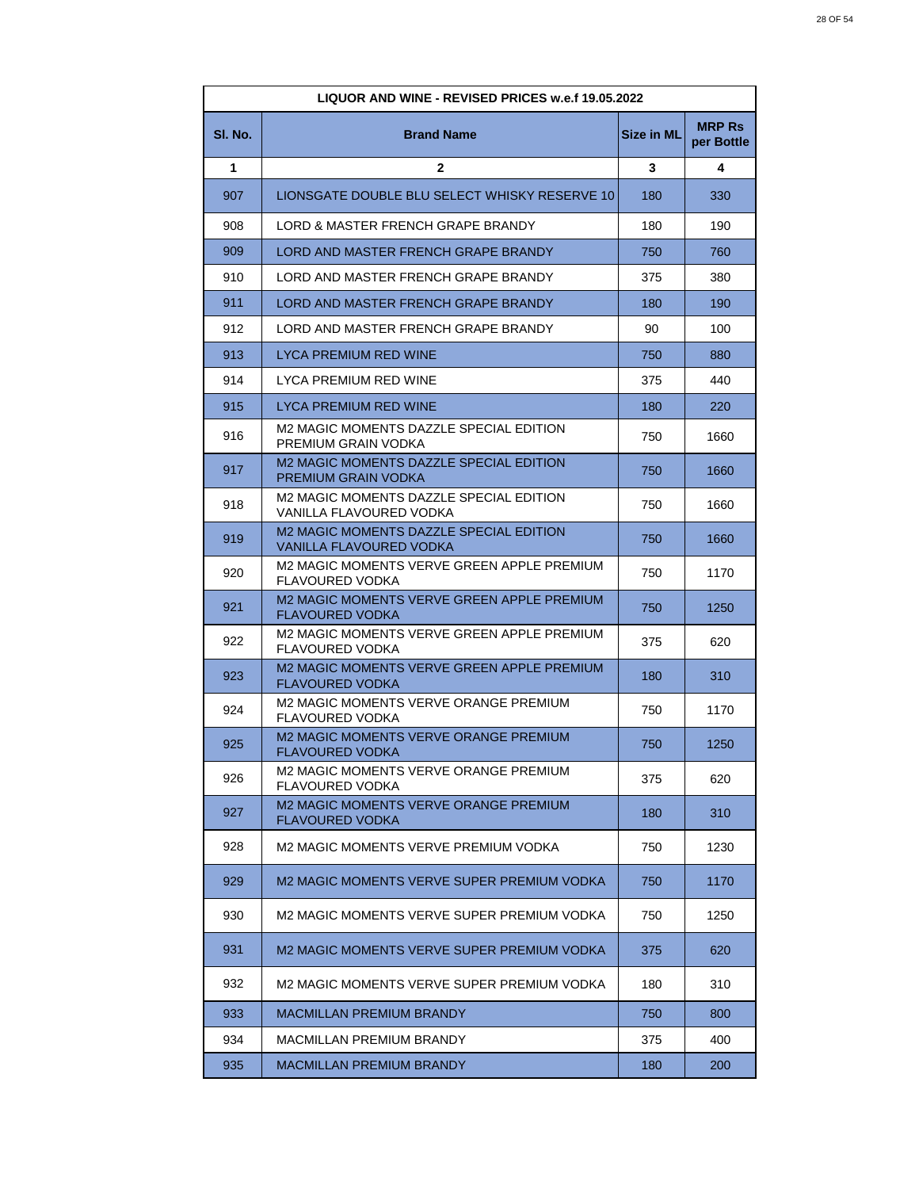| LIQUOR AND WINE - REVISED PRICES w.e.f 19.05.2022 |                                                                        |            |                             |
|---------------------------------------------------|------------------------------------------------------------------------|------------|-----------------------------|
| SI. No.                                           | <b>Brand Name</b>                                                      | Size in ML | <b>MRP Rs</b><br>per Bottle |
| 1                                                 | $\mathbf{2}$                                                           | 3          | 4                           |
| 907                                               | LIONSGATE DOUBLE BLU SELECT WHISKY RESERVE 10                          | 180        | 330                         |
| 908                                               | LORD & MASTER FRENCH GRAPE BRANDY                                      | 180        | 190                         |
| 909                                               | LORD AND MASTER FRENCH GRAPE BRANDY                                    | 750        | 760                         |
| 910                                               | LORD AND MASTER FRENCH GRAPE BRANDY                                    | 375        | 380                         |
| 911                                               | LORD AND MASTER FRENCH GRAPE BRANDY                                    | 180        | 190                         |
| 912                                               | LORD AND MASTER FRENCH GRAPE BRANDY                                    | 90         | 100                         |
| 913                                               | LYCA PREMIUM RED WINE                                                  | 750        | 880                         |
| 914                                               | LYCA PREMIUM RED WINE                                                  | 375        | 440                         |
| 915                                               | LYCA PREMIUM RED WINE                                                  | 180        | 220                         |
| 916                                               | M2 MAGIC MOMENTS DAZZLE SPECIAL EDITION<br>PREMIUM GRAIN VODKA         | 750        | 1660                        |
| 917                                               | M2 MAGIC MOMENTS DAZZLE SPECIAL EDITION<br>PREMIUM GRAIN VODKA         | 750        | 1660                        |
| 918                                               | M2 MAGIC MOMENTS DAZZLE SPECIAL EDITION<br>VANILLA FLAVOURED VODKA     | 750        | 1660                        |
| 919                                               | M2 MAGIC MOMENTS DAZZLE SPECIAL EDITION<br>VANILLA FLAVOURED VODKA     | 750        | 1660                        |
| 920                                               | M2 MAGIC MOMENTS VERVE GREEN APPLE PREMIUM<br>FLAVOURED VODKA          | 750        | 1170                        |
| 921                                               | M2 MAGIC MOMENTS VERVE GREEN APPLE PREMIUM<br><b>FLAVOURED VODKA</b>   | 750        | 1250                        |
| 922                                               | M2 MAGIC MOMENTS VERVE GREEN APPLE PREMIUM<br>FLAVOURED VODKA          | 375        | 620                         |
| 923                                               | M2 MAGIC MOMENTS VERVE GREEN APPLE PREMIUM<br><b>FLAVOURED VODKA</b>   | 180        | 310                         |
| 924                                               | M2 MAGIC MOMENTS VERVE ORANGE PREMIUM<br>FLAVOURED VODKA               | 750        | 1170                        |
| 925                                               | <b>M2 MAGIC MOMENTS VERVE ORANGE PREMIUM</b><br><b>FLAVOURED VODKA</b> | 750        | 1250                        |
| 926                                               | M2 MAGIC MOMENTS VERVE ORANGE PREMIUM<br>FLAVOURED VODKA               | 375        | 620                         |
| 927                                               | <b>M2 MAGIC MOMENTS VERVE ORANGE PREMIUM</b><br><b>FLAVOURED VODKA</b> | 180        | 310                         |
| 928                                               | M2 MAGIC MOMENTS VERVE PREMIUM VODKA                                   | 750        | 1230                        |
| 929                                               | M2 MAGIC MOMENTS VERVE SUPER PREMIUM VODKA                             | 750        | 1170                        |
| 930                                               | M2 MAGIC MOMENTS VERVE SUPER PREMIUM VODKA                             | 750        | 1250                        |
| 931                                               | M2 MAGIC MOMENTS VERVE SUPER PREMIUM VODKA                             | 375        | 620                         |
| 932                                               | M2 MAGIC MOMENTS VERVE SUPER PREMIUM VODKA                             | 180        | 310                         |
| 933                                               | <b>MACMILLAN PREMIUM BRANDY</b>                                        | 750        | 800                         |
| 934                                               | MACMILLAN PREMIUM BRANDY                                               | 375        | 400                         |
| 935                                               | <b>MACMILLAN PREMIUM BRANDY</b>                                        | 180        | 200                         |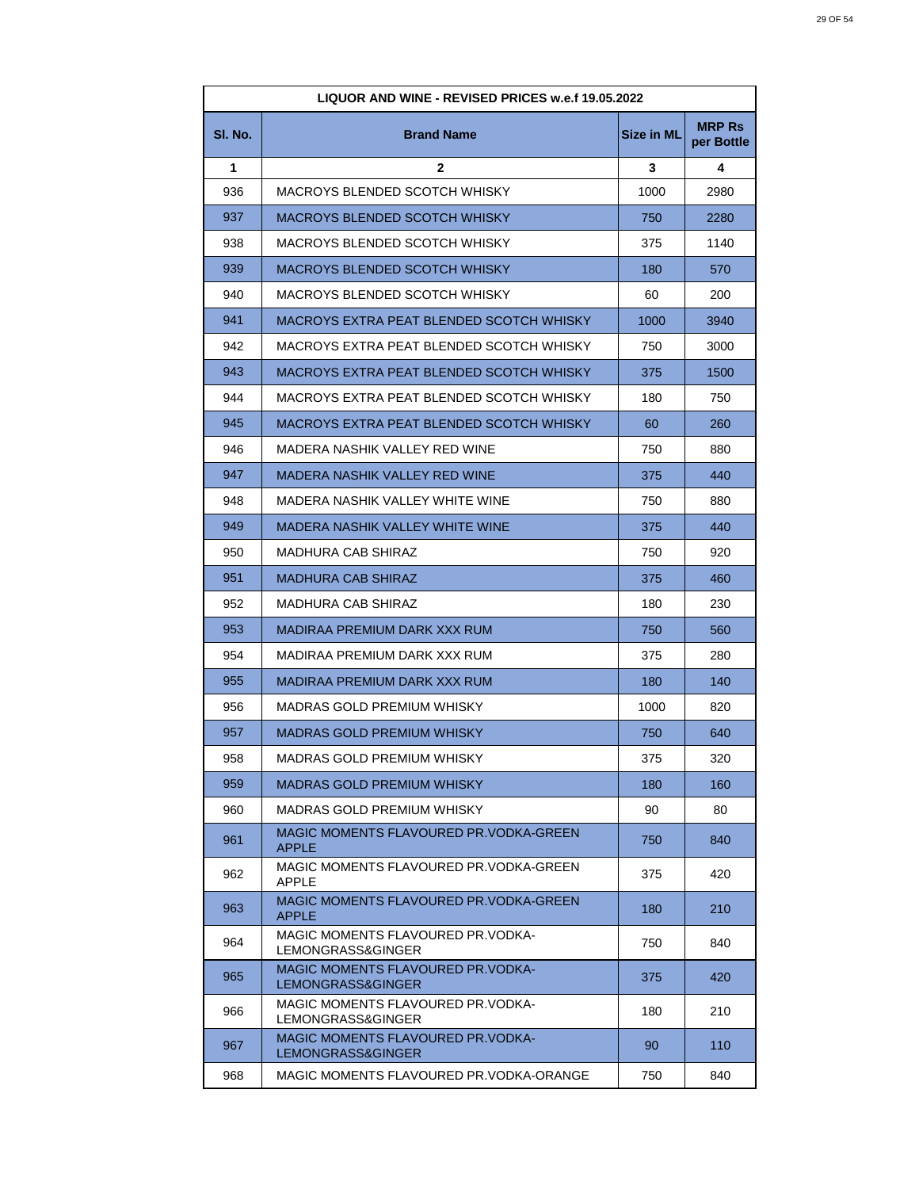| LIQUOR AND WINE - REVISED PRICES w.e.f 19.05.2022 |                                                               |                   |                             |
|---------------------------------------------------|---------------------------------------------------------------|-------------------|-----------------------------|
| SI. No.                                           | <b>Brand Name</b>                                             | <b>Size in ML</b> | <b>MRP Rs</b><br>per Bottle |
| 1                                                 | 2                                                             | 3                 | 4                           |
| 936                                               | MACROYS BLENDED SCOTCH WHISKY                                 | 1000              | 2980                        |
| 937                                               | MACROYS BLENDED SCOTCH WHISKY                                 | 750               | 2280                        |
| 938                                               | MACROYS BLENDED SCOTCH WHISKY                                 | 375               | 1140                        |
| 939                                               | MACROYS BLENDED SCOTCH WHISKY                                 | 180               | 570                         |
| 940                                               | MACROYS BLENDED SCOTCH WHISKY                                 | 60                | 200                         |
| 941                                               | MACROYS EXTRA PEAT BLENDED SCOTCH WHISKY                      | 1000              | 3940                        |
| 942                                               | MACROYS EXTRA PEAT BLENDED SCOTCH WHISKY                      | 750               | 3000                        |
| 943                                               | MACROYS EXTRA PEAT BLENDED SCOTCH WHISKY                      | 375               | 1500                        |
| 944                                               | MACROYS EXTRA PEAT BLENDED SCOTCH WHISKY                      | 180               | 750                         |
| 945                                               | MACROYS EXTRA PEAT BLENDED SCOTCH WHISKY                      | 60                | 260                         |
| 946                                               | MADERA NASHIK VALLEY RED WINE                                 | 750               | 880                         |
| 947                                               | MADERA NASHIK VALLEY RED WINE                                 | 375               | 440                         |
| 948                                               | MADERA NASHIK VALLEY WHITE WINE                               | 750               | 880                         |
| 949                                               | MADERA NASHIK VALLEY WHITE WINE                               | 375               | 440                         |
| 950                                               | MADHURA CAB SHIRAZ                                            | 750               | 920                         |
| 951                                               | <b>MADHURA CAB SHIRAZ</b>                                     | 375               | 460                         |
| 952                                               | <b>MADHURA CAB SHIRAZ</b>                                     | 180               | 230                         |
| 953                                               | MADIRAA PREMIUM DARK XXX RUM                                  | 750               | 560                         |
| 954                                               | MADIRAA PREMIUM DARK XXX RUM                                  | 375               | 280                         |
| 955                                               | MADIRAA PREMIUM DARK XXX RUM                                  | 180               | 140                         |
| 956                                               | MADRAS GOLD PREMIUM WHISKY                                    | 1000              | 820                         |
| 957                                               | <b>MADRAS GOLD PREMIUM WHISKY</b>                             | 750               | 640                         |
| 958                                               | MADRAS GOLD PREMIUM WHISKY                                    | 375               | 320                         |
| 959                                               | <b>MADRAS GOLD PREMIUM WHISKY</b>                             | 180               | 160                         |
| 960                                               | MADRAS GOLD PREMIUM WHISKY                                    | 90                | 80                          |
| 961                                               | MAGIC MOMENTS FLAVOURED PR.VODKA-GREEN<br><b>APPLE</b>        | 750               | 840                         |
| 962                                               | MAGIC MOMENTS FLAVOURED PR.VODKA-GREEN<br><b>APPLE</b>        | 375               | 420                         |
| 963                                               | MAGIC MOMENTS FLAVOURED PR.VODKA-GREEN<br><b>APPLE</b>        | 180               | 210                         |
| 964                                               | <b>MAGIC MOMENTS FLAVOURED PR.VODKA-</b><br>LEMONGRASS&GINGER | 750               | 840                         |
| 965                                               | <b>MAGIC MOMENTS FLAVOURED PR.VODKA-</b><br>LEMONGRASS&GINGER | 375               | 420                         |
| 966                                               | MAGIC MOMENTS FLAVOURED PR.VODKA-<br>LEMONGRASS&GINGER        | 180               | 210                         |
| 967                                               | MAGIC MOMENTS FLAVOURED PR.VODKA-<br>LEMONGRASS&GINGER        | 90                | 110                         |
| 968                                               | MAGIC MOMENTS FLAVOURED PR.VODKA-ORANGE                       | 750               | 840                         |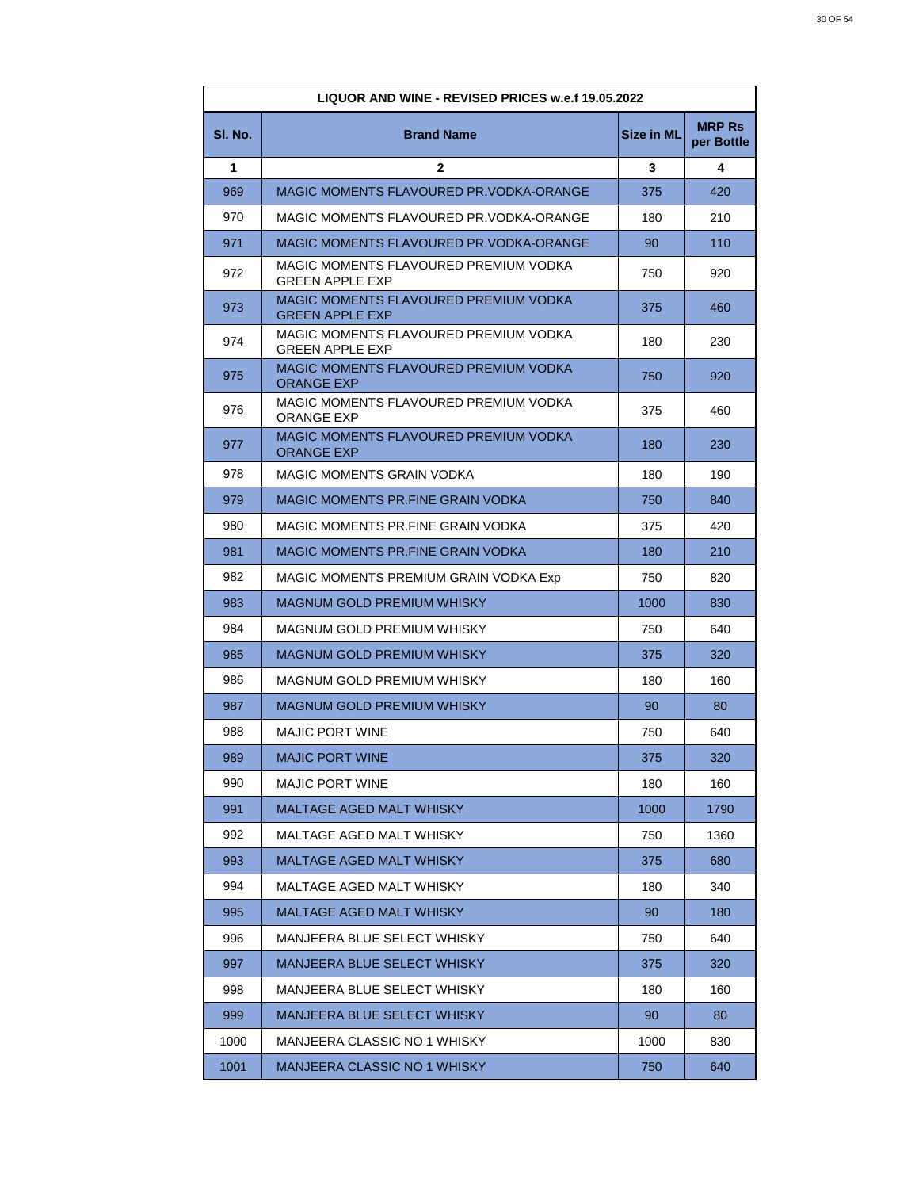| LIQUOR AND WINE - REVISED PRICES w.e.f 19.05.2022 |                                                                 |                   |                             |
|---------------------------------------------------|-----------------------------------------------------------------|-------------------|-----------------------------|
| SI. No.                                           | <b>Brand Name</b>                                               | <b>Size in ML</b> | <b>MRP Rs</b><br>per Bottle |
| 1                                                 | $\mathbf{2}$                                                    | 3                 | 4                           |
| 969                                               | MAGIC MOMENTS FLAVOURED PR.VODKA-ORANGE                         | 375               | 420                         |
| 970                                               | MAGIC MOMENTS FLAVOURED PR.VODKA-ORANGE                         | 180               | 210                         |
| 971                                               | MAGIC MOMENTS FLAVOURED PR.VODKA-ORANGE                         | 90                | 110                         |
| 972                                               | MAGIC MOMENTS FLAVOURED PREMIUM VODKA<br><b>GREEN APPLE EXP</b> | 750               | 920                         |
| 973                                               | MAGIC MOMENTS FLAVOURED PREMIUM VODKA<br><b>GREEN APPLE EXP</b> | 375               | 460                         |
| 974                                               | MAGIC MOMENTS FLAVOURED PREMIUM VODKA<br><b>GREEN APPLE EXP</b> | 180               | 230                         |
| 975                                               | MAGIC MOMENTS FLAVOURED PREMIUM VODKA<br><b>ORANGE EXP</b>      | 750               | 920                         |
| 976                                               | MAGIC MOMENTS FLAVOURED PREMIUM VODKA<br><b>ORANGE EXP</b>      | 375               | 460                         |
| 977                                               | MAGIC MOMENTS FLAVOURED PREMIUM VODKA<br><b>ORANGE EXP</b>      | 180               | 230                         |
| 978                                               | <b>MAGIC MOMENTS GRAIN VODKA</b>                                | 180               | 190                         |
| 979                                               | MAGIC MOMENTS PR.FINE GRAIN VODKA                               | 750               | 840                         |
| 980                                               | MAGIC MOMENTS PR.FINE GRAIN VODKA                               | 375               | 420                         |
| 981                                               | <b>MAGIC MOMENTS PR.FINE GRAIN VODKA</b>                        | 180               | 210                         |
| 982                                               | MAGIC MOMENTS PREMIUM GRAIN VODKA Exp                           | 750               | 820                         |
| 983                                               | <b>MAGNUM GOLD PREMIUM WHISKY</b>                               | 1000              | 830                         |
| 984                                               | MAGNUM GOLD PREMIUM WHISKY                                      | 750               | 640                         |
| 985                                               | <b>MAGNUM GOLD PREMIUM WHISKY</b>                               | 375               | 320                         |
| 986                                               | MAGNUM GOLD PREMIUM WHISKY                                      | 180               | 160                         |
| 987                                               | <b>MAGNUM GOLD PREMIUM WHISKY</b>                               | 90                | 80                          |
| 988                                               | <b>MAJIC PORT WINE</b>                                          | 750               | 640                         |
| 989                                               | <b>MAJIC PORT WINE</b>                                          | 375               | 320                         |
| 990                                               | <b>MAJIC PORT WINE</b>                                          | 180               | 160                         |
| 991                                               | <b>MALTAGE AGED MALT WHISKY</b>                                 | 1000              | 1790                        |
| 992                                               | MALTAGE AGED MALT WHISKY                                        | 750               | 1360                        |
| 993                                               | <b>MALTAGE AGED MALT WHISKY</b>                                 | 375               | 680                         |
| 994                                               | MALTAGE AGED MALT WHISKY                                        | 180               | 340                         |
| 995                                               | <b>MALTAGE AGED MALT WHISKY</b>                                 | 90                | 180                         |
| 996                                               | MANJEERA BLUE SELECT WHISKY                                     | 750               | 640                         |
| 997                                               | MANJEERA BLUE SELECT WHISKY                                     | 375               | 320                         |
| 998                                               | MANJEERA BLUE SELECT WHISKY                                     | 180               | 160                         |
| 999                                               | <b>MANJEERA BLUE SELECT WHISKY</b>                              | 90                | 80                          |
| 1000                                              | MANJEERA CLASSIC NO 1 WHISKY                                    | 1000              | 830                         |
| 1001                                              | MANJEERA CLASSIC NO 1 WHISKY                                    | 750               | 640                         |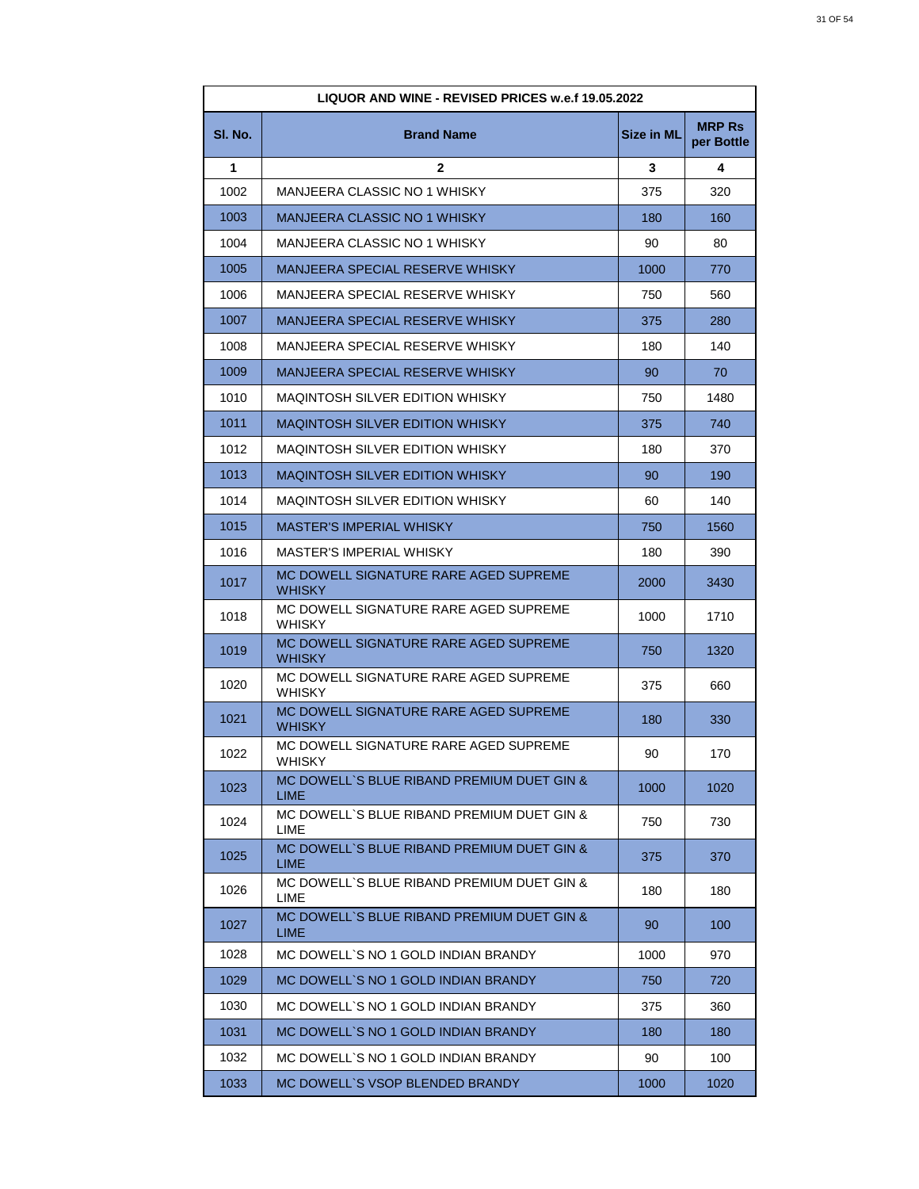| LIQUOR AND WINE - REVISED PRICES w.e.f 19.05.2022 |                                                           |                   |                             |
|---------------------------------------------------|-----------------------------------------------------------|-------------------|-----------------------------|
| SI. No.                                           | <b>Brand Name</b>                                         | <b>Size in ML</b> | <b>MRP Rs</b><br>per Bottle |
| 1                                                 | $\mathbf{2}$                                              | 3                 | 4                           |
| 1002                                              | MANJEERA CLASSIC NO 1 WHISKY                              | 375               | 320                         |
| 1003                                              | <b>MANJEERA CLASSIC NO 1 WHISKY</b>                       | 180               | 160                         |
| 1004                                              | MANJEERA CLASSIC NO 1 WHISKY                              | 90                | 80                          |
| 1005                                              | MANJEERA SPECIAL RESERVE WHISKY                           | 1000              | 770                         |
| 1006                                              | MANJEERA SPECIAL RESERVE WHISKY                           | 750               | 560                         |
| 1007                                              | <b>MANJEERA SPECIAL RESERVE WHISKY</b>                    | 375               | 280                         |
| 1008                                              | MANJEERA SPECIAL RESERVE WHISKY                           | 180               | 140                         |
| 1009                                              | MANJEERA SPECIAL RESERVE WHISKY                           | 90                | 70                          |
| 1010                                              | MAQINTOSH SILVER EDITION WHISKY                           | 750               | 1480                        |
| 1011                                              | <b>MAQINTOSH SILVER EDITION WHISKY</b>                    | 375               | 740                         |
| 1012                                              | MAQINTOSH SILVER EDITION WHISKY                           | 180               | 370                         |
| 1013                                              | <b>MAQINTOSH SILVER EDITION WHISKY</b>                    | 90                | 190                         |
| 1014                                              | <b>MAQINTOSH SILVER EDITION WHISKY</b>                    | 60                | 140                         |
| 1015                                              | <b>MASTER'S IMPERIAL WHISKY</b>                           | 750               | 1560                        |
| 1016                                              | MASTER'S IMPERIAL WHISKY                                  | 180               | 390                         |
| 1017                                              | MC DOWELL SIGNATURE RARE AGED SUPREME<br>WHISKY           | 2000              | 3430                        |
| 1018                                              | MC DOWELL SIGNATURE RARE AGED SUPREME<br>WHISKY           | 1000              | 1710                        |
| 1019                                              | MC DOWELL SIGNATURE RARE AGED SUPREME<br><b>WHISKY</b>    | 750               | 1320                        |
| 1020                                              | MC DOWELL SIGNATURE RARE AGED SUPREME<br>WHISKY           | 375               | 660                         |
| 1021                                              | MC DOWELL SIGNATURE RARE AGED SUPREME<br>WHISKY           | 180               | 330                         |
| 1022                                              | MC DOWELL SIGNATURE RARE AGED SUPREME<br>WHISKY           | 90                | 170                         |
| 1023                                              | MC DOWELL'S BLUE RIBAND PREMIUM DUET GIN &<br><b>LIME</b> | 1000              | 1020                        |
| 1024                                              | MC DOWELL'S BLUE RIBAND PREMIUM DUET GIN &<br><b>LIME</b> | 750               | 730                         |
| 1025                                              | MC DOWELL'S BLUE RIBAND PREMIUM DUET GIN &<br><b>LIME</b> | 375               | 370                         |
| 1026                                              | MC DOWELL`S BLUE RIBAND PREMIUM DUET GIN &<br>LIME        | 180               | 180                         |
| 1027                                              | MC DOWELL'S BLUE RIBAND PREMIUM DUET GIN &<br><b>LIME</b> | 90                | 100                         |
| 1028                                              | MC DOWELL`S NO 1 GOLD INDIAN BRANDY                       | 1000              | 970                         |
| 1029                                              | MC DOWELL'S NO 1 GOLD INDIAN BRANDY                       | 750               | 720                         |
| 1030                                              | MC DOWELL`S NO 1 GOLD INDIAN BRANDY                       | 375               | 360                         |
| 1031                                              | MC DOWELL'S NO 1 GOLD INDIAN BRANDY                       | 180               | 180                         |
| 1032                                              | MC DOWELL`S NO 1 GOLD INDIAN BRANDY                       | 90                | 100                         |
| 1033                                              | MC DOWELL'S VSOP BLENDED BRANDY                           | 1000              | 1020                        |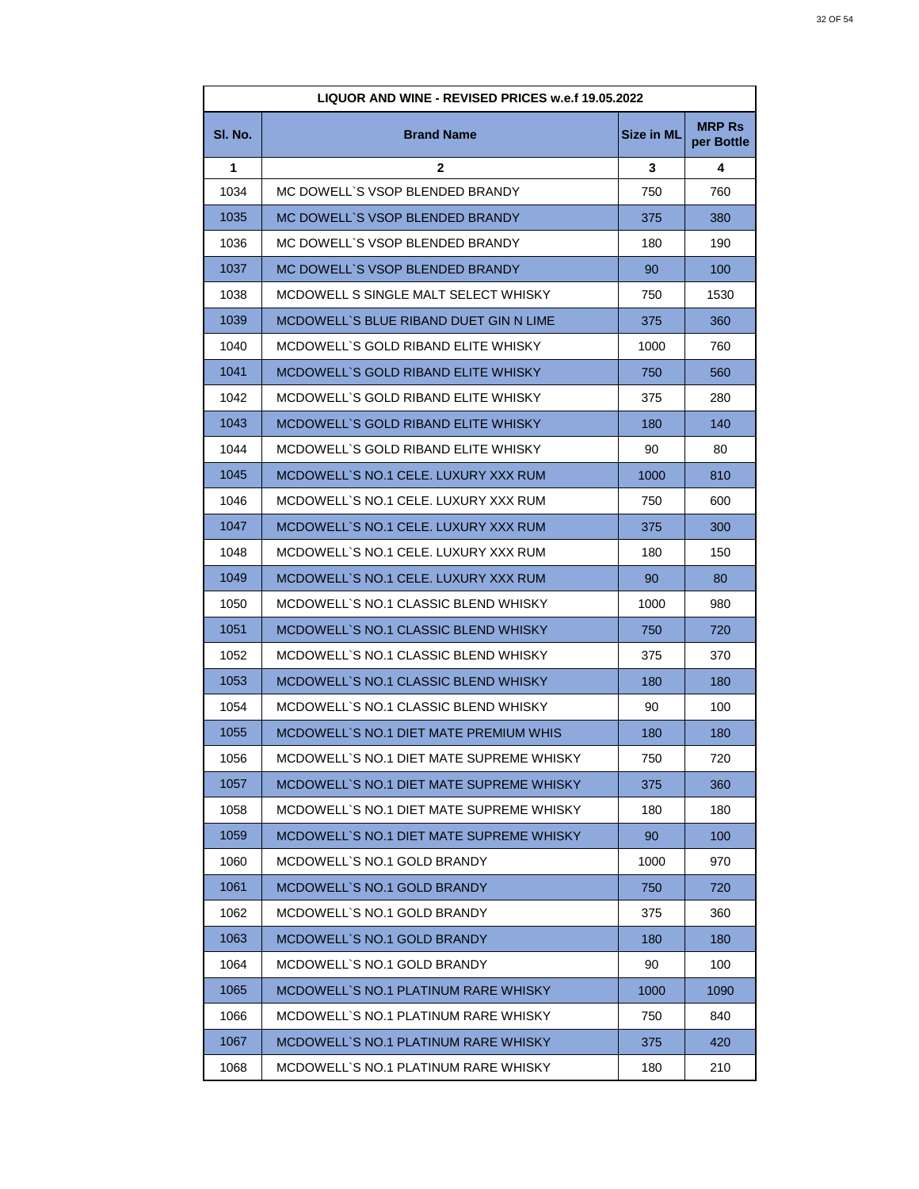| LIQUOR AND WINE - REVISED PRICES w.e.f 19.05.2022 |                                          |                   |                             |
|---------------------------------------------------|------------------------------------------|-------------------|-----------------------------|
| SI. No.                                           | <b>Brand Name</b>                        | <b>Size in ML</b> | <b>MRP Rs</b><br>per Bottle |
| 1                                                 | $\mathbf{2}$                             | 3                 | 4                           |
| 1034                                              | MC DOWELL'S VSOP BLENDED BRANDY          | 750               | 760                         |
| 1035                                              | MC DOWELL'S VSOP BLENDED BRANDY          | 375               | 380                         |
| 1036                                              | MC DOWELL'S VSOP BLENDED BRANDY          | 180               | 190                         |
| 1037                                              | MC DOWELL'S VSOP BLENDED BRANDY          | 90                | 100                         |
| 1038                                              | MCDOWELL S SINGLE MALT SELECT WHISKY     | 750               | 1530                        |
| 1039                                              | MCDOWELL'S BLUE RIBAND DUET GIN N LIME   | 375               | 360                         |
| 1040                                              | MCDOWELL'S GOLD RIBAND ELITE WHISKY      | 1000              | 760                         |
| 1041                                              | MCDOWELL'S GOLD RIBAND ELITE WHISKY      | 750               | 560                         |
| 1042                                              | MCDOWELL'S GOLD RIBAND ELITE WHISKY      | 375               | 280                         |
| 1043                                              | MCDOWELL'S GOLD RIBAND ELITE WHISKY      | 180               | 140                         |
| 1044                                              | MCDOWELL`S GOLD RIBAND ELITE WHISKY      | 90                | 80                          |
| 1045                                              | MCDOWELL'S NO.1 CELE. LUXURY XXX RUM     | 1000              | 810                         |
| 1046                                              | MCDOWELL`S NO.1 CELE. LUXURY XXX RUM     | 750               | 600                         |
| 1047                                              | MCDOWELL`S NO.1 CELE. LUXURY XXX RUM     | 375               | 300                         |
| 1048                                              | MCDOWELL`S NO.1 CELE. LUXURY XXX RUM     | 180               | 150                         |
| 1049                                              | MCDOWELL`S NO.1 CELE. LUXURY XXX RUM     | 90                | 80                          |
| 1050                                              | MCDOWELL`S NO.1 CLASSIC BLEND WHISKY     | 1000              | 980                         |
| 1051                                              | MCDOWELL'S NO.1 CLASSIC BLEND WHISKY     | 750               | 720                         |
| 1052                                              | MCDOWELL`S NO.1 CLASSIC BLEND WHISKY     | 375               | 370                         |
| 1053                                              | MCDOWELL`S NO.1 CLASSIC BLEND WHISKY     | 180               | 180                         |
| 1054                                              | MCDOWELL`S NO.1 CLASSIC BLEND WHISKY     | 90                | 100                         |
| 1055                                              | MCDOWELL`S NO.1 DIET MATE PREMIUM WHIS   | 180               | 180                         |
| 1056                                              | MCDOWELL'S NO.1 DIET MATE SUPREME WHISKY | 750               | 720                         |
| 1057                                              | MCDOWELL`S NO.1 DIET MATE SUPREME WHISKY | 375               | 360                         |
| 1058                                              | MCDOWELL`S NO.1 DIET MATE SUPREME WHISKY | 180               | 180                         |
| 1059                                              | MCDOWELL'S NO.1 DIET MATE SUPREME WHISKY | 90                | 100                         |
| 1060                                              | MCDOWELL`S NO.1 GOLD BRANDY              | 1000              | 970                         |
| 1061                                              | MCDOWELL'S NO.1 GOLD BRANDY              | 750               | 720                         |
| 1062                                              | MCDOWELL'S NO.1 GOLD BRANDY              | 375               | 360                         |
| 1063                                              | MCDOWELL'S NO.1 GOLD BRANDY              | 180               | 180                         |
| 1064                                              | MCDOWELL'S NO.1 GOLD BRANDY              | 90                | 100                         |
| 1065                                              | MCDOWELL`S NO.1 PLATINUM RARE WHISKY     | 1000              | 1090                        |
| 1066                                              | MCDOWELL'S NO.1 PLATINUM RARE WHISKY     | 750               | 840                         |
| 1067                                              | MCDOWELL`S NO.1 PLATINUM RARE WHISKY     | 375               | 420                         |
| 1068                                              | MCDOWELL`S NO.1 PLATINUM RARE WHISKY     | 180               | 210                         |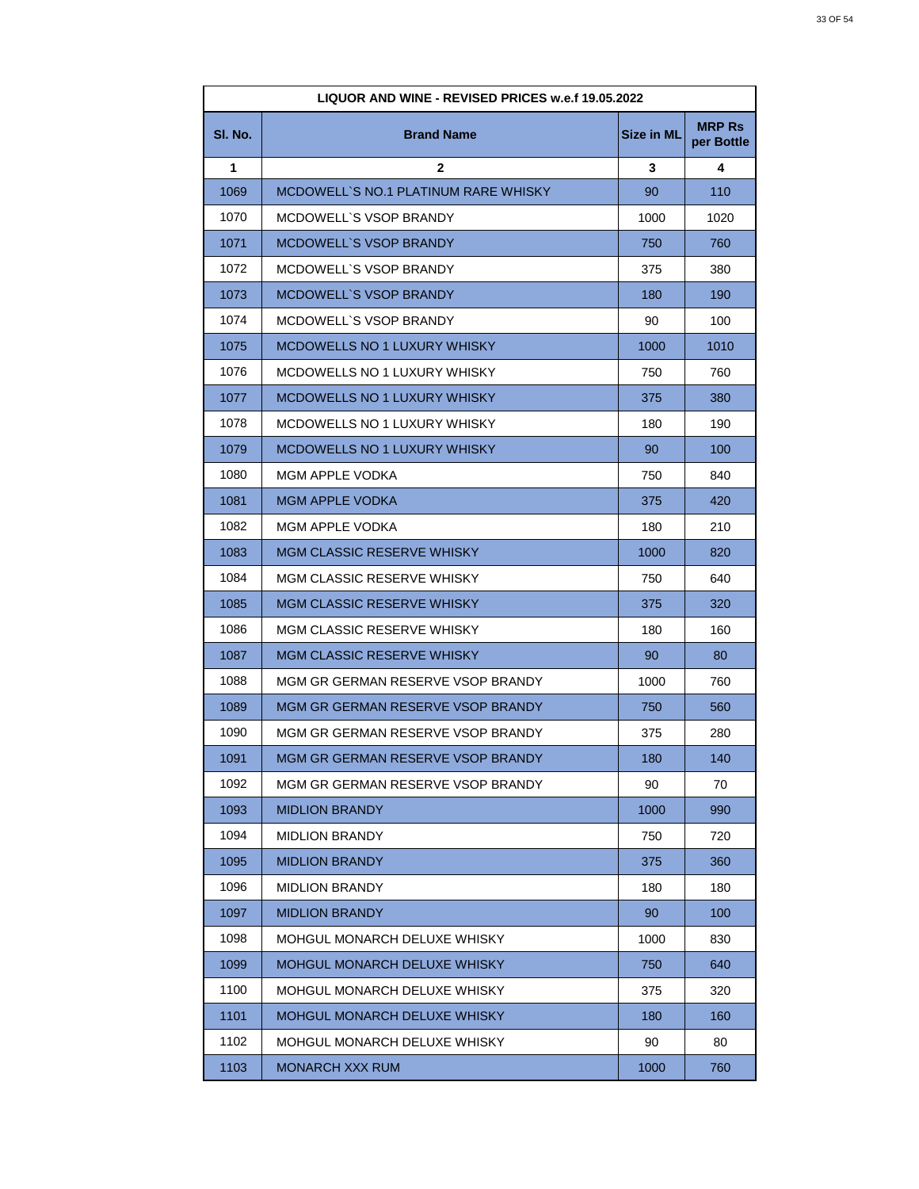| <b>LIQUOR AND WINE - REVISED PRICES w.e.f 19.05.2022</b> |                                      |            |                             |
|----------------------------------------------------------|--------------------------------------|------------|-----------------------------|
| SI. No.                                                  | <b>Brand Name</b>                    | Size in ML | <b>MRP Rs</b><br>per Bottle |
| 1                                                        | $\mathbf{2}$                         | 3          | 4                           |
| 1069                                                     | MCDOWELL'S NO.1 PLATINUM RARE WHISKY | 90         | 110                         |
| 1070                                                     | MCDOWELL'S VSOP BRANDY               | 1000       | 1020                        |
| 1071                                                     | <b>MCDOWELL'S VSOP BRANDY</b>        | 750        | 760                         |
| 1072                                                     | MCDOWELL'S VSOP BRANDY               | 375        | 380                         |
| 1073                                                     | <b>MCDOWELL'S VSOP BRANDY</b>        | 180        | 190                         |
| 1074                                                     | MCDOWELL'S VSOP BRANDY               | 90         | 100                         |
| 1075                                                     | MCDOWELLS NO 1 LUXURY WHISKY         | 1000       | 1010                        |
| 1076                                                     | MCDOWELLS NO 1 LUXURY WHISKY         | 750        | 760                         |
| 1077                                                     | <b>MCDOWELLS NO 1 LUXURY WHISKY</b>  | 375        | 380                         |
| 1078                                                     | MCDOWELLS NO 1 LUXURY WHISKY         | 180        | 190                         |
| 1079                                                     | MCDOWELLS NO 1 LUXURY WHISKY         | 90         | 100                         |
| 1080                                                     | MGM APPLE VODKA                      | 750        | 840                         |
| 1081                                                     | <b>MGM APPLE VODKA</b>               | 375        | 420                         |
| 1082                                                     | MGM APPLE VODKA                      | 180        | 210                         |
| 1083                                                     | <b>MGM CLASSIC RESERVE WHISKY</b>    | 1000       | 820                         |
| 1084                                                     | MGM CLASSIC RESERVE WHISKY           | 750        | 640                         |
| 1085                                                     | <b>MGM CLASSIC RESERVE WHISKY</b>    | 375        | 320                         |
| 1086                                                     | MGM CLASSIC RESERVE WHISKY           | 180        | 160                         |
| 1087                                                     | <b>MGM CLASSIC RESERVE WHISKY</b>    | 90         | 80                          |
| 1088                                                     | MGM GR GERMAN RESERVE VSOP BRANDY    | 1000       | 760                         |
| 1089                                                     | MGM GR GERMAN RESERVE VSOP BRANDY    | 750        | 560                         |
| 1090                                                     | MGM GR GERMAN RESERVE VSOP BRANDY    | 375        | 280                         |
| 1091                                                     | MGM GR GERMAN RESERVE VSOP BRANDY    | 180        | 140                         |
| 1092                                                     | MGM GR GERMAN RESERVE VSOP BRANDY    | 90         | 70                          |
| 1093                                                     | <b>MIDLION BRANDY</b>                | 1000       | 990                         |
| 1094                                                     | <b>MIDLION BRANDY</b>                | 750        | 720                         |
| 1095                                                     | <b>MIDLION BRANDY</b>                | 375        | 360                         |
| 1096                                                     | <b>MIDLION BRANDY</b>                | 180        | 180                         |
| 1097                                                     | <b>MIDLION BRANDY</b>                | 90         | 100                         |
| 1098                                                     | MOHGUL MONARCH DELUXE WHISKY         | 1000       | 830                         |
| 1099                                                     | MOHGUL MONARCH DELUXE WHISKY         | 750        | 640                         |
| 1100                                                     | MOHGUL MONARCH DELUXE WHISKY         | 375        | 320                         |
| 1101                                                     | <b>MOHGUL MONARCH DELUXE WHISKY</b>  | 180        | 160                         |
| 1102                                                     | MOHGUL MONARCH DELUXE WHISKY         | 90         | 80                          |
| 1103                                                     | <b>MONARCH XXX RUM</b>               | 1000       | 760                         |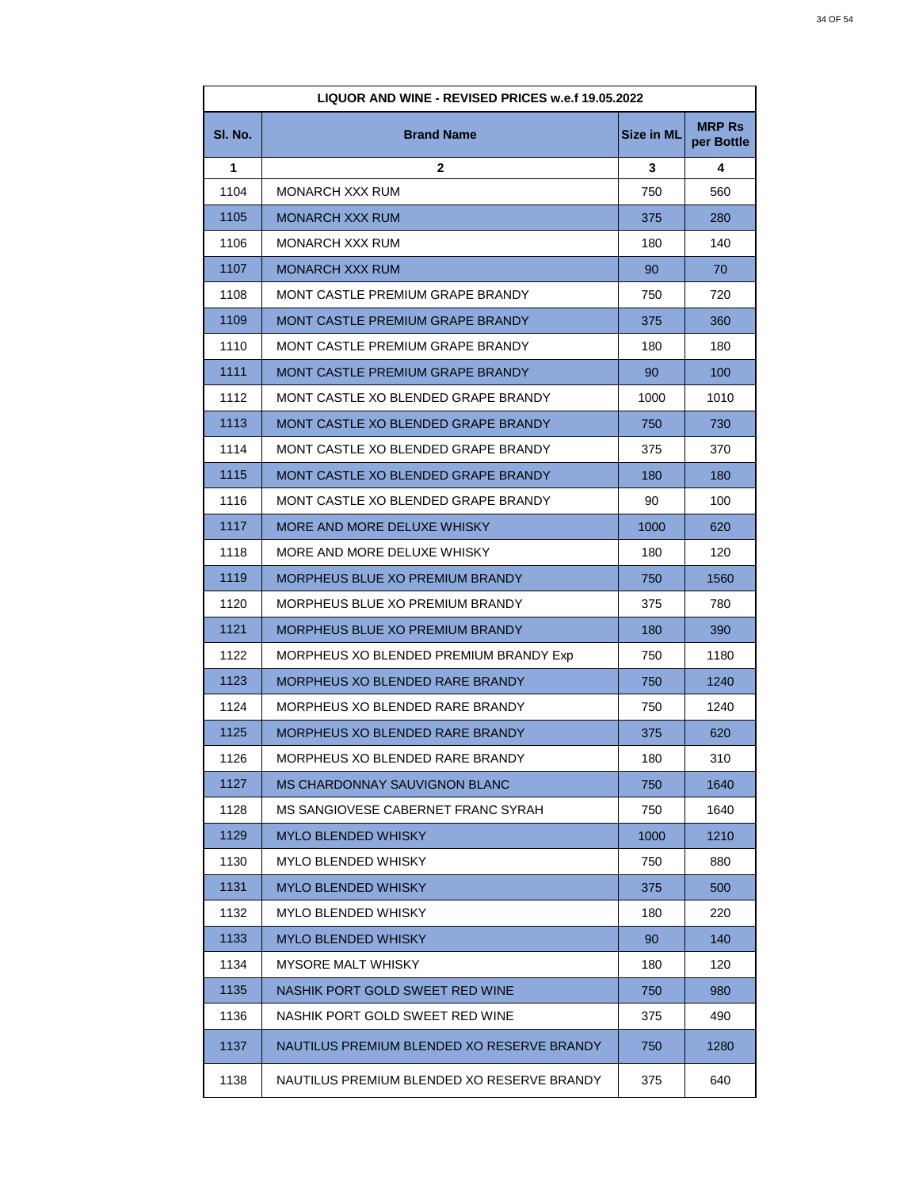| <b>LIQUOR AND WINE - REVISED PRICES w.e.f 19.05.2022</b> |                                            |                   |                             |
|----------------------------------------------------------|--------------------------------------------|-------------------|-----------------------------|
| SI. No.                                                  | <b>Brand Name</b>                          | <b>Size in ML</b> | <b>MRP Rs</b><br>per Bottle |
| 1                                                        | $\mathbf{2}$                               | 3                 | 4                           |
| 1104                                                     | MONARCH XXX RUM                            | 750               | 560                         |
| 1105                                                     | <b>MONARCH XXX RUM</b>                     | 375               | 280                         |
| 1106                                                     | <b>MONARCH XXX RUM</b>                     | 180               | 140                         |
| 1107                                                     | <b>MONARCH XXX RUM</b>                     | 90                | 70                          |
| 1108                                                     | MONT CASTLE PREMIUM GRAPE BRANDY           | 750               | 720                         |
| 1109                                                     | MONT CASTLE PREMIUM GRAPE BRANDY           | 375               | 360                         |
| 1110                                                     | MONT CASTLE PREMIUM GRAPE BRANDY           | 180               | 180                         |
| 1111                                                     | <b>MONT CASTLE PREMIUM GRAPE BRANDY</b>    | 90                | 100                         |
| 1112                                                     | MONT CASTLE XO BLENDED GRAPE BRANDY        | 1000              | 1010                        |
| 1113                                                     | MONT CASTLE XO BLENDED GRAPE BRANDY        | 750               | 730                         |
| 1114                                                     | MONT CASTLE XO BLENDED GRAPE BRANDY        | 375               | 370                         |
| 1115                                                     | MONT CASTLE XO BLENDED GRAPE BRANDY        | 180               | 180                         |
| 1116                                                     | MONT CASTLE XO BLENDED GRAPE BRANDY        | 90                | 100                         |
| 1117                                                     | MORE AND MORE DELUXE WHISKY                | 1000              | 620                         |
| 1118                                                     | MORE AND MORE DELUXE WHISKY                | 180               | 120                         |
| 1119                                                     | MORPHEUS BLUE XO PREMIUM BRANDY            | 750               | 1560                        |
| 1120                                                     | MORPHEUS BLUE XO PREMIUM BRANDY            | 375               | 780                         |
| 1121                                                     | MORPHEUS BLUE XO PREMIUM BRANDY            | 180               | 390                         |
| 1122                                                     | MORPHEUS XO BLENDED PREMIUM BRANDY Exp     | 750               | 1180                        |
| 1123                                                     | MORPHEUS XO BLENDED RARE BRANDY            | 750               | 1240                        |
| 1124                                                     | MORPHEUS XO BLENDED RARE BRANDY            | 750               | 1240                        |
| 1125                                                     | MORPHEUS XO BLENDED RARE BRANDY            | 375               | 620                         |
| 1126                                                     | MORPHEUS XO BLENDED RARE BRANDY            | 180               | 310                         |
| 1127                                                     | <b>MS CHARDONNAY SAUVIGNON BLANC</b>       | 750               | 1640                        |
| 1128                                                     | MS SANGIOVESE CABERNET FRANC SYRAH         | 750               | 1640                        |
| 1129                                                     | <b>MYLO BLENDED WHISKY</b>                 | 1000              | 1210                        |
| 1130                                                     | MYLO BLENDED WHISKY                        | 750               | 880                         |
| 1131                                                     | <b>MYLO BLENDED WHISKY</b>                 | 375               | 500                         |
| 1132                                                     | MYLO BLENDED WHISKY                        | 180               | 220                         |
| 1133                                                     | <b>MYLO BLENDED WHISKY</b>                 | 90                | 140                         |
| 1134                                                     | MYSORE MALT WHISKY                         | 180               | 120                         |
| 1135                                                     | NASHIK PORT GOLD SWEET RED WINE            | 750               | 980                         |
| 1136                                                     | NASHIK PORT GOLD SWEET RED WINE            | 375               | 490                         |
| 1137                                                     | NAUTILUS PREMIUM BLENDED XO RESERVE BRANDY | 750               | 1280                        |
| 1138                                                     | NAUTILUS PREMIUM BLENDED XO RESERVE BRANDY | 375               | 640                         |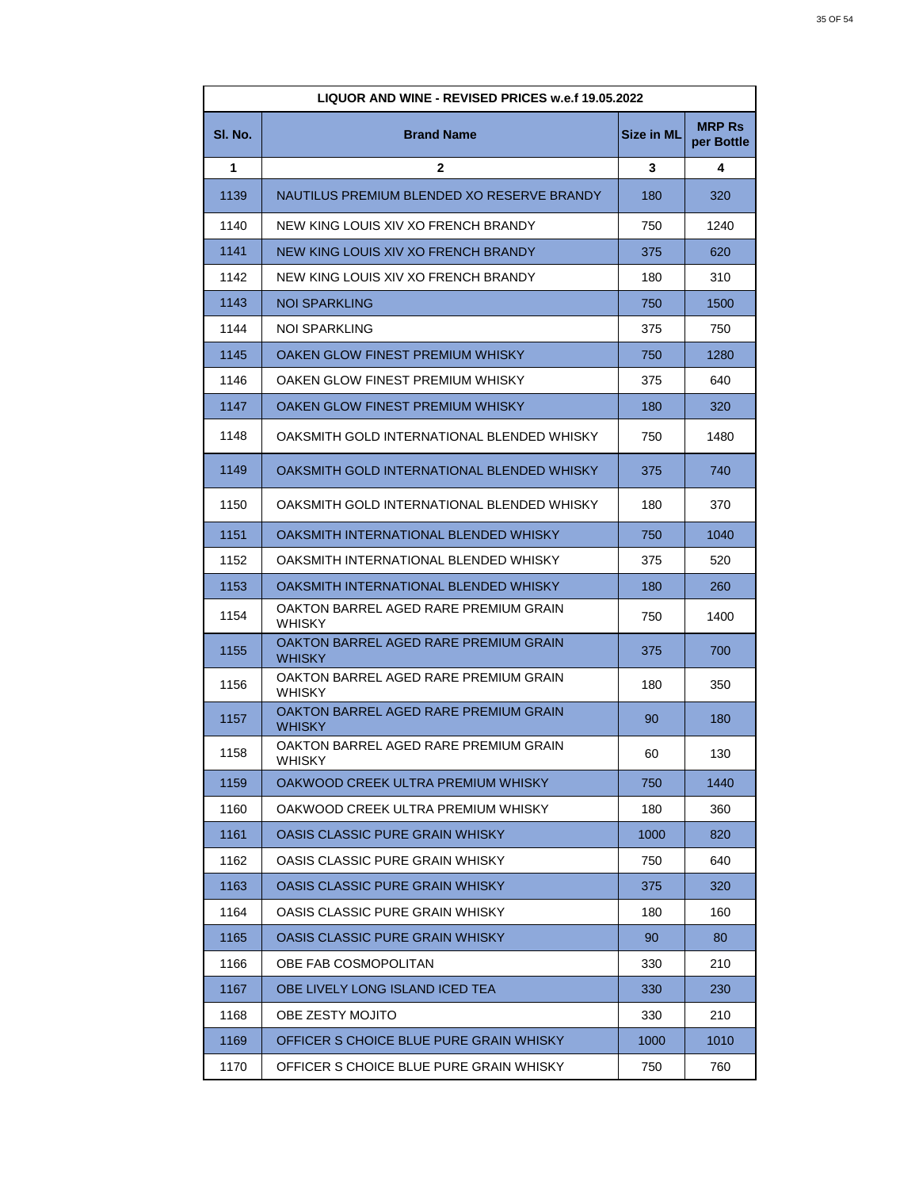| <b>LIQUOR AND WINE - REVISED PRICES w.e.f 19.05.2022</b> |                                                        |                   |                             |
|----------------------------------------------------------|--------------------------------------------------------|-------------------|-----------------------------|
| SI. No.                                                  | <b>Brand Name</b>                                      | <b>Size in ML</b> | <b>MRP Rs</b><br>per Bottle |
| 1                                                        | $\mathbf{2}$                                           | 3                 | 4                           |
| 1139                                                     | NAUTILUS PREMIUM BLENDED XO RESERVE BRANDY             | 180               | 320                         |
| 1140                                                     | NEW KING LOUIS XIV XO FRENCH BRANDY                    | 750               | 1240                        |
| 1141                                                     | NEW KING LOUIS XIV XO FRENCH BRANDY                    | 375               | 620                         |
| 1142                                                     | NEW KING LOUIS XIV XO FRENCH BRANDY                    | 180               | 310                         |
| 1143                                                     | NOI SPARKLING                                          | 750               | 1500                        |
| 1144                                                     | NOI SPARKLING                                          | 375               | 750                         |
| 1145                                                     | OAKEN GLOW FINEST PREMIUM WHISKY                       | 750               | 1280                        |
| 1146                                                     | OAKEN GLOW FINEST PREMIUM WHISKY                       | 375               | 640                         |
| 1147                                                     | OAKEN GLOW FINEST PREMIUM WHISKY                       | 180               | 320                         |
| 1148                                                     | OAKSMITH GOLD INTERNATIONAL BLENDED WHISKY             | 750               | 1480                        |
| 1149                                                     | OAKSMITH GOLD INTERNATIONAL BLENDED WHISKY             | 375               | 740                         |
| 1150                                                     | OAKSMITH GOLD INTERNATIONAL BLENDED WHISKY             | 180               | 370                         |
| 1151                                                     | OAKSMITH INTERNATIONAL BLENDED WHISKY                  | 750               | 1040                        |
| 1152                                                     | OAKSMITH INTERNATIONAL BLENDED WHISKY                  | 375               | 520                         |
| 1153                                                     | OAKSMITH INTERNATIONAL BLENDED WHISKY                  | 180               | 260                         |
| 1154                                                     | OAKTON BARREL AGED RARE PREMIUM GRAIN<br><b>WHISKY</b> | 750               | 1400                        |
| 1155                                                     | OAKTON BARREL AGED RARE PREMIUM GRAIN<br><b>WHISKY</b> | 375               | 700                         |
| 1156                                                     | OAKTON BARREL AGED RARE PREMIUM GRAIN<br><b>WHISKY</b> | 180               | 350                         |
| 1157                                                     | OAKTON BARREL AGED RARE PREMIUM GRAIN<br>WHISKY        | 90                | 180                         |
| 1158                                                     | OAKTON BARREL AGED RARE PREMIUM GRAIN<br>WHISKY        | 60                | 130                         |
| 1159                                                     | OAKWOOD CREEK ULTRA PREMIUM WHISKY                     | 750               | 1440                        |
| 1160                                                     | OAKWOOD CREEK ULTRA PREMIUM WHISKY                     | 180               | 360                         |
| 1161                                                     | OASIS CLASSIC PURE GRAIN WHISKY                        | 1000              | 820                         |
| 1162                                                     | OASIS CLASSIC PURE GRAIN WHISKY                        | 750               | 640                         |
| 1163                                                     | OASIS CLASSIC PURE GRAIN WHISKY                        | 375               | 320                         |
| 1164                                                     | OASIS CLASSIC PURE GRAIN WHISKY                        | 180               | 160                         |
| 1165                                                     | OASIS CLASSIC PURE GRAIN WHISKY                        | 90                | 80                          |
| 1166                                                     | OBE FAB COSMOPOLITAN                                   | 330               | 210                         |
| 1167                                                     | OBE LIVELY LONG ISLAND ICED TEA                        | 330               | 230                         |
| 1168                                                     | OBE ZESTY MOJITO                                       | 330               | 210                         |
| 1169                                                     | OFFICER S CHOICE BLUE PURE GRAIN WHISKY                | 1000              | 1010                        |
| 1170                                                     | OFFICER S CHOICE BLUE PURE GRAIN WHISKY                | 750               | 760                         |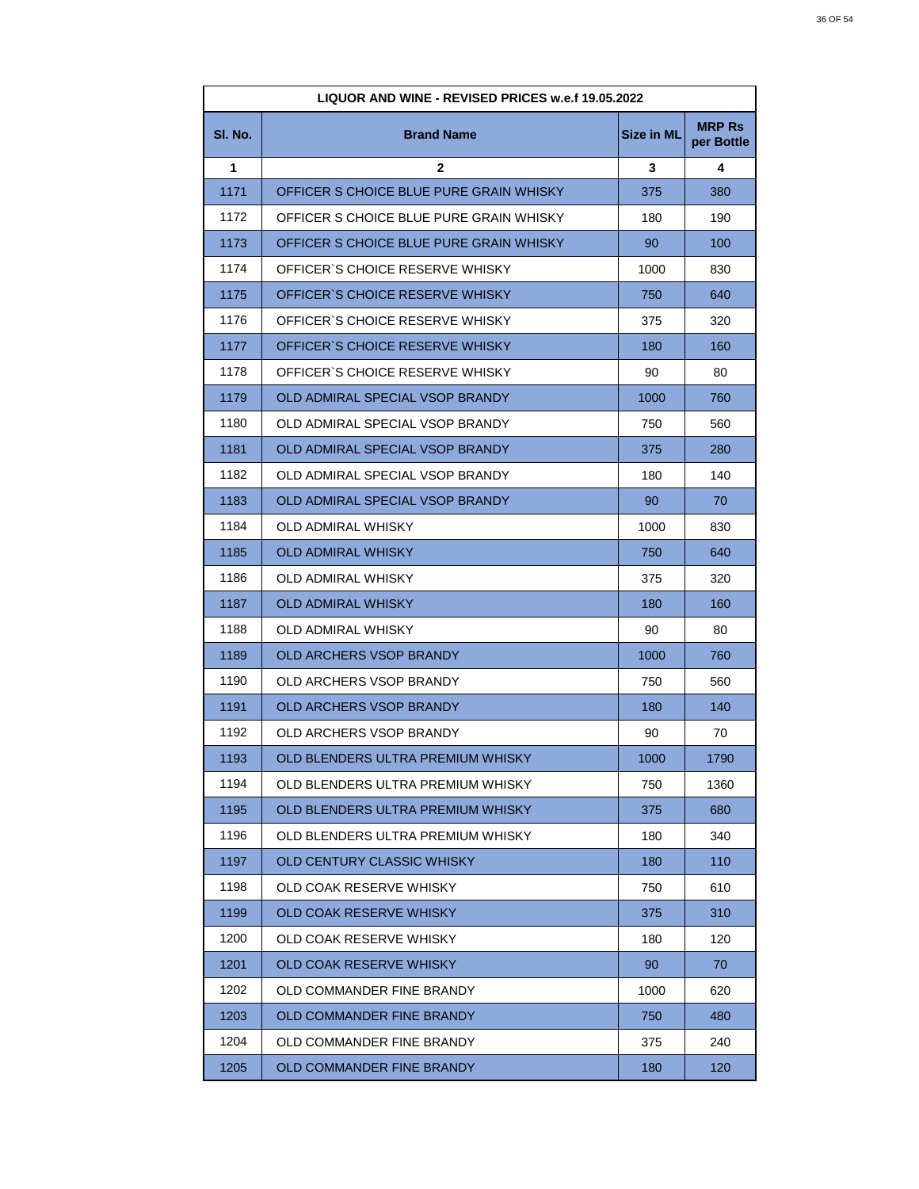| LIQUOR AND WINE - REVISED PRICES w.e.f 19.05.2022 |                                         |                   |                             |
|---------------------------------------------------|-----------------------------------------|-------------------|-----------------------------|
| SI. No.                                           | <b>Brand Name</b>                       | <b>Size in ML</b> | <b>MRP Rs</b><br>per Bottle |
| 1                                                 | 2                                       | 3                 | 4                           |
| 1171                                              | OFFICER S CHOICE BLUE PURE GRAIN WHISKY | 375               | 380                         |
| 1172                                              | OFFICER S CHOICE BLUE PURE GRAIN WHISKY | 180               | 190                         |
| 1173                                              | OFFICER S CHOICE BLUE PURE GRAIN WHISKY | 90                | 100                         |
| 1174                                              | OFFICER'S CHOICE RESERVE WHISKY         | 1000              | 830                         |
| 1175                                              | OFFICER'S CHOICE RESERVE WHISKY         | 750               | 640                         |
| 1176                                              | OFFICER'S CHOICE RESERVE WHISKY         | 375               | 320                         |
| 1177                                              | OFFICER'S CHOICE RESERVE WHISKY         | 180               | 160                         |
| 1178                                              | OFFICER'S CHOICE RESERVE WHISKY         | 90                | 80                          |
| 1179                                              | OLD ADMIRAL SPECIAL VSOP BRANDY         | 1000              | 760                         |
| 1180                                              | OLD ADMIRAL SPECIAL VSOP BRANDY         | 750               | 560                         |
| 1181                                              | OLD ADMIRAL SPECIAL VSOP BRANDY         | 375               | 280                         |
| 1182                                              | OLD ADMIRAL SPECIAL VSOP BRANDY         | 180               | 140                         |
| 1183                                              | OLD ADMIRAL SPECIAL VSOP BRANDY         | 90                | 70                          |
| 1184                                              | OLD ADMIRAL WHISKY                      | 1000              | 830                         |
| 1185                                              | <b>OLD ADMIRAL WHISKY</b>               | 750               | 640                         |
| 1186                                              | OLD ADMIRAL WHISKY                      | 375               | 320                         |
| 1187                                              | <b>OLD ADMIRAL WHISKY</b>               | 180               | 160                         |
| 1188                                              | OLD ADMIRAL WHISKY                      | 90                | 80                          |
| 1189                                              | <b>OLD ARCHERS VSOP BRANDY</b>          | 1000              | 760                         |
| 1190                                              | OLD ARCHERS VSOP BRANDY                 | 750               | 560                         |
| 1191                                              | OLD ARCHERS VSOP BRANDY                 | 180               | 140                         |
| 1192                                              | OLD ARCHERS VSOP BRANDY                 | 90                | 70                          |
| 1193                                              | OLD BLENDERS ULTRA PREMIUM WHISKY       | 1000              | 1790                        |
| 1194                                              | OLD BLENDERS ULTRA PREMIUM WHISKY       | 750               | 1360                        |
| 1195                                              | OLD BLENDERS ULTRA PREMIUM WHISKY       | 375               | 680                         |
| 1196                                              | OLD BLENDERS ULTRA PREMIUM WHISKY       | 180               | 340                         |
| 1197                                              | OLD CENTURY CLASSIC WHISKY              | 180               | 110                         |
| 1198                                              | OLD COAK RESERVE WHISKY                 | 750               | 610                         |
| 1199                                              | OLD COAK RESERVE WHISKY                 | 375               | 310                         |
| 1200                                              | OLD COAK RESERVE WHISKY                 | 180               | 120                         |
| 1201                                              | OLD COAK RESERVE WHISKY                 | 90                | 70                          |
| 1202                                              | OLD COMMANDER FINE BRANDY               | 1000              | 620                         |
| 1203                                              | OLD COMMANDER FINE BRANDY               | 750               | 480                         |
| 1204                                              | OLD COMMANDER FINE BRANDY               | 375               | 240                         |
| 1205                                              | OLD COMMANDER FINE BRANDY               | 180               | 120                         |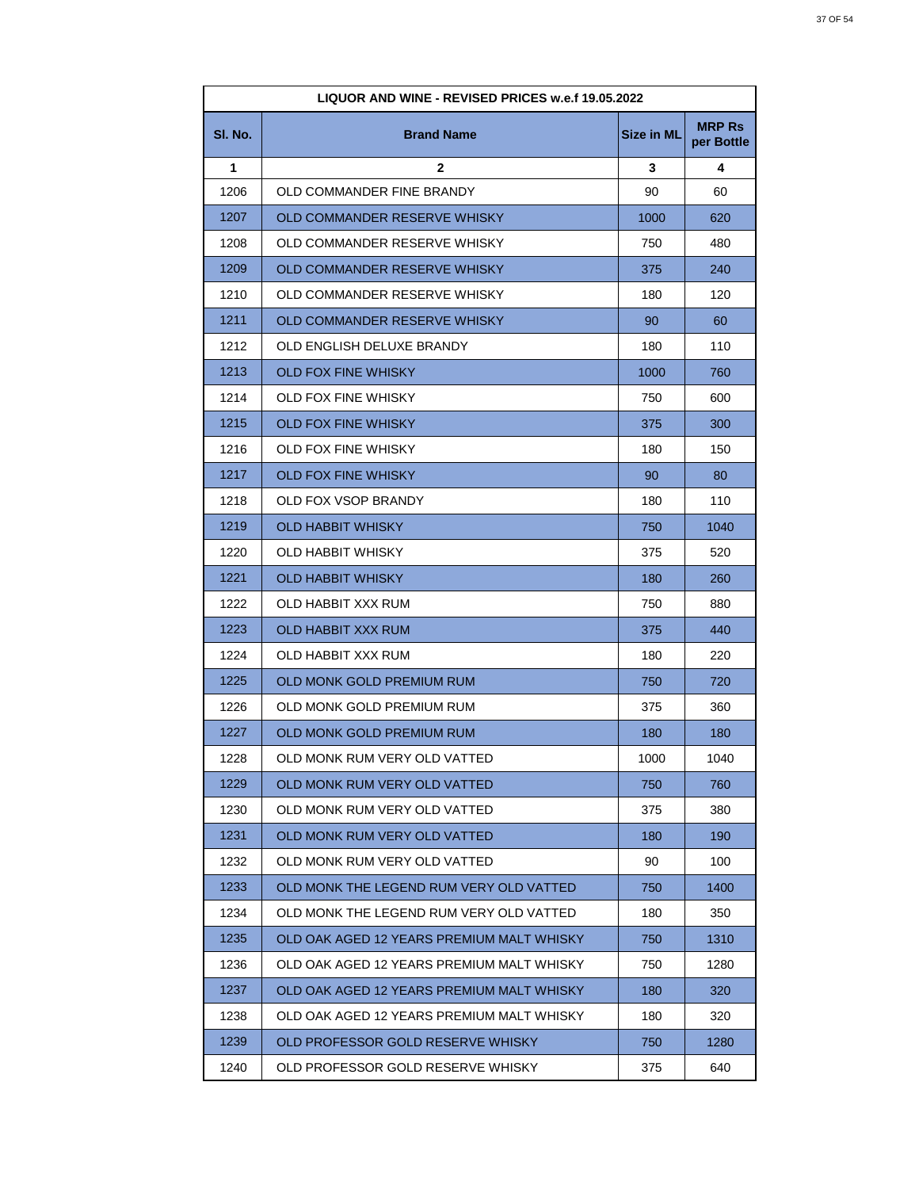| LIQUOR AND WINE - REVISED PRICES w.e.f 19.05.2022 |                                           |                   |                             |
|---------------------------------------------------|-------------------------------------------|-------------------|-----------------------------|
| SI. No.                                           | <b>Brand Name</b>                         | <b>Size in ML</b> | <b>MRP Rs</b><br>per Bottle |
| 1                                                 | 2                                         | 3                 | 4                           |
| 1206                                              | OLD COMMANDER FINE BRANDY                 | 90                | 60                          |
| 1207                                              | OLD COMMANDER RESERVE WHISKY              | 1000              | 620                         |
| 1208                                              | OLD COMMANDER RESERVE WHISKY              | 750               | 480                         |
| 1209                                              | OLD COMMANDER RESERVE WHISKY              | 375               | 240                         |
| 1210                                              | OLD COMMANDER RESERVE WHISKY              | 180               | 120                         |
| 1211                                              | OLD COMMANDER RESERVE WHISKY              | 90                | 60                          |
| 1212                                              | OLD ENGLISH DELUXE BRANDY                 | 180               | 110                         |
| 1213                                              | <b>OLD FOX FINE WHISKY</b>                | 1000              | 760                         |
| 1214                                              | OLD FOX FINE WHISKY                       | 750               | 600                         |
| 1215                                              | <b>OLD FOX FINE WHISKY</b>                | 375               | 300                         |
| 1216                                              | OLD FOX FINE WHISKY                       | 180               | 150                         |
| 1217                                              | OLD FOX FINE WHISKY                       | 90                | 80                          |
| 1218                                              | OLD FOX VSOP BRANDY                       | 180               | 110                         |
| 1219                                              | OLD HABBIT WHISKY                         | 750               | 1040                        |
| 1220                                              | OLD HABBIT WHISKY                         | 375               | 520                         |
| 1221                                              | <b>OLD HABBIT WHISKY</b>                  | 180               | 260                         |
| 1222                                              | OLD HABBIT XXX RUM                        | 750               | 880                         |
| 1223                                              | OLD HABBIT XXX RUM                        | 375               | 440                         |
| 1224                                              | OLD HABBIT XXX RUM                        | 180               | 220                         |
| 1225                                              | OLD MONK GOLD PREMIUM RUM                 | 750               | 720                         |
| 1226                                              | OLD MONK GOLD PREMIUM RUM                 | 375               | 360                         |
| 1227                                              | OLD MONK GOLD PREMIUM RUM                 | 180               | 180                         |
| 1228                                              | OLD MONK RUM VERY OLD VATTED              | 1000              | 1040                        |
| 1229                                              | OLD MONK RUM VERY OLD VATTED              | 750               | 760                         |
| 1230                                              | OLD MONK RUM VERY OLD VATTED              | 375               | 380                         |
| 1231                                              | OLD MONK RUM VERY OLD VATTED              | 180               | 190                         |
| 1232                                              | OLD MONK RUM VERY OLD VATTED              | 90                | 100                         |
| 1233                                              | OLD MONK THE LEGEND RUM VERY OLD VATTED   | 750               | 1400                        |
| 1234                                              | OLD MONK THE LEGEND RUM VERY OLD VATTED   | 180               | 350                         |
| 1235                                              | OLD OAK AGED 12 YEARS PREMIUM MALT WHISKY | 750               | 1310                        |
| 1236                                              | OLD OAK AGED 12 YEARS PREMIUM MALT WHISKY | 750               | 1280                        |
| 1237                                              | OLD OAK AGED 12 YEARS PREMIUM MALT WHISKY | 180               | 320                         |
| 1238                                              | OLD OAK AGED 12 YEARS PREMIUM MALT WHISKY | 180               | 320                         |
| 1239                                              | OLD PROFESSOR GOLD RESERVE WHISKY         | 750               | 1280                        |
| 1240                                              | OLD PROFESSOR GOLD RESERVE WHISKY         | 375               | 640                         |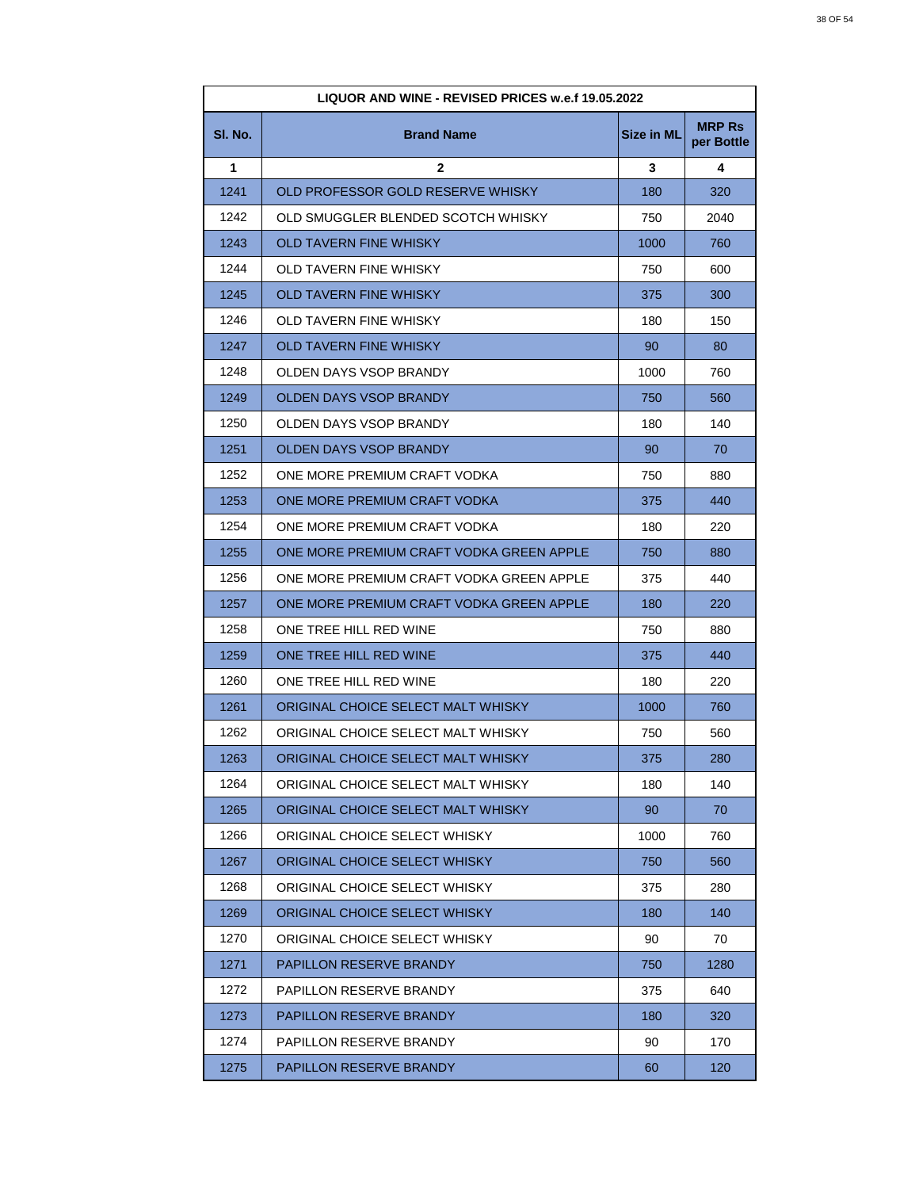| LIQUOR AND WINE - REVISED PRICES w.e.f 19.05.2022 |                                          |                   |                             |
|---------------------------------------------------|------------------------------------------|-------------------|-----------------------------|
| SI. No.                                           | <b>Brand Name</b>                        | <b>Size in ML</b> | <b>MRP Rs</b><br>per Bottle |
| 1                                                 | $\mathbf{2}$                             | 3                 | 4                           |
| 1241                                              | OLD PROFESSOR GOLD RESERVE WHISKY        | 180               | 320                         |
| 1242                                              | OLD SMUGGLER BLENDED SCOTCH WHISKY       | 750               | 2040                        |
| 1243                                              | <b>OLD TAVERN FINE WHISKY</b>            | 1000              | 760                         |
| 1244                                              | <b>OLD TAVERN FINE WHISKY</b>            | 750               | 600                         |
| 1245                                              | OLD TAVERN FINE WHISKY                   | 375               | 300                         |
| 1246                                              | OLD TAVERN FINE WHISKY                   | 180               | 150                         |
| 1247                                              | OLD TAVERN FINE WHISKY                   | 90                | 80                          |
| 1248                                              | OLDEN DAYS VSOP BRANDY                   | 1000              | 760                         |
| 1249                                              | OLDEN DAYS VSOP BRANDY                   | 750               | 560                         |
| 1250                                              | OLDEN DAYS VSOP BRANDY                   | 180               | 140                         |
| 1251                                              | OLDEN DAYS VSOP BRANDY                   | 90                | 70                          |
| 1252                                              | ONE MORE PREMIUM CRAFT VODKA             | 750               | 880                         |
| 1253                                              | ONE MORE PREMIUM CRAFT VODKA             | 375               | 440                         |
| 1254                                              | ONE MORE PREMIUM CRAFT VODKA             | 180               | 220                         |
| 1255                                              | ONE MORE PREMIUM CRAFT VODKA GREEN APPLE | 750               | 880                         |
| 1256                                              | ONE MORE PREMIUM CRAFT VODKA GREEN APPLE | 375               | 440                         |
| 1257                                              | ONE MORE PREMIUM CRAFT VODKA GREEN APPLE | 180               | 220                         |
| 1258                                              | ONE TREE HILL RED WINE                   | 750               | 880                         |
| 1259                                              | ONE TREE HILL RED WINE                   | 375               | 440                         |
| 1260                                              | ONE TREE HILL RED WINE                   | 180               | 220                         |
| 1261                                              | ORIGINAL CHOICE SELECT MALT WHISKY       | 1000              | 760                         |
| 1262                                              | ORIGINAL CHOICE SELECT MALT WHISKY       | 750               | 560                         |
| 1263                                              | ORIGINAL CHOICE SELECT MALT WHISKY       | 375               | 280                         |
| 1264                                              | ORIGINAL CHOICE SELECT MALT WHISKY       | 180               | 140                         |
| 1265                                              | ORIGINAL CHOICE SELECT MALT WHISKY       | 90                | 70                          |
| 1266                                              | ORIGINAL CHOICE SELECT WHISKY            | 1000              | 760                         |
| 1267                                              | ORIGINAL CHOICE SELECT WHISKY            | 750               | 560                         |
| 1268                                              | ORIGINAL CHOICE SELECT WHISKY            | 375               | 280                         |
| 1269                                              | ORIGINAL CHOICE SELECT WHISKY            | 180               | 140                         |
| 1270                                              | ORIGINAL CHOICE SELECT WHISKY            | 90                | 70                          |
| 1271                                              | PAPILLON RESERVE BRANDY                  | 750               | 1280                        |
| 1272                                              | PAPILLON RESERVE BRANDY                  | 375               | 640                         |
| 1273                                              | <b>PAPILLON RESERVE BRANDY</b>           | 180               | 320                         |
| 1274                                              | PAPILLON RESERVE BRANDY                  | 90                | 170                         |
| 1275                                              | PAPILLON RESERVE BRANDY                  | 60                | 120                         |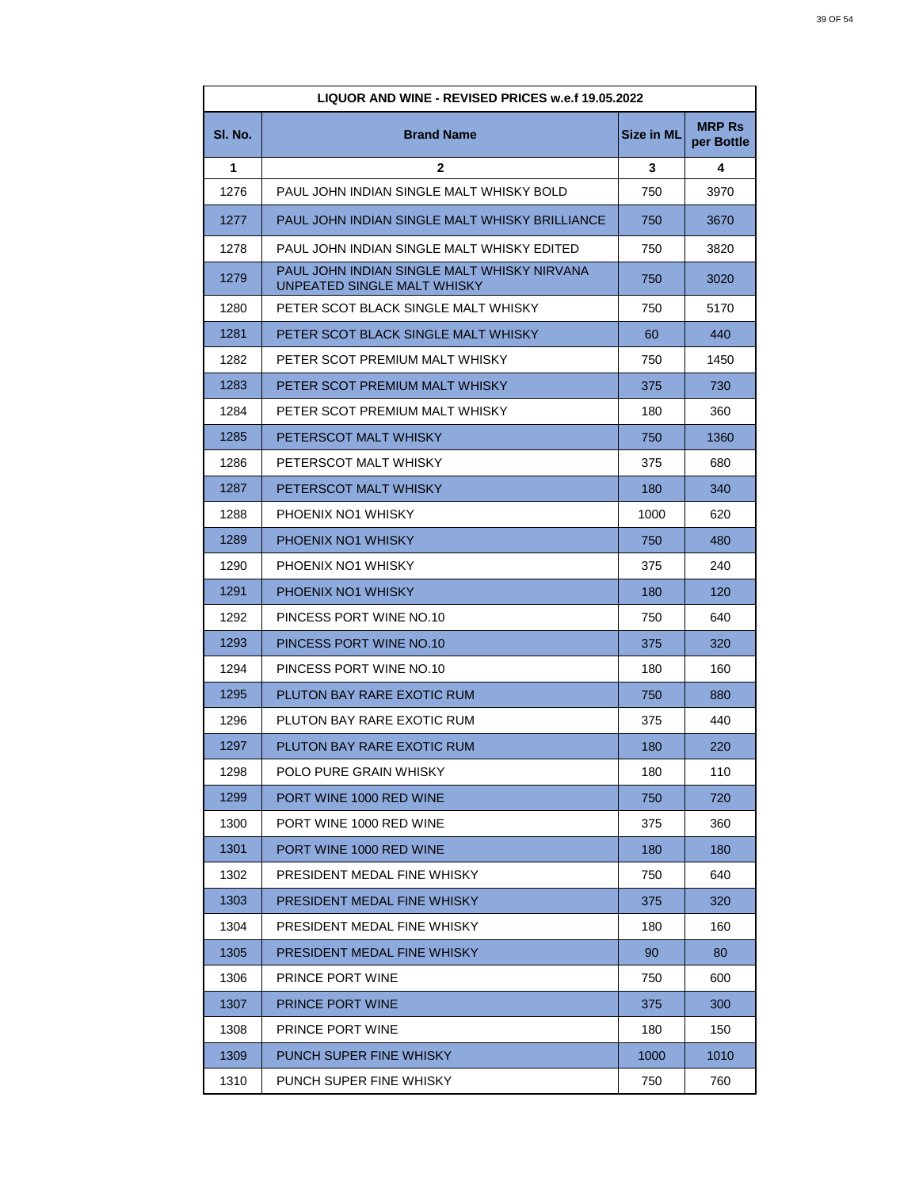| LIQUOR AND WINE - REVISED PRICES w.e.f 19.05.2022 |                                                                            |                   |                             |
|---------------------------------------------------|----------------------------------------------------------------------------|-------------------|-----------------------------|
| SI. No.                                           | <b>Brand Name</b>                                                          | <b>Size in ML</b> | <b>MRP Rs</b><br>per Bottle |
| 1                                                 | $\mathbf{2}$                                                               | 3                 | 4                           |
| 1276                                              | PAUL JOHN INDIAN SINGLE MALT WHISKY BOLD                                   | 750               | 3970                        |
| 1277                                              | PAUL JOHN INDIAN SINGLE MALT WHISKY BRILLIANCE                             | 750               | 3670                        |
| 1278                                              | PAUL JOHN INDIAN SINGLE MALT WHISKY EDITED                                 | 750               | 3820                        |
| 1279                                              | PAUL JOHN INDIAN SINGLE MALT WHISKY NIRVANA<br>UNPEATED SINGLE MALT WHISKY | 750               | 3020                        |
| 1280                                              | PETER SCOT BLACK SINGLE MALT WHISKY                                        | 750               | 5170                        |
| 1281                                              | PETER SCOT BLACK SINGLE MALT WHISKY                                        | 60                | 440                         |
| 1282                                              | PETER SCOT PREMIUM MALT WHISKY                                             | 750               | 1450                        |
| 1283                                              | PETER SCOT PREMIUM MALT WHISKY                                             | 375               | 730                         |
| 1284                                              | PETER SCOT PREMIUM MALT WHISKY                                             | 180               | 360                         |
| 1285                                              | PETERSCOT MALT WHISKY                                                      | 750               | 1360                        |
| 1286                                              | PETERSCOT MALT WHISKY                                                      | 375               | 680                         |
| 1287                                              | PETERSCOT MALT WHISKY                                                      | 180               | 340                         |
| 1288                                              | PHOENIX NO1 WHISKY                                                         | 1000              | 620                         |
| 1289                                              | PHOENIX NO1 WHISKY                                                         | 750               | 480                         |
| 1290                                              | PHOENIX NO1 WHISKY                                                         | 375               | 240                         |
| 1291                                              | PHOENIX NO1 WHISKY                                                         | 180               | 120                         |
| 1292                                              | PINCESS PORT WINE NO.10                                                    | 750               | 640                         |
| 1293                                              | PINCESS PORT WINE NO.10                                                    | 375               | 320                         |
| 1294                                              | PINCESS PORT WINE NO.10                                                    | 180               | 160                         |
| 1295                                              | PLUTON BAY RARE EXOTIC RUM                                                 | 750               | 880                         |
| 1296                                              | PLUTON BAY RARE EXOTIC RUM                                                 | 375               | 440                         |
| 1297                                              | PLUTON BAY RARE EXOTIC RUM                                                 | 180               | 220                         |
| 1298                                              | POLO PURE GRAIN WHISKY                                                     | 180               | 110                         |
| 1299                                              | PORT WINE 1000 RED WINE                                                    | 750               | 720                         |
| 1300                                              | PORT WINE 1000 RED WINE                                                    | 375               | 360                         |
| 1301                                              | PORT WINE 1000 RED WINE                                                    | 180               | 180                         |
| 1302                                              | PRESIDENT MEDAL FINE WHISKY                                                | 750               | 640                         |
| 1303                                              | PRESIDENT MEDAL FINE WHISKY                                                | 375               | 320                         |
| 1304                                              | PRESIDENT MEDAL FINE WHISKY                                                | 180               | 160                         |
| 1305                                              | PRESIDENT MEDAL FINE WHISKY                                                | 90                | 80                          |
| 1306                                              | PRINCE PORT WINE                                                           | 750               | 600                         |
| 1307                                              | PRINCE PORT WINE                                                           | 375               | 300                         |
| 1308                                              | <b>PRINCE PORT WINE</b>                                                    | 180               | 150                         |
| 1309                                              | PUNCH SUPER FINE WHISKY                                                    | 1000              | 1010                        |
| 1310                                              | PUNCH SUPER FINE WHISKY                                                    | 750               | 760                         |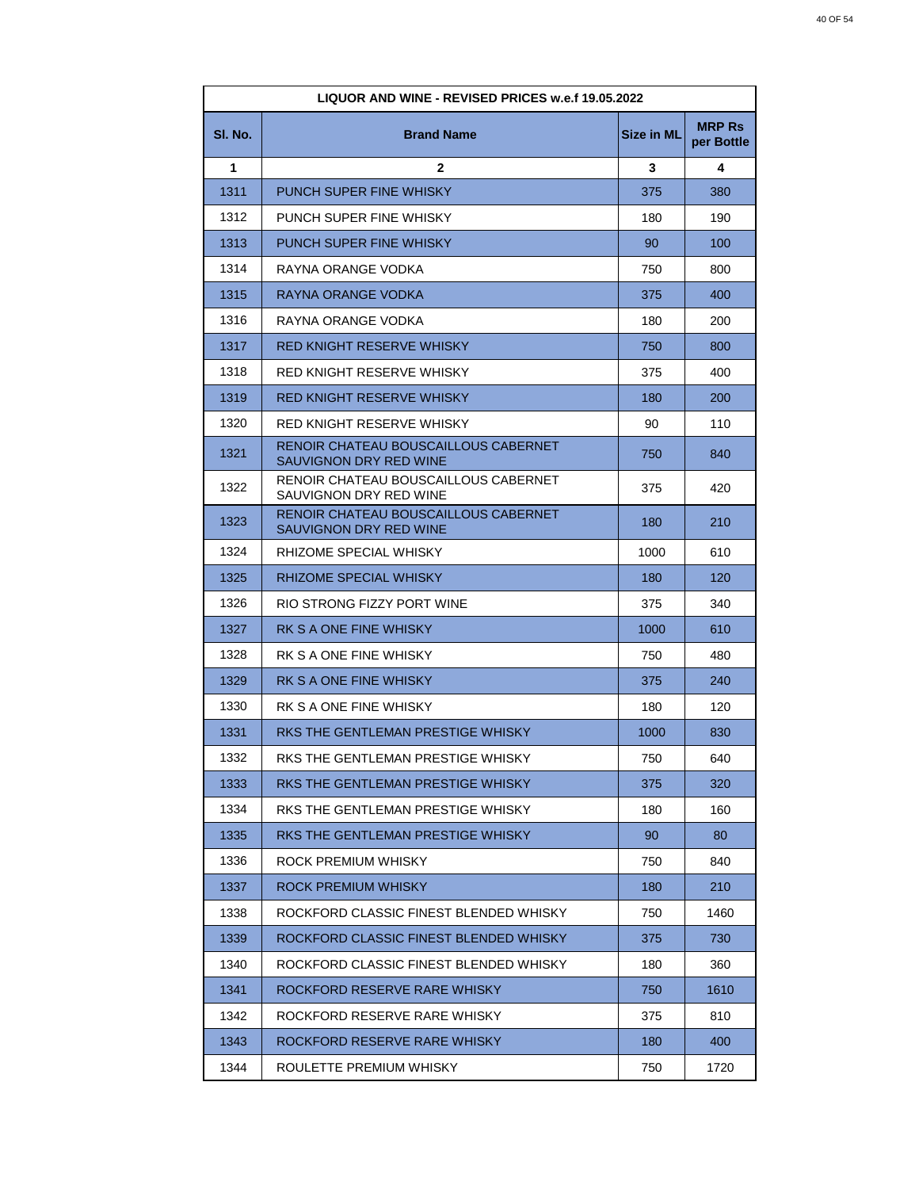| LIQUOR AND WINE - REVISED PRICES w.e.f 19.05.2022 |                                                                |                   |                             |
|---------------------------------------------------|----------------------------------------------------------------|-------------------|-----------------------------|
| SI. No.                                           | <b>Brand Name</b>                                              | <b>Size in ML</b> | <b>MRP Rs</b><br>per Bottle |
| 1                                                 | $\mathbf{2}$                                                   | 3                 | 4                           |
| 1311                                              | PUNCH SUPER FINE WHISKY                                        | 375               | 380                         |
| 1312                                              | PUNCH SUPER FINE WHISKY                                        | 180               | 190                         |
| 1313                                              | <b>PUNCH SUPER FINE WHISKY</b>                                 | 90                | 100                         |
| 1314                                              | RAYNA ORANGE VODKA                                             | 750               | 800                         |
| 1315                                              | RAYNA ORANGE VODKA                                             | 375               | 400                         |
| 1316                                              | RAYNA ORANGE VODKA                                             | 180               | 200                         |
| 1317                                              | RED KNIGHT RESERVE WHISKY                                      | 750               | 800                         |
| 1318                                              | RED KNIGHT RESERVE WHISKY                                      | 375               | 400                         |
| 1319                                              | <b>RED KNIGHT RESERVE WHISKY</b>                               | 180               | 200                         |
| 1320                                              | RED KNIGHT RESERVE WHISKY                                      | 90                | 110                         |
| 1321                                              | RENOIR CHATEAU BOUSCAILLOUS CABERNET<br>SAUVIGNON DRY RED WINE | 750               | 840                         |
| 1322                                              | RENOIR CHATEAU BOUSCAILLOUS CABERNET<br>SAUVIGNON DRY RED WINE | 375               | 420                         |
| 1323                                              | RENOIR CHATEAU BOUSCAILLOUS CABERNET<br>SAUVIGNON DRY RED WINE | 180               | 210                         |
| 1324                                              | RHIZOME SPECIAL WHISKY                                         | 1000              | 610                         |
| 1325                                              | RHIZOME SPECIAL WHISKY                                         | 180               | 120                         |
| 1326                                              | RIO STRONG FIZZY PORT WINE                                     | 375               | 340                         |
| 1327                                              | RK S A ONE FINE WHISKY                                         | 1000              | 610                         |
| 1328                                              | RK S A ONE FINE WHISKY                                         | 750               | 480                         |
| 1329                                              | RK S A ONE FINE WHISKY                                         | 375               | 240                         |
| 1330                                              | RK S A ONE FINE WHISKY                                         | 180               | 120                         |
| 1331                                              | RKS THE GENTLEMAN PRESTIGE WHISKY                              | 1000              | 830                         |
| 1332                                              | RKS THE GENTLEMAN PRESTIGE WHISKY                              | 750               | 640                         |
| 1333                                              | RKS THE GENTLEMAN PRESTIGE WHISKY                              | 375               | 320                         |
| 1334                                              | RKS THE GENTLEMAN PRESTIGE WHISKY                              | 180               | 160                         |
| 1335                                              | RKS THE GENTLEMAN PRESTIGE WHISKY                              | 90                | 80                          |
| 1336                                              | ROCK PREMIUM WHISKY                                            | 750               | 840                         |
| 1337                                              | ROCK PREMIUM WHISKY                                            | 180               | 210                         |
| 1338                                              | ROCKFORD CLASSIC FINEST BLENDED WHISKY                         | 750               | 1460                        |
| 1339                                              | ROCKFORD CLASSIC FINEST BLENDED WHISKY                         | 375               | 730                         |
| 1340                                              | ROCKFORD CLASSIC FINEST BLENDED WHISKY                         | 180               | 360                         |
| 1341                                              | ROCKFORD RESERVE RARE WHISKY                                   | 750               | 1610                        |
| 1342                                              | ROCKFORD RESERVE RARE WHISKY                                   | 375               | 810                         |
| 1343                                              | ROCKFORD RESERVE RARE WHISKY                                   | 180               | 400                         |
| 1344                                              | ROULETTE PREMIUM WHISKY                                        | 750               | 1720                        |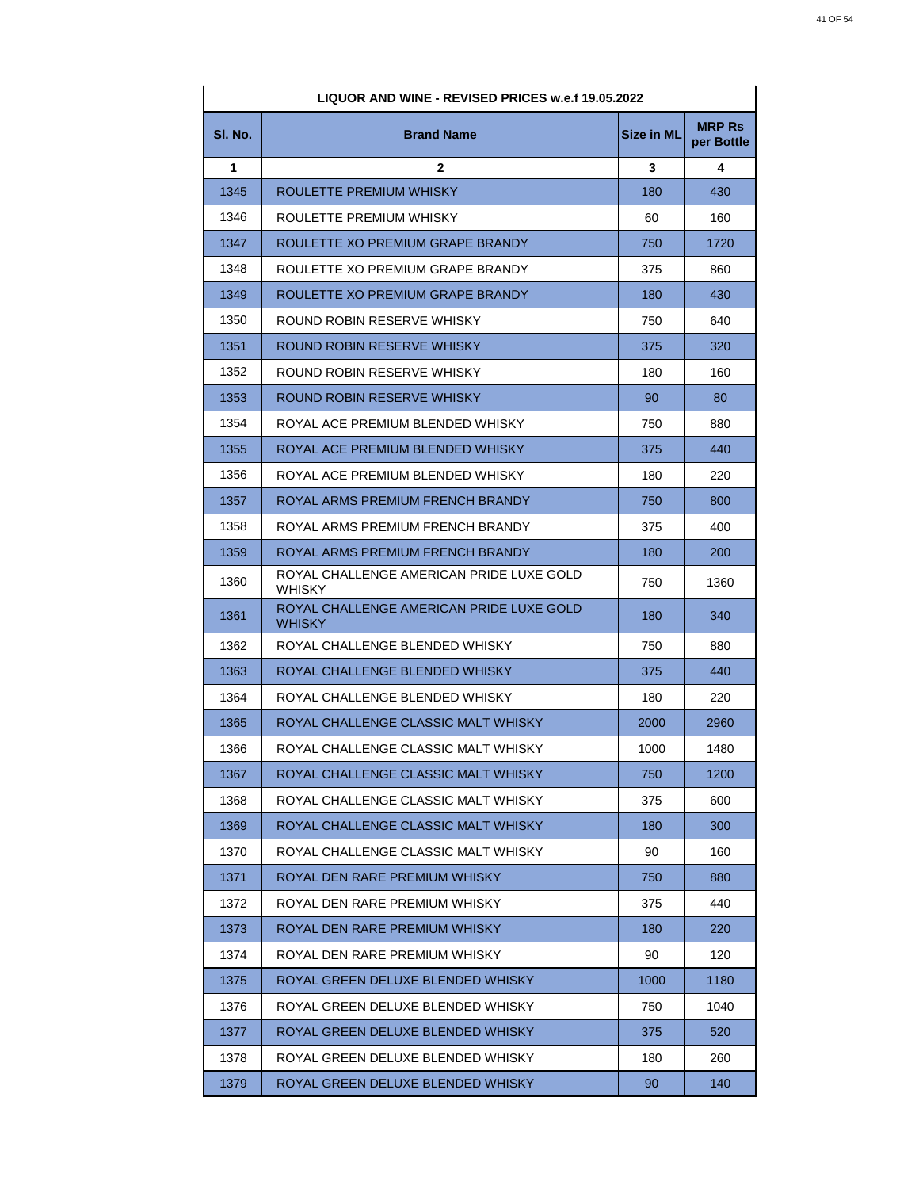| LIQUOR AND WINE - REVISED PRICES w.e.f 19.05.2022 |                                                    |                   |                             |
|---------------------------------------------------|----------------------------------------------------|-------------------|-----------------------------|
| SI. No.                                           | <b>Brand Name</b>                                  | <b>Size in ML</b> | <b>MRP Rs</b><br>per Bottle |
| 1                                                 | $\mathbf{2}$                                       | 3                 | 4                           |
| 1345                                              | ROULETTE PREMIUM WHISKY                            | 180               | 430                         |
| 1346                                              | ROULETTE PREMIUM WHISKY                            | 60                | 160                         |
| 1347                                              | ROULETTE XO PREMIUM GRAPE BRANDY                   | 750               | 1720                        |
| 1348                                              | ROULETTE XO PREMIUM GRAPE BRANDY                   | 375               | 860                         |
| 1349                                              | ROULETTE XO PREMIUM GRAPE BRANDY                   | 180               | 430                         |
| 1350                                              | ROUND ROBIN RESERVE WHISKY                         | 750               | 640                         |
| 1351                                              | ROUND ROBIN RESERVE WHISKY                         | 375               | 320                         |
| 1352                                              | ROUND ROBIN RESERVE WHISKY                         | 180               | 160                         |
| 1353                                              | ROUND ROBIN RESERVE WHISKY                         | 90                | 80                          |
| 1354                                              | ROYAL ACE PREMIUM BLENDED WHISKY                   | 750               | 880                         |
| 1355                                              | ROYAL ACE PREMIUM BLENDED WHISKY                   | 375               | 440                         |
| 1356                                              | ROYAL ACE PREMIUM BLENDED WHISKY                   | 180               | 220                         |
| 1357                                              | ROYAL ARMS PREMIUM FRENCH BRANDY                   | 750               | 800                         |
| 1358                                              | ROYAL ARMS PREMIUM FRENCH BRANDY                   | 375               | 400                         |
| 1359                                              | ROYAL ARMS PREMIUM FRENCH BRANDY                   | 180               | 200                         |
| 1360                                              | ROYAL CHALLENGE AMERICAN PRIDE LUXE GOLD<br>WHISKY | 750               | 1360                        |
| 1361                                              | ROYAL CHALLENGE AMERICAN PRIDE LUXE GOLD<br>WHISKY | 180               | 340                         |
| 1362                                              | ROYAL CHALLENGE BLENDED WHISKY                     | 750               | 880                         |
| 1363                                              | ROYAL CHALLENGE BLENDED WHISKY                     | 375               | 440                         |
| 1364                                              | ROYAL CHALLENGE BLENDED WHISKY                     | 180               | 220                         |
| 1365                                              | ROYAL CHALLENGE CLASSIC MALT WHISKY                | 2000              | 2960                        |
| 1366                                              | ROYAL CHALLENGE CLASSIC MALT WHISKY                | 1000              | 1480                        |
| 1367                                              | ROYAL CHALLENGE CLASSIC MALT WHISKY                | 750               | 1200                        |
| 1368                                              | ROYAL CHALLENGE CLASSIC MALT WHISKY                | 375               | 600                         |
| 1369                                              | ROYAL CHALLENGE CLASSIC MALT WHISKY                | 180               | 300                         |
| 1370                                              | ROYAL CHALLENGE CLASSIC MALT WHISKY                | 90                | 160                         |
| 1371                                              | ROYAL DEN RARE PREMIUM WHISKY                      | 750               | 880                         |
| 1372                                              | ROYAL DEN RARE PREMIUM WHISKY                      | 375               | 440                         |
| 1373                                              | ROYAL DEN RARE PREMIUM WHISKY                      | 180               | 220                         |
| 1374                                              | ROYAL DEN RARE PREMIUM WHISKY                      | 90                | 120                         |
| 1375                                              | ROYAL GREEN DELUXE BLENDED WHISKY                  | 1000              | 1180                        |
| 1376                                              | ROYAL GREEN DELUXE BLENDED WHISKY                  | 750               | 1040                        |
| 1377                                              | ROYAL GREEN DELUXE BLENDED WHISKY                  | 375               | 520                         |
| 1378                                              | ROYAL GREEN DELUXE BLENDED WHISKY                  | 180               | 260                         |
| 1379                                              | ROYAL GREEN DELUXE BLENDED WHISKY                  | 90                | 140                         |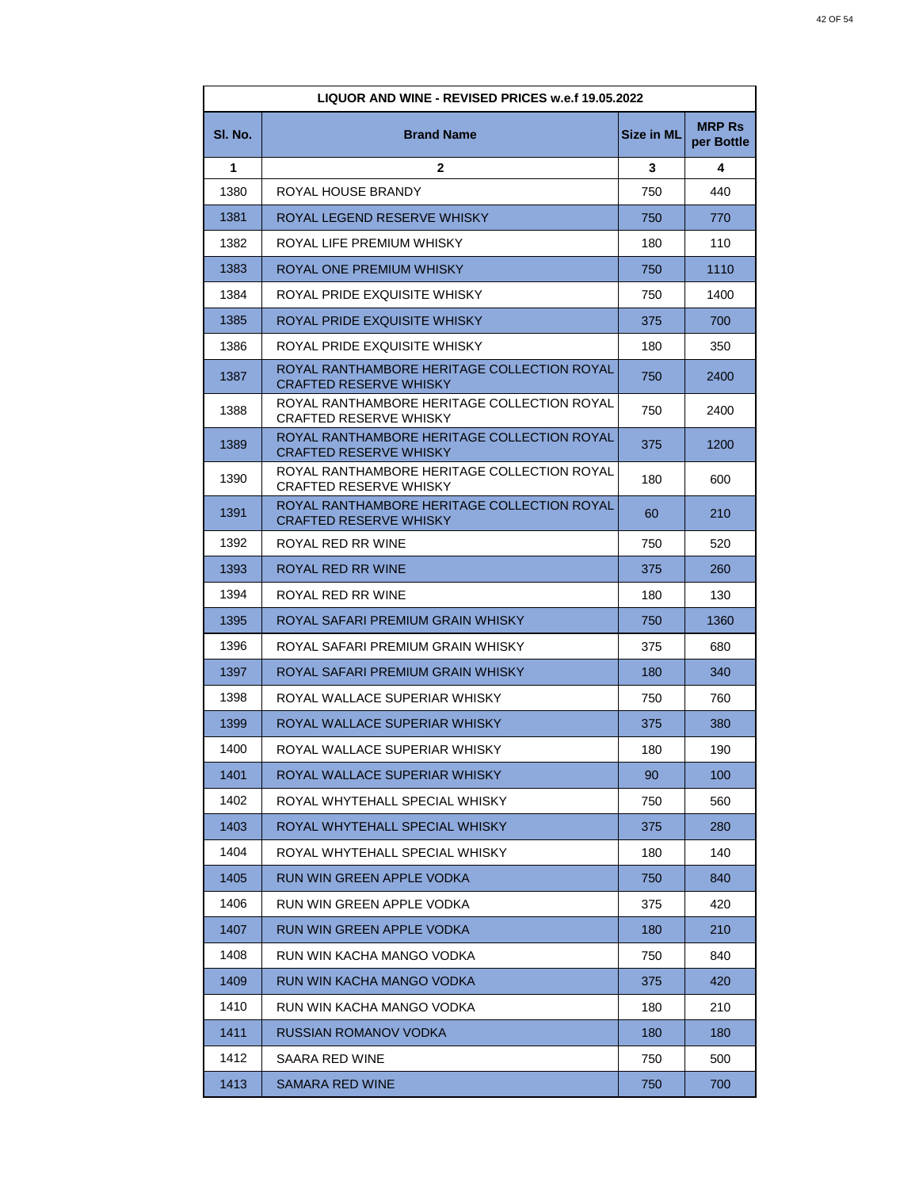| LIQUOR AND WINE - REVISED PRICES w.e.f 19.05.2022 |                                                                              |            |                             |
|---------------------------------------------------|------------------------------------------------------------------------------|------------|-----------------------------|
| SI. No.                                           | <b>Brand Name</b>                                                            | Size in ML | <b>MRP Rs</b><br>per Bottle |
| 1                                                 | $\mathbf{2}$                                                                 | 3          | 4                           |
| 1380                                              | ROYAL HOUSE BRANDY                                                           | 750        | 440                         |
| 1381                                              | ROYAL LEGEND RESERVE WHISKY                                                  | 750        | 770                         |
| 1382                                              | ROYAL LIFE PREMIUM WHISKY                                                    | 180        | 110                         |
| 1383                                              | ROYAL ONE PREMIUM WHISKY                                                     | 750        | 1110                        |
| 1384                                              | ROYAL PRIDE EXQUISITE WHISKY                                                 | 750        | 1400                        |
| 1385                                              | ROYAL PRIDE EXQUISITE WHISKY                                                 | 375        | 700                         |
| 1386                                              | ROYAL PRIDE EXQUISITE WHISKY                                                 | 180        | 350                         |
| 1387                                              | ROYAL RANTHAMBORE HERITAGE COLLECTION ROYAL<br><b>CRAFTED RESERVE WHISKY</b> | 750        | 2400                        |
| 1388                                              | ROYAL RANTHAMBORE HERITAGE COLLECTION ROYAL<br><b>CRAFTED RESERVE WHISKY</b> | 750        | 2400                        |
| 1389                                              | ROYAL RANTHAMBORE HERITAGE COLLECTION ROYAL<br><b>CRAFTED RESERVE WHISKY</b> | 375        | 1200                        |
| 1390                                              | ROYAL RANTHAMBORE HERITAGE COLLECTION ROYAL<br><b>CRAFTED RESERVE WHISKY</b> | 180        | 600                         |
| 1391                                              | ROYAL RANTHAMBORE HERITAGE COLLECTION ROYAL<br><b>CRAFTED RESERVE WHISKY</b> | 60         | 210                         |
| 1392                                              | ROYAL RED RR WINE                                                            | 750        | 520                         |
| 1393                                              | ROYAL RED RR WINE                                                            | 375        | 260                         |
| 1394                                              | ROYAL RED RR WINE                                                            | 180        | 130                         |
| 1395                                              | ROYAL SAFARI PREMIUM GRAIN WHISKY                                            | 750        | 1360                        |
| 1396                                              | ROYAL SAFARI PREMIUM GRAIN WHISKY                                            | 375        | 680                         |
| 1397                                              | ROYAL SAFARI PREMIUM GRAIN WHISKY                                            | 180        | 340                         |
| 1398                                              | ROYAL WALLACE SUPERIAR WHISKY                                                | 750        | 760                         |
| 1399                                              | ROYAL WALLACE SUPERIAR WHISKY                                                | 375        | 380                         |
| 1400                                              | ROYAL WALLACE SUPERIAR WHISKY                                                | 180        | 190                         |
| 1401                                              | ROYAL WALLACE SUPERIAR WHISKY                                                | 90         | 100                         |
| 1402                                              | ROYAL WHYTEHALL SPECIAL WHISKY                                               | 750        | 560                         |
| 1403                                              | ROYAL WHYTEHALL SPECIAL WHISKY                                               | 375        | 280                         |
| 1404                                              | ROYAL WHYTEHALL SPECIAL WHISKY                                               | 180        | 140                         |
| 1405                                              | RUN WIN GREEN APPLE VODKA                                                    | 750        | 840                         |
| 1406                                              | RUN WIN GREEN APPLE VODKA                                                    | 375        | 420                         |
| 1407                                              | RUN WIN GREEN APPLE VODKA                                                    | 180        | 210                         |
| 1408                                              | RUN WIN KACHA MANGO VODKA                                                    | 750        | 840                         |
| 1409                                              | RUN WIN KACHA MANGO VODKA                                                    | 375        | 420                         |
| 1410                                              | RUN WIN KACHA MANGO VODKA                                                    | 180        | 210                         |
| 1411                                              | RUSSIAN ROMANOV VODKA                                                        | 180        | 180                         |
| 1412                                              | SAARA RED WINE                                                               | 750        | 500                         |
| 1413                                              | SAMARA RED WINE                                                              | 750        | 700                         |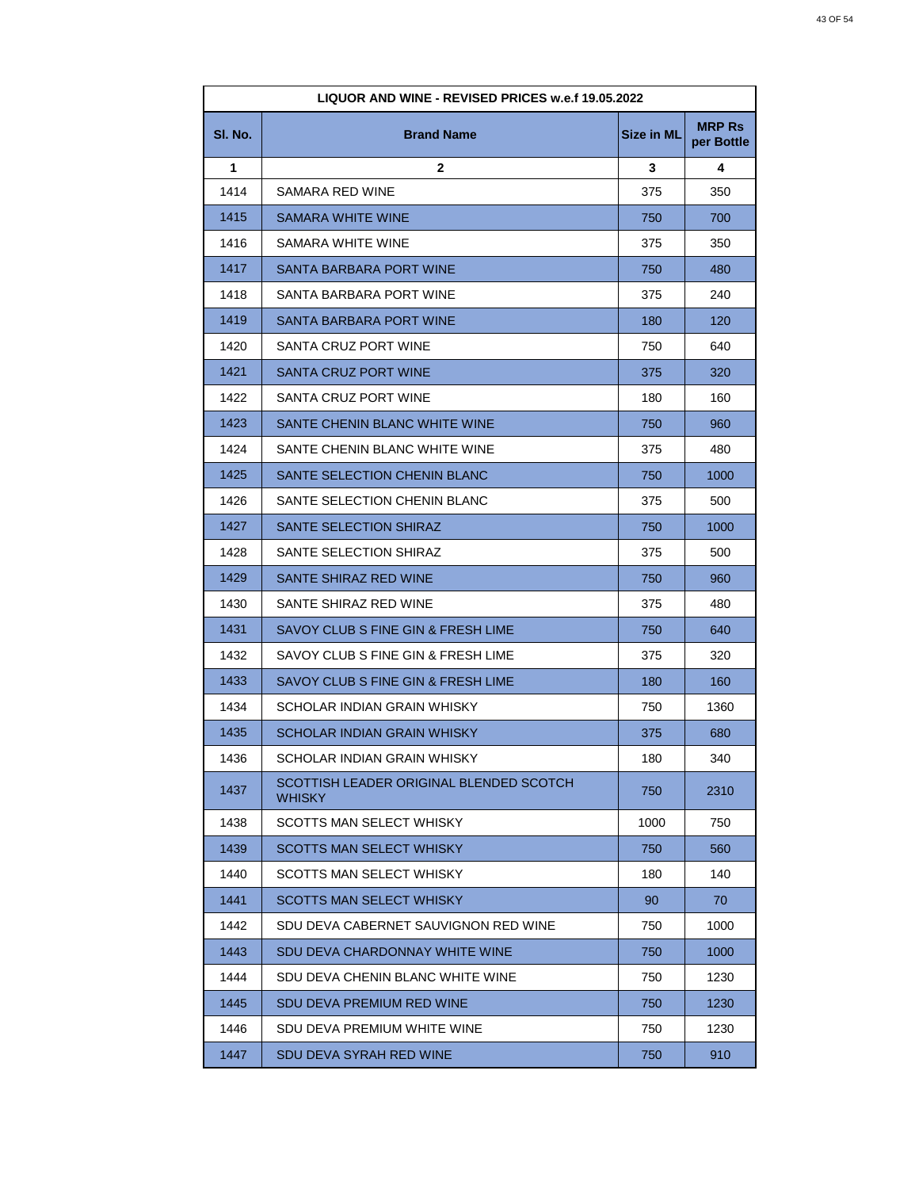| LIQUOR AND WINE - REVISED PRICES w.e.f 19.05.2022 |                                                          |            |                             |
|---------------------------------------------------|----------------------------------------------------------|------------|-----------------------------|
| SI. No.                                           | <b>Brand Name</b>                                        | Size in ML | <b>MRP Rs</b><br>per Bottle |
| 1                                                 | $\mathbf{2}$                                             | 3          | 4                           |
| 1414                                              | SAMARA RED WINE                                          | 375        | 350                         |
| 1415                                              | <b>SAMARA WHITE WINE</b>                                 | 750        | 700                         |
| 1416                                              | SAMARA WHITE WINE                                        | 375        | 350                         |
| 1417                                              | SANTA BARBARA PORT WINE                                  | 750        | 480                         |
| 1418                                              | SANTA BARBARA PORT WINE                                  | 375        | 240                         |
| 1419                                              | SANTA BARBARA PORT WINE                                  | 180        | 120                         |
| 1420                                              | SANTA CRUZ PORT WINE                                     | 750        | 640                         |
| 1421                                              | SANTA CRUZ PORT WINE                                     | 375        | 320                         |
| 1422                                              | SANTA CRUZ PORT WINE                                     | 180        | 160                         |
| 1423                                              | SANTE CHENIN BLANC WHITE WINE                            | 750        | 960                         |
| 1424                                              | SANTE CHENIN BLANC WHITE WINE                            | 375        | 480                         |
| 1425                                              | SANTE SELECTION CHENIN BLANC                             | 750        | 1000                        |
| 1426                                              | SANTE SELECTION CHENIN BLANC                             | 375        | 500                         |
| 1427                                              | SANTE SELECTION SHIRAZ                                   | 750        | 1000                        |
| 1428                                              | SANTE SELECTION SHIRAZ                                   | 375        | 500                         |
| 1429                                              | SANTE SHIRAZ RED WINE                                    | 750        | 960                         |
| 1430                                              | SANTE SHIRAZ RED WINE                                    | 375        | 480                         |
| 1431                                              | SAVOY CLUB S FINE GIN & FRESH LIME                       | 750        | 640                         |
| 1432                                              | SAVOY CLUB S FINE GIN & FRESH LIME                       | 375        | 320                         |
| 1433                                              | SAVOY CLUB S FINE GIN & FRESH LIME                       | 180        | 160                         |
| 1434                                              | SCHOLAR INDIAN GRAIN WHISKY                              | 750        | 1360                        |
| 1435                                              | SCHOLAR INDIAN GRAIN WHISKY                              | 375        | 680                         |
| 1436                                              | SCHOLAR INDIAN GRAIN WHISKY                              | 180        | 340                         |
| 1437                                              | SCOTTISH LEADER ORIGINAL BLENDED SCOTCH<br><b>WHISKY</b> | 750        | 2310                        |
| 1438                                              | SCOTTS MAN SELECT WHISKY                                 | 1000       | 750                         |
| 1439                                              | <b>SCOTTS MAN SELECT WHISKY</b>                          | 750        | 560                         |
| 1440                                              | <b>SCOTTS MAN SELECT WHISKY</b>                          | 180        | 140                         |
| 1441                                              | <b>SCOTTS MAN SELECT WHISKY</b>                          | 90         | 70                          |
| 1442                                              | SDU DEVA CABERNET SAUVIGNON RED WINE                     | 750        | 1000                        |
| 1443                                              | SDU DEVA CHARDONNAY WHITE WINE                           | 750        | 1000                        |
| 1444                                              | SDU DEVA CHENIN BLANC WHITE WINE                         | 750        | 1230                        |
| 1445                                              | SDU DEVA PREMIUM RED WINE                                | 750        | 1230                        |
| 1446                                              | SDU DEVA PREMIUM WHITE WINE                              | 750        | 1230                        |
| 1447                                              | SDU DEVA SYRAH RED WINE                                  | 750        | 910                         |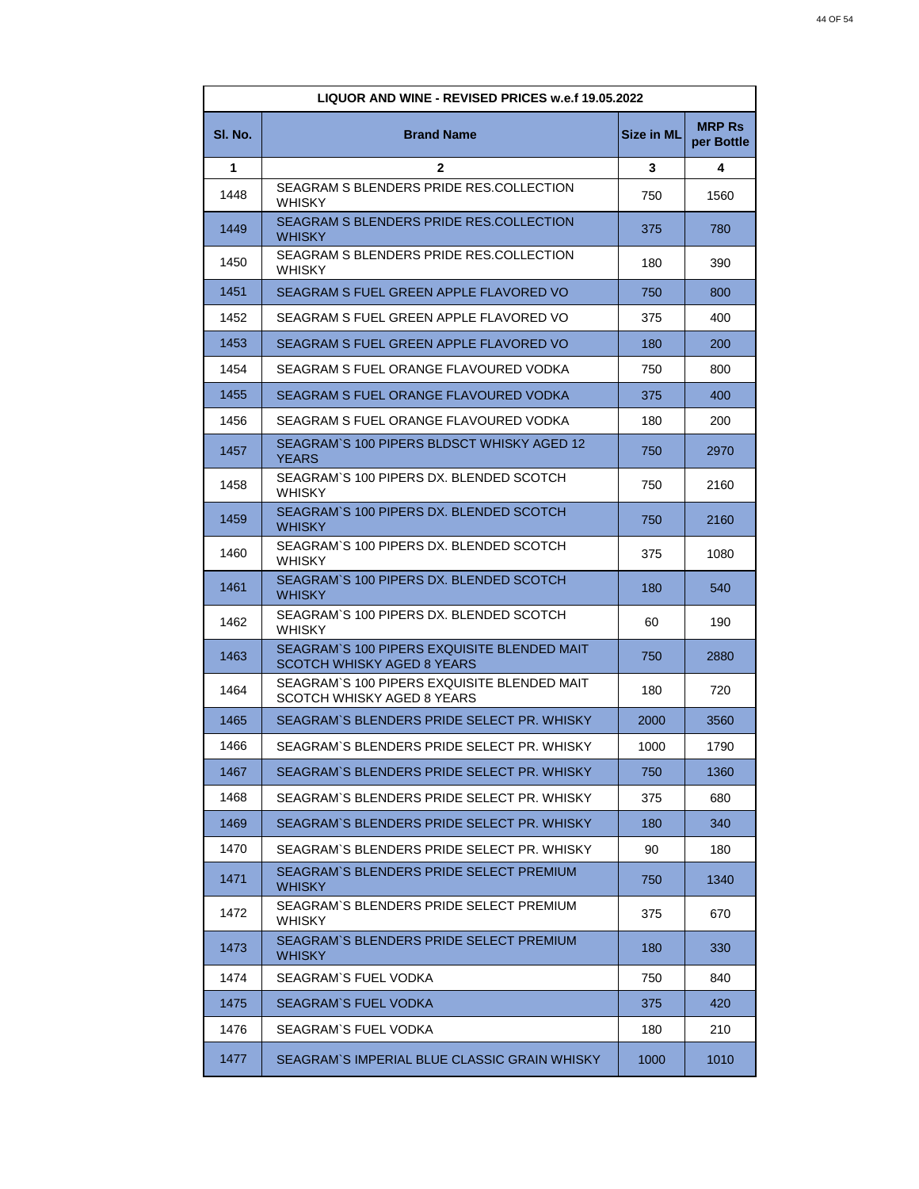| <b>LIQUOR AND WINE - REVISED PRICES w.e.f 19.05.2022</b> |                                                                           |                   |                             |
|----------------------------------------------------------|---------------------------------------------------------------------------|-------------------|-----------------------------|
| SI. No.                                                  | <b>Brand Name</b>                                                         | <b>Size in ML</b> | <b>MRP Rs</b><br>per Bottle |
| 1                                                        | $\mathbf{2}$                                                              | 3                 | 4                           |
| 1448                                                     | SEAGRAM S BLENDERS PRIDE RES.COLLECTION<br><b>WHISKY</b>                  | 750               | 1560                        |
| 1449                                                     | SEAGRAM S BLENDERS PRIDE RES.COLLECTION<br><b>WHISKY</b>                  | 375               | 780                         |
| 1450                                                     | SEAGRAM S BLENDERS PRIDE RES.COLLECTION<br><b>WHISKY</b>                  | 180               | 390                         |
| 1451                                                     | SEAGRAM S FUEL GREEN APPLE FLAVORED VO                                    | 750               | 800                         |
| 1452                                                     | SEAGRAM S FUEL GREEN APPLE FLAVORED VO                                    | 375               | 400                         |
| 1453                                                     | SEAGRAM S FUEL GREEN APPLE FLAVORED VO                                    | 180               | 200                         |
| 1454                                                     | SEAGRAM S FUEL ORANGE FLAVOURED VODKA                                     | 750               | 800                         |
| 1455                                                     | SEAGRAM S FUEL ORANGE FLAVOURED VODKA                                     | 375               | 400                         |
| 1456                                                     | SEAGRAM S FUEL ORANGE FLAVOURED VODKA                                     | 180               | 200                         |
| 1457                                                     | SEAGRAM`S 100 PIPERS BLDSCT WHISKY AGED 12<br>YEARS                       | 750               | 2970                        |
| 1458                                                     | SEAGRAM`S 100 PIPERS DX. BLENDED SCOTCH<br><b>WHISKY</b>                  | 750               | 2160                        |
| 1459                                                     | SEAGRAM`S 100 PIPERS DX. BLENDED SCOTCH<br><b>WHISKY</b>                  | 750               | 2160                        |
| 1460                                                     | SEAGRAM`S 100 PIPERS DX. BLENDED SCOTCH<br><b>WHISKY</b>                  | 375               | 1080                        |
| 1461                                                     | SEAGRAM'S 100 PIPERS DX. BLENDED SCOTCH<br>WHISKY                         | 180               | 540                         |
| 1462                                                     | SEAGRAM`S 100 PIPERS DX. BLENDED SCOTCH<br><b>WHISKY</b>                  | 60                | 190                         |
| 1463                                                     | SEAGRAM`S 100 PIPERS EXQUISITE BLENDED MAIT<br>SCOTCH WHISKY AGED 8 YEARS | 750               | 2880                        |
| 1464                                                     | SEAGRAM`S 100 PIPERS EXQUISITE BLENDED MAIT<br>SCOTCH WHISKY AGED 8 YEARS | 180               | 720                         |
| 1465                                                     | SEAGRAM`S BLENDERS PRIDE SELECT PR. WHISKY                                | 2000              | 3560                        |
| 1466                                                     | SEAGRAM`S BLENDERS PRIDE SELECT PR. WHISKY                                | 1000              | 1790                        |
| 1467                                                     | SEAGRAM`S BLENDERS PRIDE SELECT PR. WHISKY                                | 750               | 1360                        |
| 1468                                                     | SEAGRAM`S BLENDERS PRIDE SELECT PR. WHISKY                                | 375               | 680                         |
| 1469                                                     | SEAGRAM`S BLENDERS PRIDE SELECT PR. WHISKY                                | 180               | 340                         |
| 1470                                                     | SEAGRAM`S BLENDERS PRIDE SELECT PR. WHISKY                                | 90                | 180                         |
| 1471                                                     | SEAGRAM`S BLENDERS PRIDE SELECT PREMIUM<br>WHISKY                         | 750               | 1340                        |
| 1472                                                     | SEAGRAM`S BLENDERS PRIDE SELECT PREMIUM.<br>WHISKY                        | 375               | 670                         |
| 1473                                                     | SEAGRAM`S BLENDERS PRIDE SELECT PREMIUM<br>WHISKY                         | 180               | 330                         |
| 1474                                                     | SEAGRAM`S FUEL VODKA                                                      | 750               | 840                         |
| 1475                                                     | SEAGRAM`S FUEL VODKA                                                      | 375               | 420                         |
| 1476                                                     | SEAGRAM`S FUEL VODKA                                                      | 180               | 210                         |
| 1477                                                     | SEAGRAM`S IMPERIAL BLUE CLASSIC GRAIN WHISKY                              | 1000              | 1010                        |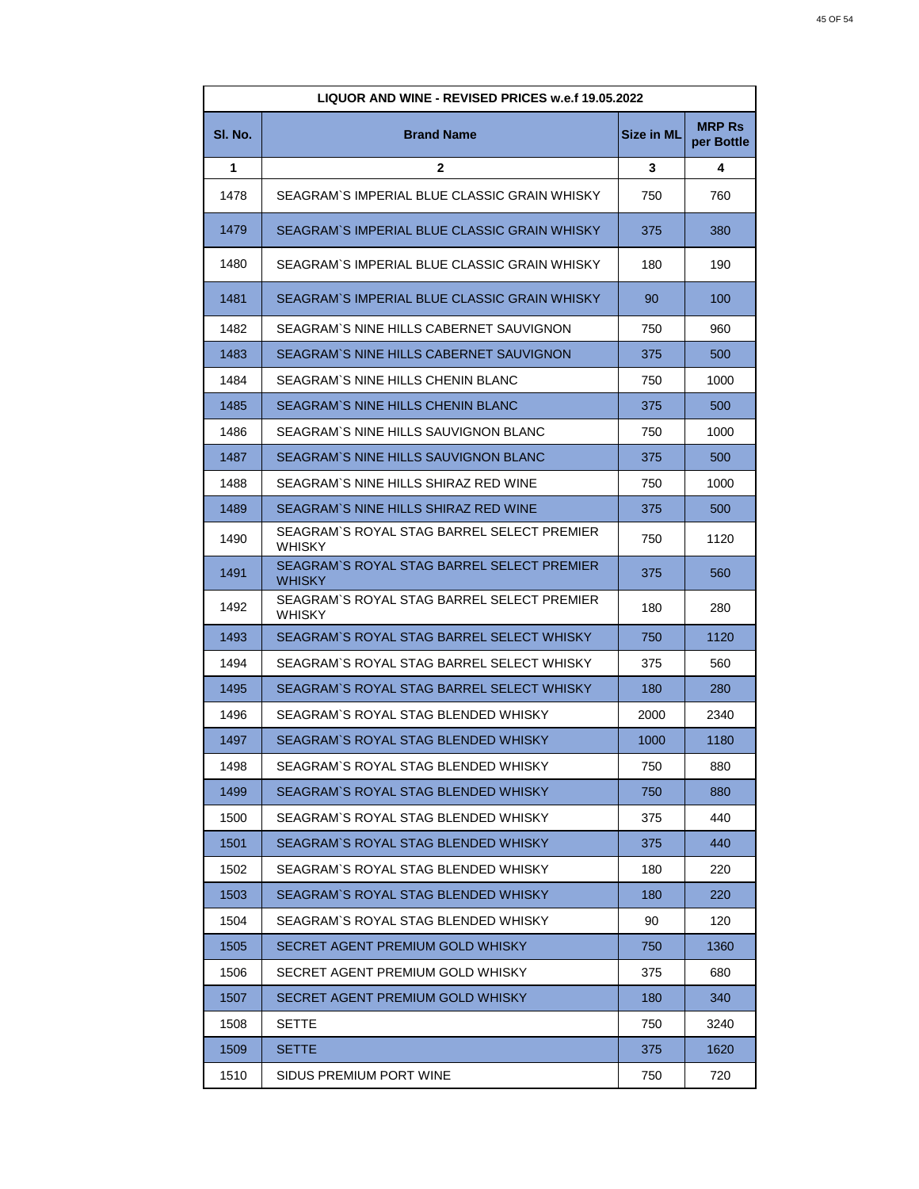| LIQUOR AND WINE - REVISED PRICES w.e.f 19.05.2022 |                                                             |                   |                             |
|---------------------------------------------------|-------------------------------------------------------------|-------------------|-----------------------------|
| SI. No.                                           | <b>Brand Name</b>                                           | <b>Size in ML</b> | <b>MRP Rs</b><br>per Bottle |
| 1                                                 | $\mathbf{2}$                                                | 3                 | 4                           |
| 1478                                              | SEAGRAM`S IMPERIAL BLUE CLASSIC GRAIN WHISKY                | 750               | 760                         |
| 1479                                              | SEAGRAM`S IMPERIAL BLUE CLASSIC GRAIN WHISKY                | 375               | 380                         |
| 1480                                              | SEAGRAM`S IMPERIAL BLUE CLASSIC GRAIN WHISKY                | 180               | 190                         |
| 1481                                              | SEAGRAM`S IMPERIAL BLUE CLASSIC GRAIN WHISKY                | 90                | 100                         |
| 1482                                              | SEAGRAM`S NINE HILLS CABERNET SAUVIGNON                     | 750               | 960                         |
| 1483                                              | SEAGRAM'S NINE HILLS CABERNET SAUVIGNON                     | 375               | 500                         |
| 1484                                              | SEAGRAM`S NINE HILLS CHENIN BLANC                           | 750               | 1000                        |
| 1485                                              | SEAGRAM'S NINE HILLS CHENIN BLANC                           | 375               | 500                         |
| 1486                                              | SEAGRAM`S NINE HILLS SAUVIGNON BLANC                        | 750               | 1000                        |
| 1487                                              | SEAGRAM`S NINE HILLS SAUVIGNON BLANC                        | 375               | 500                         |
| 1488                                              | SEAGRAM`S NINE HILLS SHIRAZ RED WINE                        | 750               | 1000                        |
| 1489                                              | SEAGRAM`S NINE HILLS SHIRAZ RED WINE                        | 375               | 500                         |
| 1490                                              | SEAGRAM`S ROYAL STAG BARREL SELECT PREMIER<br><b>WHISKY</b> | 750               | 1120                        |
| 1491                                              | SEAGRAM'S ROYAL STAG BARREL SELECT PREMIER<br>WHISKY        | 375               | 560                         |
| 1492                                              | SEAGRAM`S ROYAL STAG BARREL SELECT PREMIER<br><b>WHISKY</b> | 180               | 280                         |
| 1493                                              | SEAGRAM`S ROYAL STAG BARREL SELECT WHISKY                   | 750               | 1120                        |
| 1494                                              | SEAGRAM`S ROYAL STAG BARREL SELECT WHISKY                   | 375               | 560                         |
| 1495                                              | SEAGRAM`S ROYAL STAG BARREL SELECT WHISKY                   | 180               | 280                         |
| 1496                                              | SEAGRAM`S ROYAL STAG BLENDED WHISKY                         | 2000              | 2340                        |
| 1497                                              | SEAGRAM`S ROYAL STAG BLENDED WHISKY                         | 1000              | 1180                        |
| 1498                                              | SEAGRAM`S ROYAL STAG BLENDED WHISKY                         | 750               | 880                         |
| 1499                                              | SEAGRAM`S ROYAL STAG BLENDED WHISKY                         | 750               | 880                         |
| 1500                                              | SEAGRAM'S ROYAL STAG BLENDED WHISKY                         | 375               | 440                         |
| 1501                                              | SEAGRAM`S ROYAL STAG BLENDED WHISKY                         | 375               | 440                         |
| 1502                                              | SEAGRAM`S ROYAL STAG BLENDED WHISKY                         | 180               | 220                         |
| 1503                                              | SEAGRAM`S ROYAL STAG BLENDED WHISKY                         | 180               | 220                         |
| 1504                                              | SEAGRAM'S ROYAL STAG BLENDED WHISKY                         | 90                | 120                         |
| 1505                                              | SECRET AGENT PREMIUM GOLD WHISKY                            | 750               | 1360                        |
| 1506                                              | SECRET AGENT PREMIUM GOLD WHISKY                            | 375               | 680                         |
| 1507                                              | SECRET AGENT PREMIUM GOLD WHISKY                            | 180               | 340                         |
| 1508                                              | SETTE                                                       | 750               | 3240                        |
| 1509                                              | <b>SETTE</b>                                                | 375               | 1620                        |
| 1510                                              | SIDUS PREMIUM PORT WINE                                     | 750               | 720                         |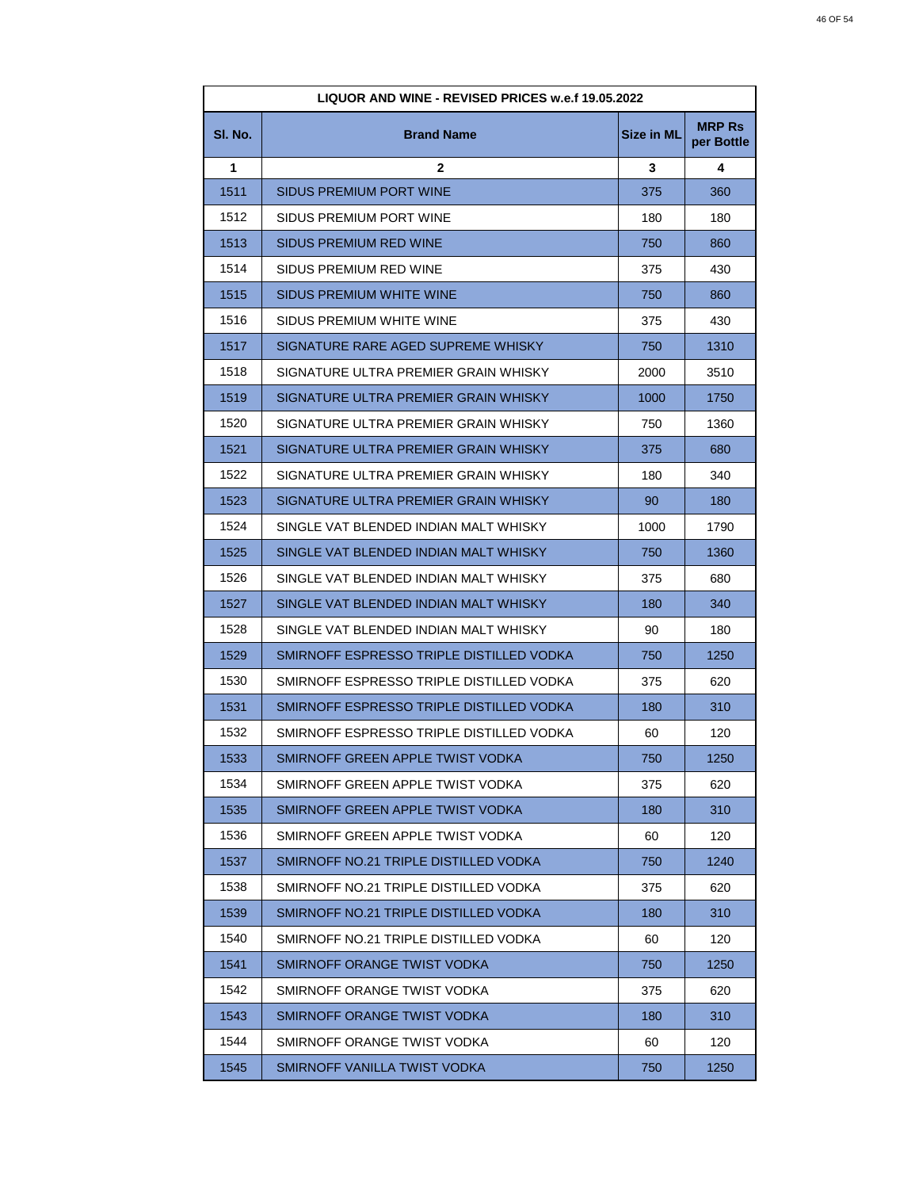| LIQUOR AND WINE - REVISED PRICES w.e.f 19.05.2022 |                                          |                   |                             |
|---------------------------------------------------|------------------------------------------|-------------------|-----------------------------|
| SI. No.                                           | <b>Brand Name</b>                        | <b>Size in ML</b> | <b>MRP Rs</b><br>per Bottle |
| 1                                                 | $\mathbf{2}$                             | 3                 | 4                           |
| 1511                                              | SIDUS PREMIUM PORT WINE                  | 375               | 360                         |
| 1512                                              | SIDUS PREMIUM PORT WINE                  | 180               | 180                         |
| 1513                                              | SIDUS PREMIUM RED WINE                   | 750               | 860                         |
| 1514                                              | SIDUS PREMIUM RED WINE                   | 375               | 430                         |
| 1515                                              | SIDUS PREMIUM WHITE WINE                 | 750               | 860                         |
| 1516                                              | SIDUS PREMIUM WHITE WINE                 | 375               | 430                         |
| 1517                                              | SIGNATURE RARE AGED SUPREME WHISKY       | 750               | 1310                        |
| 1518                                              | SIGNATURE ULTRA PREMIER GRAIN WHISKY     | 2000              | 3510                        |
| 1519                                              | SIGNATURE ULTRA PREMIER GRAIN WHISKY     | 1000              | 1750                        |
| 1520                                              | SIGNATURE ULTRA PREMIER GRAIN WHISKY     | 750               | 1360                        |
| 1521                                              | SIGNATURE ULTRA PREMIER GRAIN WHISKY     | 375               | 680                         |
| 1522                                              | SIGNATURE ULTRA PREMIER GRAIN WHISKY     | 180               | 340                         |
| 1523                                              | SIGNATURE ULTRA PREMIER GRAIN WHISKY     | 90                | 180                         |
| 1524                                              | SINGLE VAT BLENDED INDIAN MALT WHISKY    | 1000              | 1790                        |
| 1525                                              | SINGLE VAT BLENDED INDIAN MALT WHISKY    | 750               | 1360                        |
| 1526                                              | SINGLE VAT BLENDED INDIAN MALT WHISKY    | 375               | 680                         |
| 1527                                              | SINGLE VAT BLENDED INDIAN MALT WHISKY    | 180               | 340                         |
| 1528                                              | SINGLE VAT BLENDED INDIAN MALT WHISKY    | 90                | 180                         |
| 1529                                              | SMIRNOFF ESPRESSO TRIPLE DISTILLED VODKA | 750               | 1250                        |
| 1530                                              | SMIRNOFF ESPRESSO TRIPLE DISTILLED VODKA | 375               | 620                         |
| 1531                                              | SMIRNOFF ESPRESSO TRIPLE DISTILLED VODKA | 180               | 310                         |
| 1532                                              | SMIRNOFF ESPRESSO TRIPLE DISTILLED VODKA | 60                | 120                         |
| 1533                                              | SMIRNOFF GREEN APPLE TWIST VODKA         | 750               | 1250                        |
| 1534                                              | SMIRNOFF GREEN APPLE TWIST VODKA         | 375               | 620                         |
| 1535                                              | SMIRNOFF GREEN APPLE TWIST VODKA         | 180               | 310                         |
| 1536                                              | SMIRNOFF GREEN APPLE TWIST VODKA         | 60                | 120                         |
| 1537                                              | SMIRNOFF NO.21 TRIPLE DISTILLED VODKA    | 750               | 1240                        |
| 1538                                              | SMIRNOFF NO.21 TRIPLE DISTILLED VODKA    | 375               | 620                         |
| 1539                                              | SMIRNOFF NO.21 TRIPLE DISTILLED VODKA    | 180               | 310                         |
| 1540                                              | SMIRNOFF NO.21 TRIPLE DISTILLED VODKA    | 60                | 120                         |
| 1541                                              | SMIRNOFF ORANGE TWIST VODKA              | 750               | 1250                        |
| 1542                                              | SMIRNOFF ORANGE TWIST VODKA              | 375               | 620                         |
| 1543                                              | SMIRNOFF ORANGE TWIST VODKA              | 180               | 310                         |
| 1544                                              | SMIRNOFF ORANGE TWIST VODKA              | 60                | 120                         |
| 1545                                              | SMIRNOFF VANILLA TWIST VODKA             | 750               | 1250                        |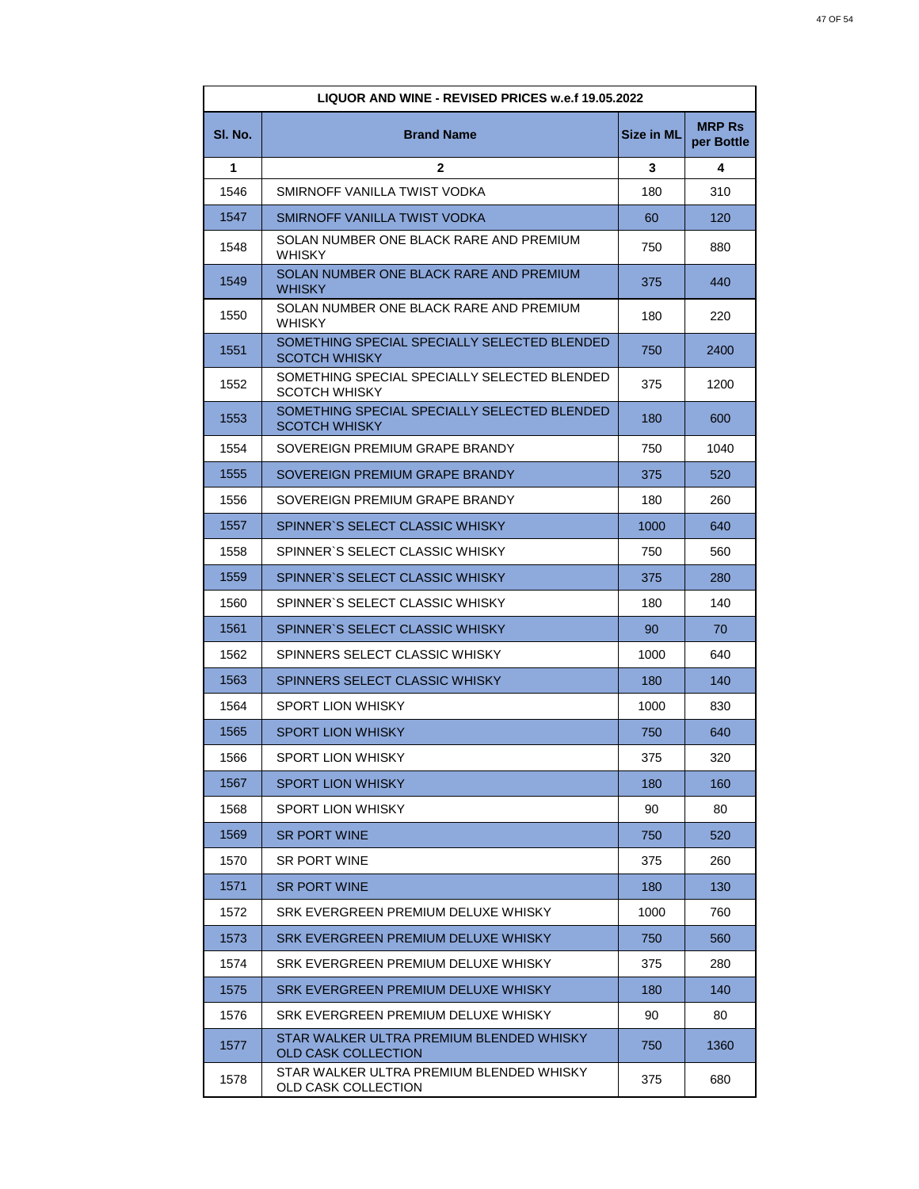| <b>LIQUOR AND WINE - REVISED PRICES w.e.f 19.05.2022</b> |                                                                        |                   |                             |
|----------------------------------------------------------|------------------------------------------------------------------------|-------------------|-----------------------------|
| SI. No.                                                  | <b>Brand Name</b>                                                      | <b>Size in ML</b> | <b>MRP Rs</b><br>per Bottle |
| 1                                                        | $\mathbf{2}$                                                           | 3                 | 4                           |
| 1546                                                     | SMIRNOFF VANILLA TWIST VODKA                                           | 180               | 310                         |
| 1547                                                     | SMIRNOFF VANILLA TWIST VODKA                                           | 60                | 120                         |
| 1548                                                     | SOLAN NUMBER ONE BLACK RARE AND PREMIUM<br><b>WHISKY</b>               | 750               | 880                         |
| 1549                                                     | SOLAN NUMBER ONE BLACK RARE AND PREMIUM<br><b>WHISKY</b>               | 375               | 440                         |
| 1550                                                     | SOLAN NUMBER ONE BLACK RARE AND PREMIUM<br><b>WHISKY</b>               | 180               | 220                         |
| 1551                                                     | SOMETHING SPECIAL SPECIALLY SELECTED BLENDED<br><b>SCOTCH WHISKY</b>   | 750               | 2400                        |
| 1552                                                     | SOMETHING SPECIAL SPECIALLY SELECTED BLENDED<br><b>SCOTCH WHISKY</b>   | 375               | 1200                        |
| 1553                                                     | SOMETHING SPECIAL SPECIALLY SELECTED BLENDED<br><b>SCOTCH WHISKY</b>   | 180               | 600                         |
| 1554                                                     | SOVEREIGN PREMIUM GRAPE BRANDY                                         | 750               | 1040                        |
| 1555                                                     | SOVEREIGN PREMIUM GRAPE BRANDY                                         | 375               | 520                         |
| 1556                                                     | SOVEREIGN PREMIUM GRAPE BRANDY                                         | 180               | 260                         |
| 1557                                                     | SPINNER'S SELECT CLASSIC WHISKY                                        | 1000              | 640                         |
| 1558                                                     | SPINNER'S SELECT CLASSIC WHISKY                                        | 750               | 560                         |
| 1559                                                     | SPINNER'S SELECT CLASSIC WHISKY                                        | 375               | 280                         |
| 1560                                                     | SPINNER'S SELECT CLASSIC WHISKY                                        | 180               | 140                         |
| 1561                                                     | SPINNER'S SELECT CLASSIC WHISKY                                        | 90                | 70                          |
| 1562                                                     | SPINNERS SELECT CLASSIC WHISKY                                         | 1000              | 640                         |
| 1563                                                     | SPINNERS SELECT CLASSIC WHISKY                                         | 180               | 140                         |
| 1564                                                     | <b>SPORT LION WHISKY</b>                                               | 1000              | 830                         |
| 1565                                                     | <b>SPORT LION WHISKY</b>                                               | 750               | 640                         |
| 1566                                                     | SPORT LION WHISKY                                                      | 375               | 320                         |
| 1567                                                     | <b>SPORT LION WHISKY</b>                                               | 180               | 160                         |
| 1568                                                     | SPORT LION WHISKY                                                      | 90                | 80                          |
| 1569                                                     | <b>SR PORT WINE</b>                                                    | 750               | 520                         |
| 1570                                                     | <b>SR PORT WINE</b>                                                    | 375               | 260                         |
| 1571                                                     | <b>SR PORT WINE</b>                                                    | 180               | 130                         |
| 1572                                                     | SRK EVERGREEN PREMIUM DELUXE WHISKY                                    | 1000              | 760                         |
| 1573                                                     | SRK EVERGREEN PREMIUM DELUXE WHISKY                                    | 750               | 560                         |
| 1574                                                     | SRK EVERGREEN PREMIUM DELUXE WHISKY                                    | 375               | 280                         |
| 1575                                                     | SRK EVERGREEN PREMIUM DELUXE WHISKY                                    | 180               | 140                         |
| 1576                                                     | SRK EVERGREEN PREMIUM DELUXE WHISKY                                    | 90                | 80                          |
| 1577                                                     | STAR WALKER ULTRA PREMIUM BLENDED WHISKY<br><b>OLD CASK COLLECTION</b> | 750               | 1360                        |
| 1578                                                     | STAR WALKER ULTRA PREMIUM BLENDED WHISKY<br>OLD CASK COLLECTION        | 375               | 680                         |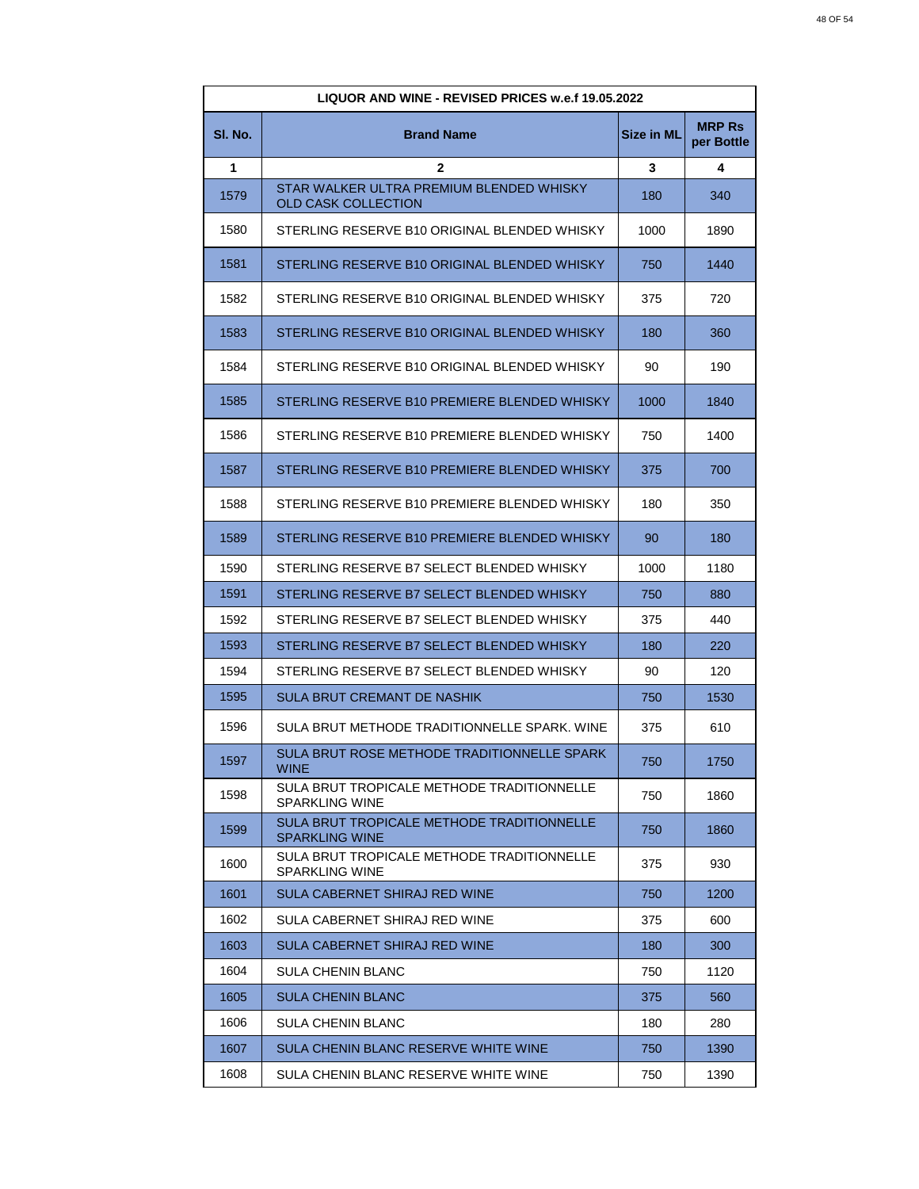| <b>LIQUOR AND WINE - REVISED PRICES w.e.f 19.05.2022</b> |                                                                        |                   |                             |
|----------------------------------------------------------|------------------------------------------------------------------------|-------------------|-----------------------------|
| SI. No.                                                  | <b>Brand Name</b>                                                      | <b>Size in ML</b> | <b>MRP Rs</b><br>per Bottle |
| 1                                                        | $\mathbf{2}$                                                           | 3                 | 4                           |
| 1579                                                     | STAR WALKER ULTRA PREMIUM BLENDED WHISKY<br><b>OLD CASK COLLECTION</b> | 180               | 340                         |
| 1580                                                     | STERLING RESERVE B10 ORIGINAL BLENDED WHISKY                           | 1000              | 1890                        |
| 1581                                                     | STERLING RESERVE B10 ORIGINAL BLENDED WHISKY                           | 750               | 1440                        |
| 1582                                                     | STERLING RESERVE B10 ORIGINAL BLENDED WHISKY                           | 375               | 720                         |
| 1583                                                     | STERLING RESERVE B10 ORIGINAL BLENDED WHISKY                           | 180               | 360                         |
| 1584                                                     | STERLING RESERVE B10 ORIGINAL BLENDED WHISKY                           | 90                | 190                         |
| 1585                                                     | STERLING RESERVE B10 PREMIERE BLENDED WHISKY                           | 1000              | 1840                        |
| 1586                                                     | STERLING RESERVE B10 PREMIERE BLENDED WHISKY                           | 750               | 1400                        |
| 1587                                                     | STERLING RESERVE B10 PREMIERE BLENDED WHISKY                           | 375               | 700                         |
| 1588                                                     | STERLING RESERVE B10 PREMIERE BLENDED WHISKY                           | 180               | 350                         |
| 1589                                                     | STERLING RESERVE B10 PREMIERE BLENDED WHISKY                           | 90                | 180                         |
| 1590                                                     | STERLING RESERVE B7 SELECT BLENDED WHISKY                              | 1000              | 1180                        |
| 1591                                                     | STERLING RESERVE B7 SELECT BLENDED WHISKY                              | 750               | 880                         |
| 1592                                                     | STERLING RESERVE B7 SELECT BLENDED WHISKY                              | 375               | 440                         |
| 1593                                                     | STERLING RESERVE B7 SELECT BLENDED WHISKY                              | 180               | 220                         |
| 1594                                                     | STERLING RESERVE B7 SELECT BLENDED WHISKY                              | 90                | 120                         |
| 1595                                                     | <b>SULA BRUT CREMANT DE NASHIK</b>                                     | 750               | 1530                        |
| 1596                                                     | SULA BRUT METHODE TRADITIONNELLE SPARK. WINE                           | 375               | 610                         |
| 1597                                                     | SULA BRUT ROSE METHODE TRADITIONNELLE SPARK<br><b>WINE</b>             | 750               | 1750                        |
| 1598                                                     | SULA BRUT TROPICALE METHODE TRADITIONNELLE<br><b>SPARKLING WINE</b>    | 750               | 1860                        |
| 1599                                                     | SULA BRUT TROPICALE METHODE TRADITIONNELLE<br><b>SPARKLING WINE</b>    | 750               | 1860                        |
| 1600                                                     | SULA BRUT TROPICALE METHODE TRADITIONNELLE<br><b>SPARKLING WINE</b>    | 375               | 930                         |
| 1601                                                     | SULA CABERNET SHIRAJ RED WINE                                          | 750               | 1200                        |
| 1602                                                     | SULA CABERNET SHIRAJ RED WINE                                          | 375               | 600                         |
| 1603                                                     | SULA CABERNET SHIRAJ RED WINE                                          | 180               | 300                         |
| 1604                                                     | <b>SULA CHENIN BLANC</b>                                               | 750               | 1120                        |
| 1605                                                     | <b>SULA CHENIN BLANC</b>                                               | 375               | 560                         |
| 1606                                                     | <b>SULA CHENIN BLANC</b>                                               | 180               | 280                         |
| 1607                                                     | SULA CHENIN BLANC RESERVE WHITE WINE                                   | 750               | 1390                        |
| 1608                                                     | SULA CHENIN BLANC RESERVE WHITE WINE                                   | 750               | 1390                        |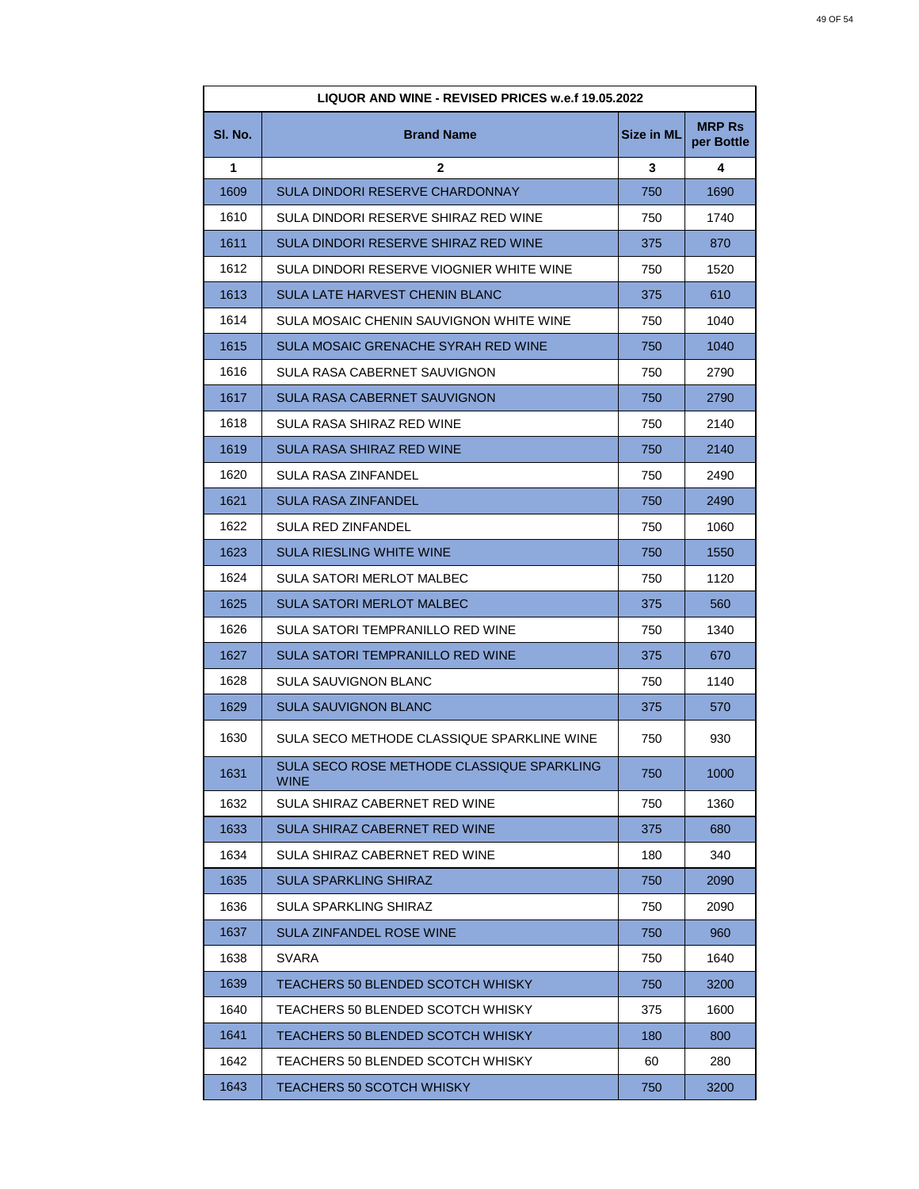| <b>LIQUOR AND WINE - REVISED PRICES w.e.f 19.05.2022</b> |                                                    |                   |                             |
|----------------------------------------------------------|----------------------------------------------------|-------------------|-----------------------------|
| SI. No.                                                  | <b>Brand Name</b>                                  | <b>Size in ML</b> | <b>MRP Rs</b><br>per Bottle |
| 1                                                        | $\mathbf{2}$                                       | 3                 | 4                           |
| 1609                                                     | SULA DINDORI RESERVE CHARDONNAY                    | 750               | 1690                        |
| 1610                                                     | SULA DINDORI RESERVE SHIRAZ RED WINE               | 750               | 1740                        |
| 1611                                                     | SULA DINDORI RESERVE SHIRAZ RED WINE               | 375               | 870                         |
| 1612                                                     | SULA DINDORI RESERVE VIOGNIER WHITE WINE           | 750               | 1520                        |
| 1613                                                     | SULA LATE HARVEST CHENIN BLANC                     | 375               | 610                         |
| 1614                                                     | SULA MOSAIC CHENIN SAUVIGNON WHITE WINE            | 750               | 1040                        |
| 1615                                                     | SULA MOSAIC GRENACHE SYRAH RED WINE                | 750               | 1040                        |
| 1616                                                     | SULA RASA CABERNET SAUVIGNON                       | 750               | 2790                        |
| 1617                                                     | <b>SULA RASA CABERNET SAUVIGNON</b>                | 750               | 2790                        |
| 1618                                                     | SULA RASA SHIRAZ RED WINE                          | 750               | 2140                        |
| 1619                                                     | <b>SULA RASA SHIRAZ RED WINE</b>                   | 750               | 2140                        |
| 1620                                                     | SULA RASA ZINFANDEL                                | 750               | 2490                        |
| 1621                                                     | <b>SULA RASA ZINFANDEL</b>                         | 750               | 2490                        |
| 1622                                                     | <b>SULA RED ZINFANDEL</b>                          | 750               | 1060                        |
| 1623                                                     | <b>SULA RIESLING WHITE WINE</b>                    | 750               | 1550                        |
| 1624                                                     | SULA SATORI MERLOT MALBEC                          | 750               | 1120                        |
| 1625                                                     | <b>SULA SATORI MERLOT MALBEC</b>                   | 375               | 560                         |
| 1626                                                     | SULA SATORI TEMPRANILLO RED WINE                   | 750               | 1340                        |
| 1627                                                     | SULA SATORI TEMPRANILLO RED WINE                   | 375               | 670                         |
| 1628                                                     | SULA SAUVIGNON BLANC                               | 750               | 1140                        |
| 1629                                                     | <b>SULA SAUVIGNON BLANC</b>                        | 375               | 570                         |
| 1630                                                     | SULA SECO METHODE CLASSIQUE SPARKLINE WINE         | 750               | 930                         |
| 1631                                                     | SULA SECO ROSE METHODE CLASSIQUE SPARKLING<br>WINE | 750               | 1000                        |
| 1632                                                     | SULA SHIRAZ CABERNET RED WINE                      | 750               | 1360                        |
| 1633                                                     | <b>SULA SHIRAZ CABERNET RED WINE</b>               | 375               | 680                         |
| 1634                                                     | SULA SHIRAZ CABERNET RED WINE                      | 180               | 340                         |
| 1635                                                     | <b>SULA SPARKLING SHIRAZ</b>                       | 750               | 2090                        |
| 1636                                                     | SULA SPARKLING SHIRAZ                              | 750               | 2090                        |
| 1637                                                     | <b>SULA ZINFANDEL ROSE WINE</b>                    | 750               | 960                         |
| 1638                                                     | SVARA                                              | 750               | 1640                        |
| 1639                                                     | TEACHERS 50 BLENDED SCOTCH WHISKY                  | 750               | 3200                        |
| 1640                                                     | TEACHERS 50 BLENDED SCOTCH WHISKY                  | 375               | 1600                        |
| 1641                                                     | TEACHERS 50 BLENDED SCOTCH WHISKY                  | 180               | 800                         |
| 1642                                                     | TEACHERS 50 BLENDED SCOTCH WHISKY                  | 60                | 280                         |
| 1643                                                     | TEACHERS 50 SCOTCH WHISKY                          | 750               | 3200                        |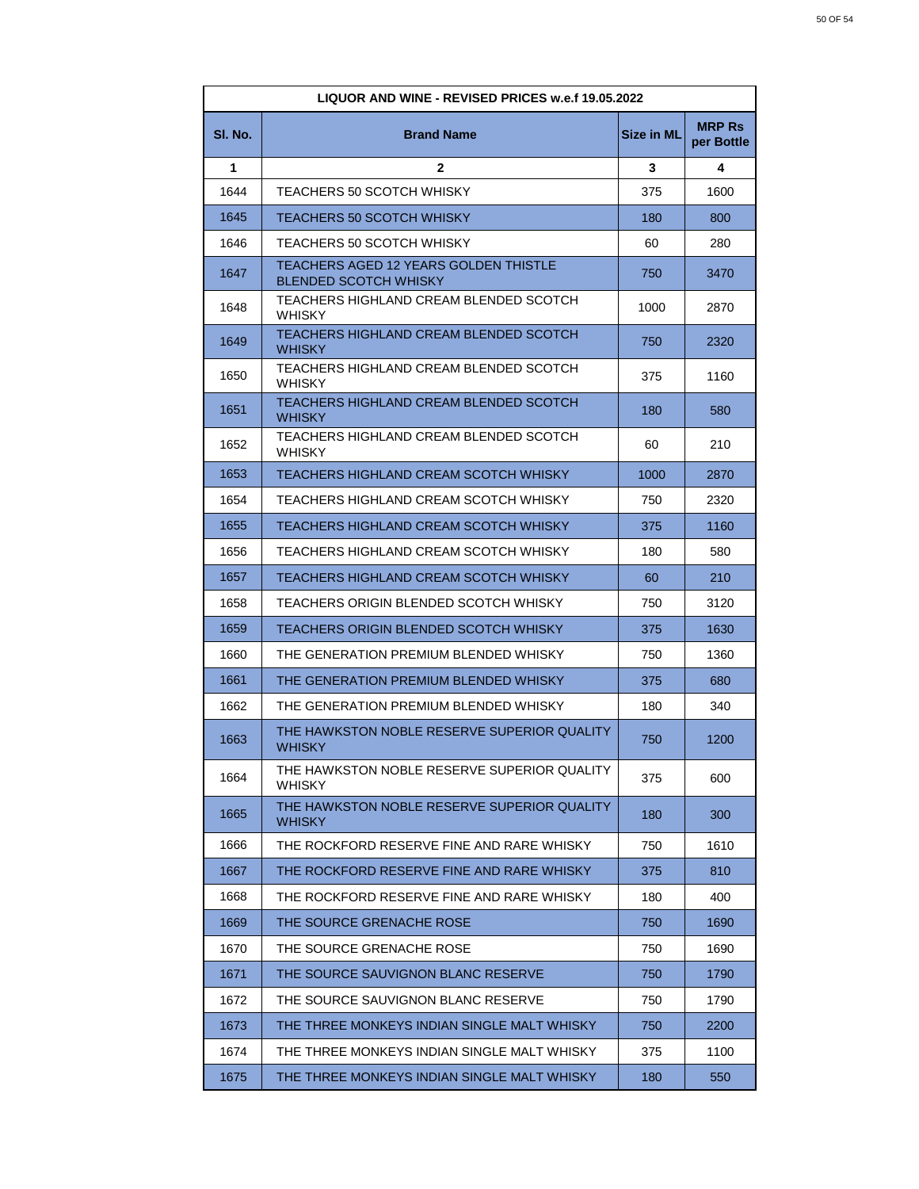| <b>LIQUOR AND WINE - REVISED PRICES w.e.f 19.05.2022</b> |                                                                       |                   |                             |
|----------------------------------------------------------|-----------------------------------------------------------------------|-------------------|-----------------------------|
| SI. No.                                                  | <b>Brand Name</b>                                                     | <b>Size in ML</b> | <b>MRP Rs</b><br>per Bottle |
| 1                                                        | $\mathbf{2}$                                                          | 3                 | 4                           |
| 1644                                                     | TEACHERS 50 SCOTCH WHISKY                                             | 375               | 1600                        |
| 1645                                                     | TEACHERS 50 SCOTCH WHISKY                                             | 180               | 800                         |
| 1646                                                     | <b>TEACHERS 50 SCOTCH WHISKY</b>                                      | 60                | 280                         |
| 1647                                                     | TEACHERS AGED 12 YEARS GOLDEN THISTLE<br><b>BLENDED SCOTCH WHISKY</b> | 750               | 3470                        |
| 1648                                                     | TEACHERS HIGHLAND CREAM BLENDED SCOTCH<br><b>WHISKY</b>               | 1000              | 2870                        |
| 1649                                                     | TEACHERS HIGHLAND CREAM BLENDED SCOTCH<br><b>WHISKY</b>               | 750               | 2320                        |
| 1650                                                     | TEACHERS HIGHLAND CREAM BLENDED SCOTCH<br>WHISKY                      | 375               | 1160                        |
| 1651                                                     | TEACHERS HIGHLAND CREAM BLENDED SCOTCH<br><b>WHISKY</b>               | 180               | 580                         |
| 1652                                                     | TEACHERS HIGHLAND CREAM BLENDED SCOTCH<br><b>WHISKY</b>               | 60                | 210                         |
| 1653                                                     | TEACHERS HIGHLAND CREAM SCOTCH WHISKY                                 | 1000              | 2870                        |
| 1654                                                     | TEACHERS HIGHLAND CREAM SCOTCH WHISKY                                 | 750               | 2320                        |
| 1655                                                     | TEACHERS HIGHLAND CREAM SCOTCH WHISKY                                 | 375               | 1160                        |
| 1656                                                     | TEACHERS HIGHLAND CREAM SCOTCH WHISKY                                 | 180               | 580                         |
| 1657                                                     | TEACHERS HIGHLAND CREAM SCOTCH WHISKY                                 | 60                | 210                         |
| 1658                                                     | TEACHERS ORIGIN BLENDED SCOTCH WHISKY                                 | 750               | 3120                        |
| 1659                                                     | TEACHERS ORIGIN BLENDED SCOTCH WHISKY                                 | 375               | 1630                        |
| 1660                                                     | THE GENERATION PREMIUM BLENDED WHISKY                                 | 750               | 1360                        |
| 1661                                                     | THE GENERATION PREMIUM BLENDED WHISKY                                 | 375               | 680                         |
| 1662                                                     | THE GENERATION PREMIUM BLENDED WHISKY                                 | 180               | 340                         |
| 1663                                                     | THE HAWKSTON NOBLE RESERVE SUPERIOR QUALITY<br><b>WHISKY</b>          | 750               | 1200                        |
| 1664                                                     | THE HAWKSTON NOBLE RESERVE SUPERIOR QUALITY<br>WHISKY                 | 375               | 600                         |
| 1665                                                     | THE HAWKSTON NOBLE RESERVE SUPERIOR QUALITY<br>WHISKY                 | 180               | 300                         |
| 1666                                                     | THE ROCKFORD RESERVE FINE AND RARE WHISKY                             | 750               | 1610                        |
| 1667                                                     | THE ROCKFORD RESERVE FINE AND RARE WHISKY                             | 375               | 810                         |
| 1668                                                     | THE ROCKFORD RESERVE FINE AND RARE WHISKY                             | 180               | 400                         |
| 1669                                                     | THE SOURCE GRENACHE ROSE                                              | 750               | 1690                        |
| 1670                                                     | THE SOURCE GRENACHE ROSE                                              | 750               | 1690                        |
| 1671                                                     | THE SOURCE SAUVIGNON BLANC RESERVE                                    | 750               | 1790                        |
| 1672                                                     | THE SOURCE SAUVIGNON BLANC RESERVE                                    | 750               | 1790                        |
| 1673                                                     | THE THREE MONKEYS INDIAN SINGLE MALT WHISKY                           | 750               | 2200                        |
| 1674                                                     | THE THREE MONKEYS INDIAN SINGLE MALT WHISKY                           | 375               | 1100                        |
| 1675                                                     | THE THREE MONKEYS INDIAN SINGLE MALT WHISKY                           | 180               | 550                         |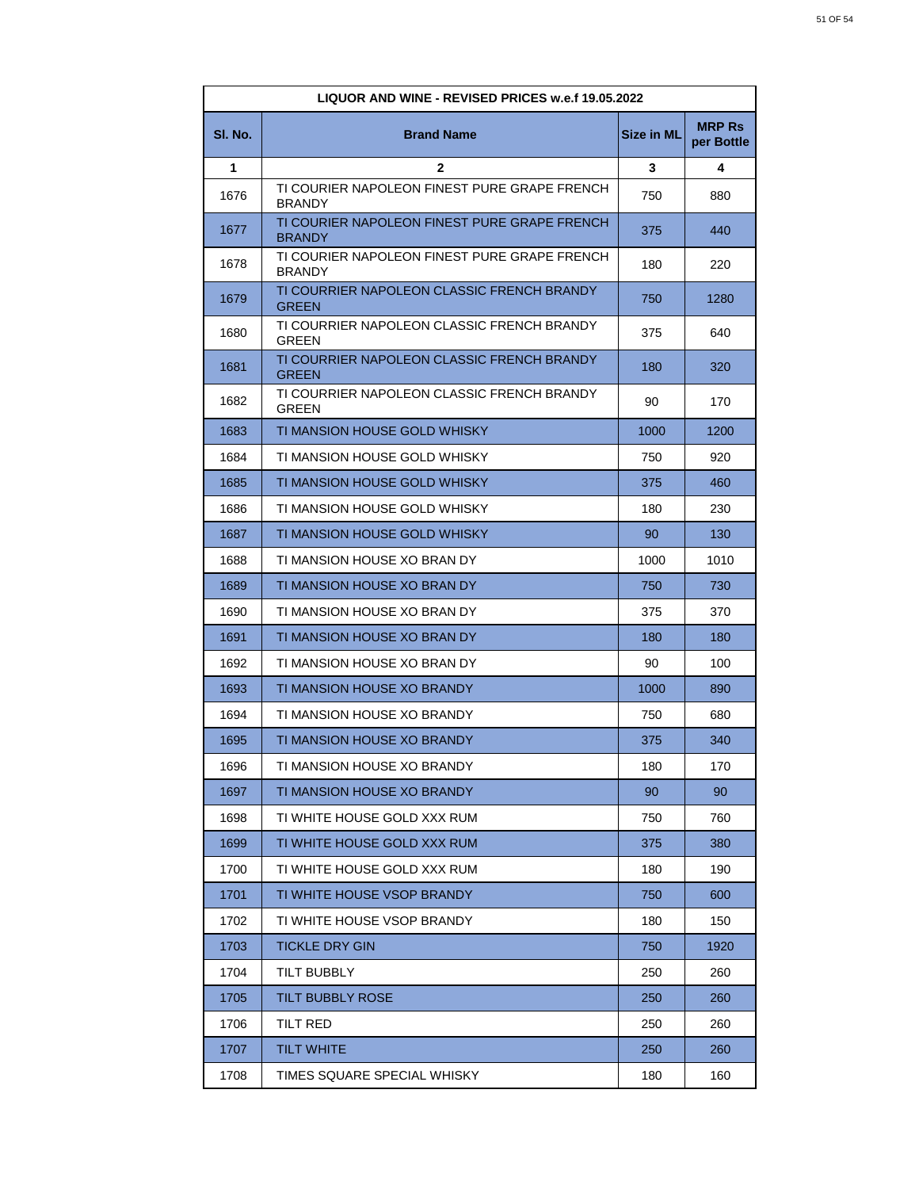| <b>LIQUOR AND WINE - REVISED PRICES w.e.f 19.05.2022</b> |                                                               |                   |                             |
|----------------------------------------------------------|---------------------------------------------------------------|-------------------|-----------------------------|
| SI. No.                                                  | <b>Brand Name</b>                                             | <b>Size in ML</b> | <b>MRP Rs</b><br>per Bottle |
| 1                                                        | $\mathbf{2}$                                                  | 3                 | 4                           |
| 1676                                                     | TI COURIER NAPOLEON FINEST PURE GRAPE FRENCH<br><b>BRANDY</b> | 750               | 880                         |
| 1677                                                     | TI COURIER NAPOLEON FINEST PURE GRAPE FRENCH<br><b>BRANDY</b> | 375               | 440                         |
| 1678                                                     | TI COURIER NAPOLEON FINEST PURE GRAPE FRENCH<br><b>BRANDY</b> | 180               | 220                         |
| 1679                                                     | TI COURRIER NAPOLEON CLASSIC FRENCH BRANDY<br><b>GREEN</b>    | 750               | 1280                        |
| 1680                                                     | TI COURRIER NAPOLEON CLASSIC FRENCH BRANDY<br>GREEN           | 375               | 640                         |
| 1681                                                     | TI COURRIER NAPOLEON CLASSIC FRENCH BRANDY<br><b>GREEN</b>    | 180               | 320                         |
| 1682                                                     | TI COURRIER NAPOLEON CLASSIC FRENCH BRANDY<br>GREEN           | 90                | 170                         |
| 1683                                                     | TI MANSION HOUSE GOLD WHISKY                                  | 1000              | 1200                        |
| 1684                                                     | TI MANSION HOUSE GOLD WHISKY                                  | 750               | 920                         |
| 1685                                                     | TI MANSION HOUSE GOLD WHISKY                                  | 375               | 460                         |
| 1686                                                     | TI MANSION HOUSE GOLD WHISKY                                  | 180               | 230                         |
| 1687                                                     | TI MANSION HOUSE GOLD WHISKY                                  | 90                | 130                         |
| 1688                                                     | TI MANSION HOUSE XO BRAN DY                                   | 1000              | 1010                        |
| 1689                                                     | TI MANSION HOUSE XO BRAN DY                                   | 750               | 730                         |
| 1690                                                     | TI MANSION HOUSE XO BRAN DY                                   | 375               | 370                         |
| 1691                                                     | TI MANSION HOUSE XO BRAN DY                                   | 180               | 180                         |
| 1692                                                     | TI MANSION HOUSE XO BRAN DY                                   | 90                | 100                         |
| 1693                                                     | TI MANSION HOUSE XO BRANDY                                    | 1000              | 890                         |
| 1694                                                     | TI MANSION HOUSE XO BRANDY                                    | 750               | 680                         |
| 1695                                                     | TI MANSION HOUSE XO BRANDY                                    | 375               | 340                         |
| 1696                                                     | TI MANSION HOUSE XO BRANDY                                    | 180               | 170                         |
| 1697                                                     | TI MANSION HOUSE XO BRANDY                                    | 90                | 90                          |
| 1698                                                     | TI WHITE HOUSE GOLD XXX RUM                                   | 750               | 760                         |
| 1699                                                     | TI WHITE HOUSE GOLD XXX RUM                                   | 375               | 380                         |
| 1700                                                     | TI WHITE HOUSE GOLD XXX RUM                                   | 180               | 190                         |
| 1701                                                     | TI WHITE HOUSE VSOP BRANDY                                    | 750               | 600                         |
| 1702                                                     | TI WHITE HOUSE VSOP BRANDY                                    | 180               | 150                         |
| 1703                                                     | TICKLE DRY GIN                                                | 750               | 1920                        |
| 1704                                                     | TILT BUBBLY                                                   | 250               | 260                         |
| 1705                                                     | TILT BUBBLY ROSE                                              | 250               | 260                         |
| 1706                                                     | TILT RED                                                      | 250               | 260                         |
| 1707                                                     | <b>TILT WHITE</b>                                             | 250               | 260                         |
| 1708                                                     | TIMES SQUARE SPECIAL WHISKY                                   | 180               | 160                         |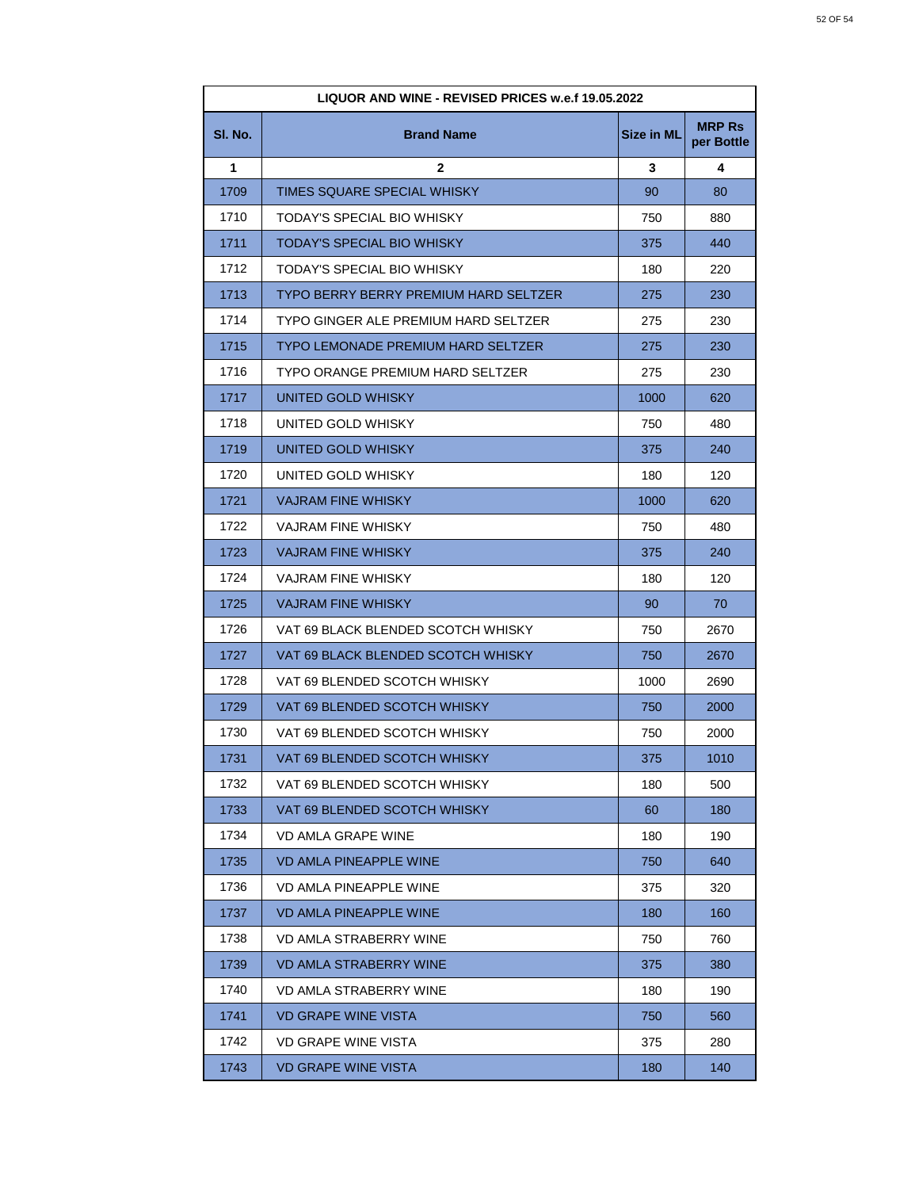| LIQUOR AND WINE - REVISED PRICES w.e.f 19.05.2022 |                                       |                   |                             |
|---------------------------------------------------|---------------------------------------|-------------------|-----------------------------|
| SI. No.                                           | <b>Brand Name</b>                     | <b>Size in ML</b> | <b>MRP Rs</b><br>per Bottle |
| 1                                                 | $\mathbf{2}$                          | 3                 | 4                           |
| 1709                                              | TIMES SQUARE SPECIAL WHISKY           | 90                | 80                          |
| 1710                                              | TODAY'S SPECIAL BIO WHISKY            | 750               | 880                         |
| 1711                                              | TODAY'S SPECIAL BIO WHISKY            | 375               | 440                         |
| 1712                                              | TODAY'S SPECIAL BIO WHISKY            | 180               | 220                         |
| 1713                                              | TYPO BERRY BERRY PREMIUM HARD SELTZER | 275               | 230                         |
| 1714                                              | TYPO GINGER ALE PREMIUM HARD SELTZER  | 275               | 230                         |
| 1715                                              | TYPO LEMONADE PREMIUM HARD SELTZER    | 275               | 230                         |
| 1716                                              | TYPO ORANGE PREMIUM HARD SELTZER      | 275               | 230                         |
| 1717                                              | UNITED GOLD WHISKY                    | 1000              | 620                         |
| 1718                                              | UNITED GOLD WHISKY                    | 750               | 480                         |
| 1719                                              | UNITED GOLD WHISKY                    | 375               | 240                         |
| 1720                                              | UNITED GOLD WHISKY                    | 180               | 120                         |
| 1721                                              | <b>VAJRAM FINE WHISKY</b>             | 1000              | 620                         |
| 1722                                              | VAJRAM FINE WHISKY                    | 750               | 480                         |
| 1723                                              | <b>VAJRAM FINE WHISKY</b>             | 375               | 240                         |
| 1724                                              | VAJRAM FINE WHISKY                    | 180               | 120                         |
| 1725                                              | <b>VAJRAM FINE WHISKY</b>             | 90                | 70                          |
| 1726                                              | VAT 69 BLACK BLENDED SCOTCH WHISKY    | 750               | 2670                        |
| 1727                                              | VAT 69 BLACK BLENDED SCOTCH WHISKY    | 750               | 2670                        |
| 1728                                              | VAT 69 BLENDED SCOTCH WHISKY          | 1000              | 2690                        |
| 1729                                              | VAT 69 BLENDED SCOTCH WHISKY          | 750               | 2000                        |
| 1730                                              | VAT 69 BLENDED SCOTCH WHISKY          | 750               | 2000                        |
| 1731                                              | VAT 69 BLENDED SCOTCH WHISKY          | 375               | 1010                        |
| 1732                                              | VAT 69 BLENDED SCOTCH WHISKY          | 180               | 500                         |
| 1733                                              | VAT 69 BLENDED SCOTCH WHISKY          | 60                | 180                         |
| 1734                                              | <b>VD AMLA GRAPE WINE</b>             | 180               | 190                         |
| 1735                                              | <b>VD AMLA PINEAPPLE WINE</b>         | 750               | 640                         |
| 1736                                              | VD AMLA PINEAPPLE WINE                | 375               | 320                         |
| 1737                                              | VD AMLA PINEAPPLE WINE                | 180               | 160                         |
| 1738                                              | VD AMLA STRABERRY WINE                | 750               | 760                         |
| 1739                                              | VD AMLA STRABERRY WINE                | 375               | 380                         |
| 1740                                              | VD AMLA STRABERRY WINE                | 180               | 190                         |
| 1741                                              | VD GRAPE WINE VISTA                   | 750               | 560                         |
| 1742                                              | VD GRAPE WINE VISTA                   | 375               | 280                         |
| 1743                                              | <b>VD GRAPE WINE VISTA</b>            | 180               | 140                         |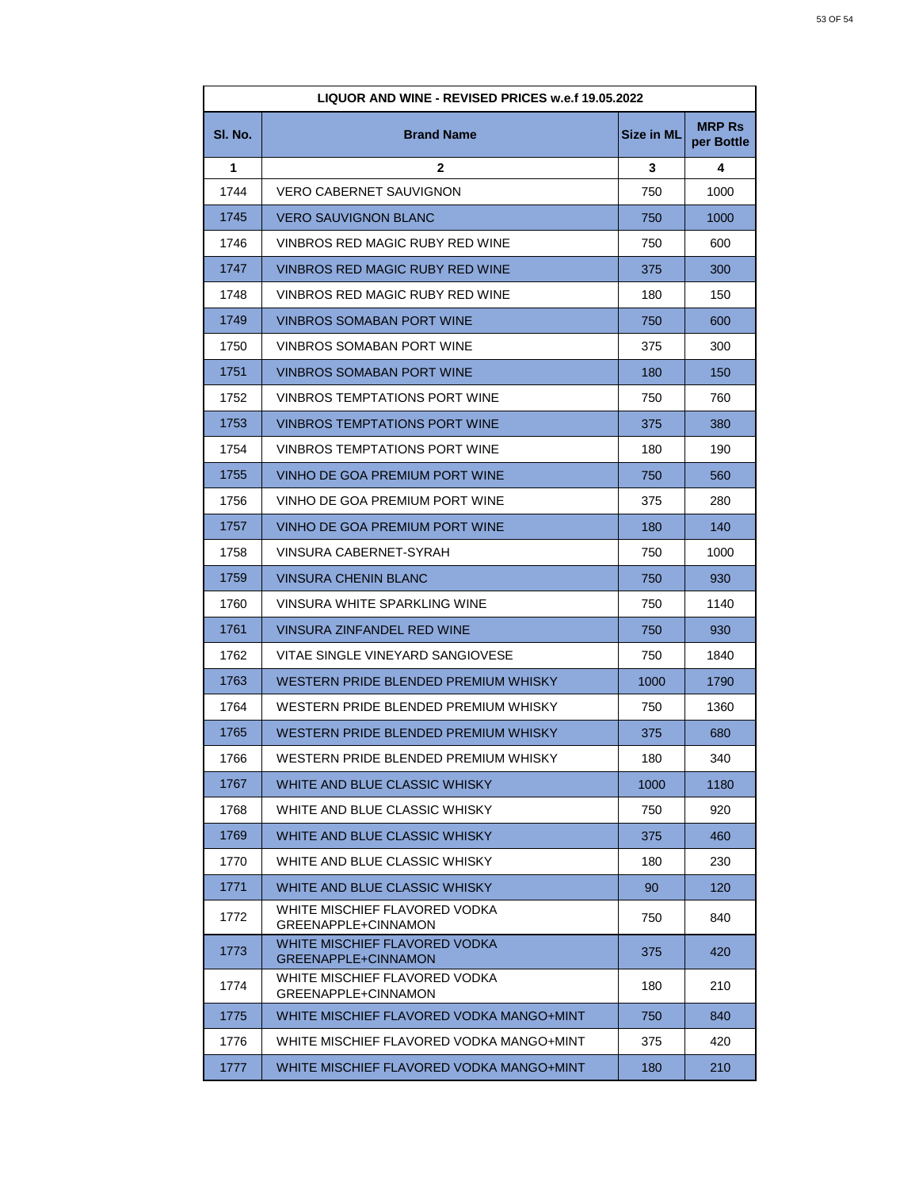| LIQUOR AND WINE - REVISED PRICES w.e.f 19.05.2022 |                                                      |                   |                             |
|---------------------------------------------------|------------------------------------------------------|-------------------|-----------------------------|
| SI. No.                                           | <b>Brand Name</b>                                    | <b>Size in ML</b> | <b>MRP Rs</b><br>per Bottle |
| 1                                                 | $\mathbf{2}$                                         | 3                 | 4                           |
| 1744                                              | VERO CABERNET SAUVIGNON                              | 750               | 1000                        |
| 1745                                              | VERO SAUVIGNON BLANC                                 | 750               | 1000                        |
| 1746                                              | VINBROS RED MAGIC RUBY RED WINE                      | 750               | 600                         |
| 1747                                              | VINBROS RED MAGIC RUBY RED WINE                      | 375               | 300                         |
| 1748                                              | VINBROS RED MAGIC RUBY RED WINE                      | 180               | 150                         |
| 1749                                              | VINBROS SOMABAN PORT WINE                            | 750               | 600                         |
| 1750                                              | VINBROS SOMABAN PORT WINE                            | 375               | 300                         |
| 1751                                              | VINBROS SOMABAN PORT WINE                            | 180               | 150                         |
| 1752                                              | VINBROS TEMPTATIONS PORT WINE                        | 750               | 760                         |
| 1753                                              | VINBROS TEMPTATIONS PORT WINE                        | 375               | 380                         |
| 1754                                              | <b>VINBROS TEMPTATIONS PORT WINE</b>                 | 180               | 190                         |
| 1755                                              | VINHO DE GOA PREMIUM PORT WINE                       | 750               | 560                         |
| 1756                                              | VINHO DE GOA PREMIUM PORT WINE                       | 375               | 280                         |
| 1757                                              | VINHO DE GOA PREMIUM PORT WINE                       | 180               | 140                         |
| 1758                                              | VINSURA CABERNET-SYRAH                               | 750               | 1000                        |
| 1759                                              | VINSURA CHENIN BLANC                                 | 750               | 930                         |
| 1760                                              | VINSURA WHITE SPARKLING WINE                         | 750               | 1140                        |
| 1761                                              | VINSURA ZINFANDEL RED WINE                           | 750               | 930                         |
| 1762                                              | VITAE SINGLE VINEYARD SANGIOVESE                     | 750               | 1840                        |
| 1763                                              | WESTERN PRIDE BLENDED PREMIUM WHISKY                 | 1000              | 1790                        |
| 1764                                              | WESTERN PRIDE BLENDED PREMIUM WHISKY                 | 750               | 1360                        |
| 1765                                              | WESTERN PRIDE BLENDED PREMIUM WHISKY                 | 375               | 680                         |
| 1766                                              | WESTERN PRIDE BLENDED PREMIUM WHISKY                 | 180               | 340                         |
| 1767                                              | WHITE AND BLUE CLASSIC WHISKY                        | 1000              | 1180                        |
| 1768                                              | WHITE AND BLUE CLASSIC WHISKY                        | 750               | 920                         |
| 1769                                              | WHITE AND BLUE CLASSIC WHISKY                        | 375               | 460                         |
| 1770                                              | WHITE AND BLUE CLASSIC WHISKY                        | 180               | 230                         |
| 1771                                              | WHITE AND BLUE CLASSIC WHISKY                        | 90                | 120                         |
| 1772                                              | WHITE MISCHIEF FLAVORED VODKA<br>GREENAPPLE+CINNAMON | 750               | 840                         |
| 1773                                              | WHITE MISCHIEF FLAVORED VODKA<br>GREENAPPLE+CINNAMON | 375               | 420                         |
| 1774                                              | WHITE MISCHIEF FLAVORED VODKA<br>GREENAPPLE+CINNAMON | 180               | 210                         |
| 1775                                              | WHITE MISCHIEF FLAVORED VODKA MANGO+MINT             | 750               | 840                         |
| 1776                                              | WHITE MISCHIEF FLAVORED VODKA MANGO+MINT             | 375               | 420                         |
| 1777                                              | WHITE MISCHIEF FLAVORED VODKA MANGO+MINT             | 180               | 210                         |